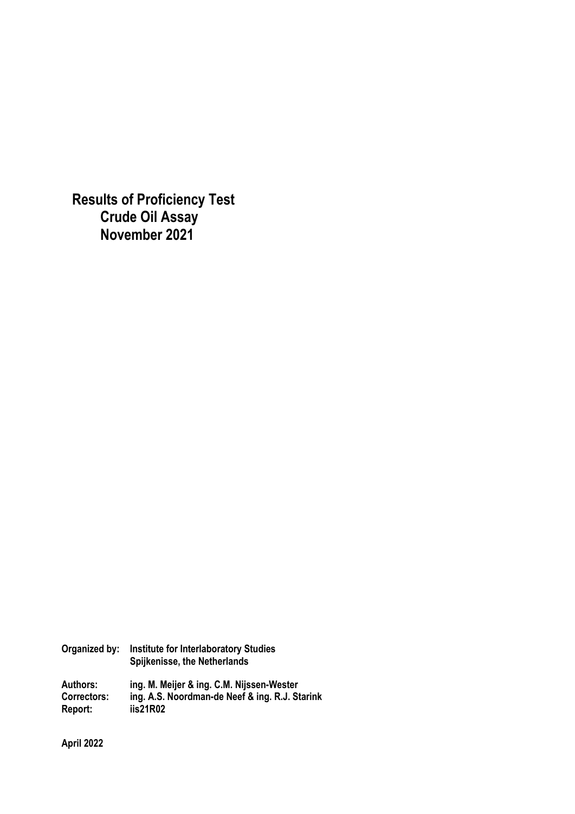**Results of Proficiency Test Crude Oil Assay November 2021** 

| <b>Institute for Interlaboratory Studies</b><br>Spijkenisse, the Netherlands                            |
|---------------------------------------------------------------------------------------------------------|
| ing. M. Meijer & ing. C.M. Nijssen-Wester<br>ing. A.S. Noordman-de Neef & ing. R.J. Starink<br>iis21R02 |
|                                                                                                         |

**April 2022**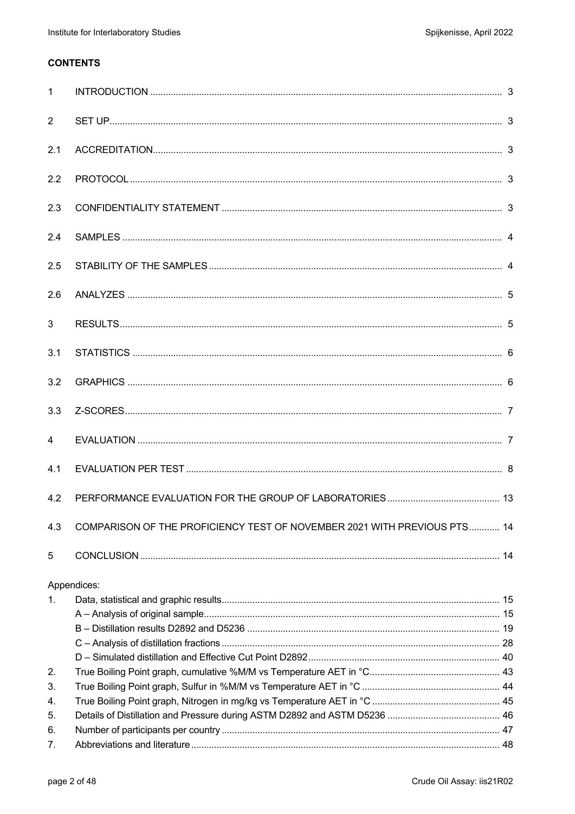## **CONTENTS**

| $\mathbf{1}$   |                                                                          |  |
|----------------|--------------------------------------------------------------------------|--|
| $\overline{2}$ |                                                                          |  |
| 2.1            |                                                                          |  |
| 2.2            |                                                                          |  |
| 2.3            |                                                                          |  |
| 2.4            |                                                                          |  |
| 2.5            |                                                                          |  |
| 2.6            |                                                                          |  |
| $\mathbf{3}$   |                                                                          |  |
| 3.1            |                                                                          |  |
| 3.2            |                                                                          |  |
| 3.3            |                                                                          |  |
| $\overline{4}$ |                                                                          |  |
| 4.1            |                                                                          |  |
| 4.2            |                                                                          |  |
| 4.3            | COMPARISON OF THE PROFICIENCY TEST OF NOVEMBER 2021 WITH PREVIOUS PTS 14 |  |
| 5              |                                                                          |  |
| $1_{-}$        | Appendices:                                                              |  |
|                |                                                                          |  |
|                |                                                                          |  |
| 2.             |                                                                          |  |
| 3.<br>4.       |                                                                          |  |
| 5.             |                                                                          |  |
| 6.             |                                                                          |  |
| 7.             |                                                                          |  |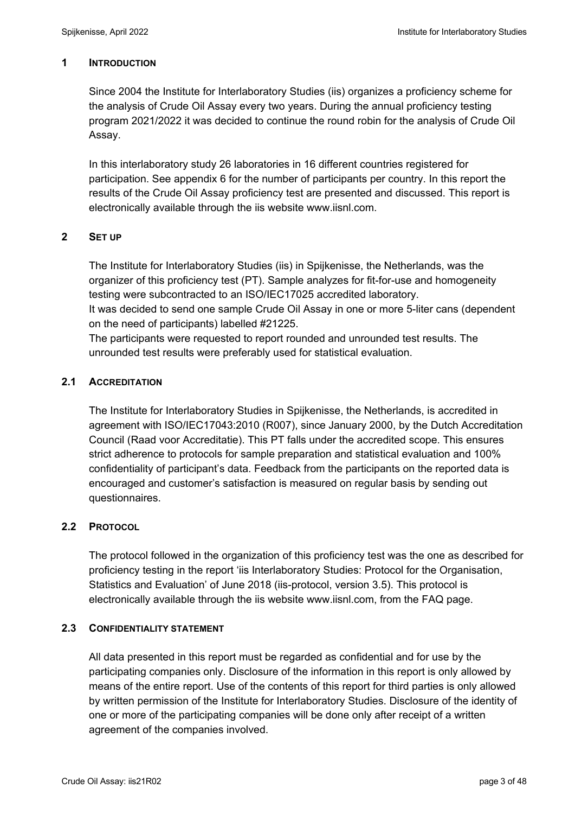#### **1 INTRODUCTION**

Since 2004 the Institute for Interlaboratory Studies (iis) organizes a proficiency scheme for the analysis of Crude Oil Assay every two years. During the annual proficiency testing program 2021/2022 it was decided to continue the round robin for the analysis of Crude Oil Assay.

In this interlaboratory study 26 laboratories in 16 different countries registered for participation. See appendix 6 for the number of participants per country. In this report the results of the Crude Oil Assay proficiency test are presented and discussed. This report is electronically available through the iis website www.iisnl.com.

### **2 SET UP**

The Institute for Interlaboratory Studies (iis) in Spijkenisse, the Netherlands, was the organizer of this proficiency test (PT). Sample analyzes for fit-for-use and homogeneity testing were subcontracted to an ISO/IEC17025 accredited laboratory. It was decided to send one sample Crude Oil Assay in one or more 5-liter cans (dependent on the need of participants) labelled #21225.

The participants were requested to report rounded and unrounded test results. The unrounded test results were preferably used for statistical evaluation.

### **2.1 ACCREDITATION**

The Institute for Interlaboratory Studies in Spijkenisse, the Netherlands, is accredited in agreement with ISO/IEC17043:2010 (R007), since January 2000, by the Dutch Accreditation Council (Raad voor Accreditatie). This PT falls under the accredited scope. This ensures strict adherence to protocols for sample preparation and statistical evaluation and 100% confidentiality of participant's data. Feedback from the participants on the reported data is encouraged and customer's satisfaction is measured on regular basis by sending out questionnaires.

### **2.2 PROTOCOL**

The protocol followed in the organization of this proficiency test was the one as described for proficiency testing in the report 'iis Interlaboratory Studies: Protocol for the Organisation, Statistics and Evaluation' of June 2018 (iis-protocol, version 3.5). This protocol is electronically available through the iis website www.iisnl.com, from the FAQ page.

#### **2.3 CONFIDENTIALITY STATEMENT**

All data presented in this report must be regarded as confidential and for use by the participating companies only. Disclosure of the information in this report is only allowed by means of the entire report. Use of the contents of this report for third parties is only allowed by written permission of the Institute for Interlaboratory Studies. Disclosure of the identity of one or more of the participating companies will be done only after receipt of a written agreement of the companies involved.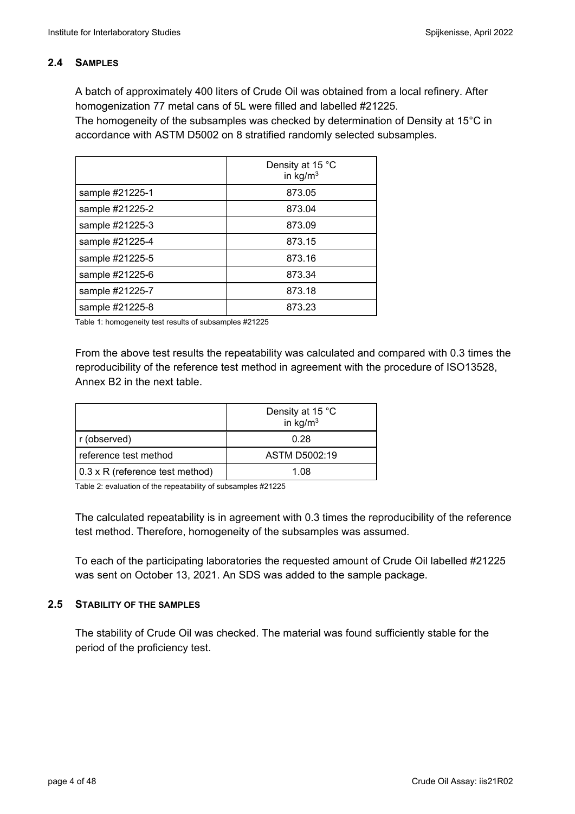### **2.4 SAMPLES**

A batch of approximately 400 liters of Crude Oil was obtained from a local refinery. After homogenization 77 metal cans of 5L were filled and labelled #21225.

The homogeneity of the subsamples was checked by determination of Density at 15°C in accordance with ASTM D5002 on 8 stratified randomly selected subsamples.

|                 | Density at 15 °C<br>in $kg/m3$ |
|-----------------|--------------------------------|
| sample #21225-1 | 873.05                         |
| sample #21225-2 | 873.04                         |
| sample #21225-3 | 873.09                         |
| sample #21225-4 | 873.15                         |
| sample #21225-5 | 873.16                         |
| sample #21225-6 | 873.34                         |
| sample #21225-7 | 873.18                         |
| sample #21225-8 | 873.23                         |

Table 1: homogeneity test results of subsamples #21225

From the above test results the repeatability was calculated and compared with 0.3 times the reproducibility of the reference test method in agreement with the procedure of ISO13528, Annex B2 in the next table.

|                                 | Density at 15 °C<br>in $\text{kg/m}^3$ |
|---------------------------------|----------------------------------------|
| r (observed)                    | 0.28                                   |
| reference test method           | ASTM D5002:19                          |
| 0.3 x R (reference test method) | 1 በጸ                                   |

Table 2: evaluation of the repeatability of subsamples #21225

The calculated repeatability is in agreement with 0.3 times the reproducibility of the reference test method. Therefore, homogeneity of the subsamples was assumed.

To each of the participating laboratories the requested amount of Crude Oil labelled #21225 was sent on October 13, 2021. An SDS was added to the sample package.

#### **2.5 STABILITY OF THE SAMPLES**

The stability of Crude Oil was checked. The material was found sufficiently stable for the period of the proficiency test.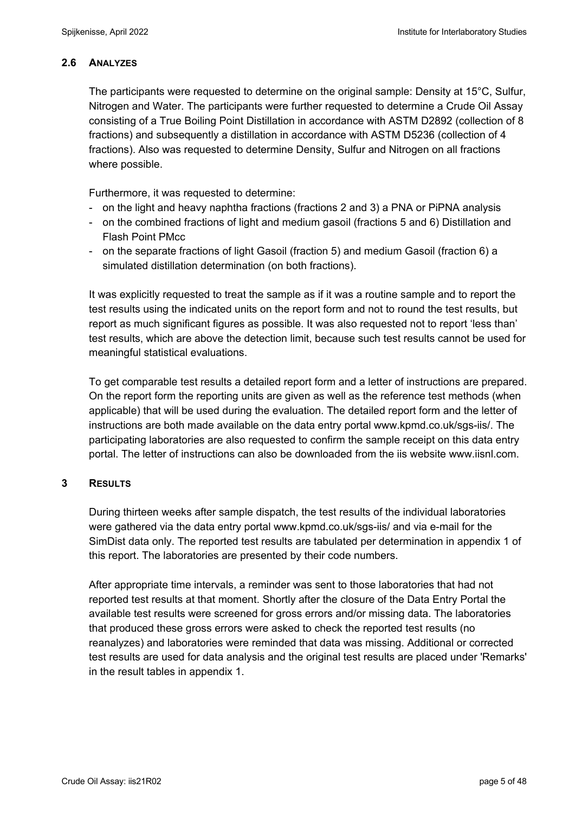### **2.6 ANALYZES**

The participants were requested to determine on the original sample: Density at 15°C, Sulfur, Nitrogen and Water. The participants were further requested to determine a Crude Oil Assay consisting of a True Boiling Point Distillation in accordance with ASTM D2892 (collection of 8 fractions) and subsequently a distillation in accordance with ASTM D5236 (collection of 4 fractions). Also was requested to determine Density, Sulfur and Nitrogen on all fractions where possible.

Furthermore, it was requested to determine:

- on the light and heavy naphtha fractions (fractions 2 and 3) a PNA or PiPNA analysis
- on the combined fractions of light and medium gasoil (fractions 5 and 6) Distillation and Flash Point PMcc
- on the separate fractions of light Gasoil (fraction 5) and medium Gasoil (fraction 6) a simulated distillation determination (on both fractions).

It was explicitly requested to treat the sample as if it was a routine sample and to report the test results using the indicated units on the report form and not to round the test results, but report as much significant figures as possible. It was also requested not to report 'less than' test results, which are above the detection limit, because such test results cannot be used for meaningful statistical evaluations.

To get comparable test results a detailed report form and a letter of instructions are prepared. On the report form the reporting units are given as well as the reference test methods (when applicable) that will be used during the evaluation. The detailed report form and the letter of instructions are both made available on the data entry portal www.kpmd.co.uk/sgs-iis/. The participating laboratories are also requested to confirm the sample receipt on this data entry portal. The letter of instructions can also be downloaded from the iis website www.iisnl.com.

#### **3 RESULTS**

During thirteen weeks after sample dispatch, the test results of the individual laboratories were gathered via the data entry portal www.kpmd.co.uk/sgs-iis/ and via e-mail for the SimDist data only. The reported test results are tabulated per determination in appendix 1 of this report. The laboratories are presented by their code numbers.

After appropriate time intervals, a reminder was sent to those laboratories that had not reported test results at that moment. Shortly after the closure of the Data Entry Portal the available test results were screened for gross errors and/or missing data. The laboratories that produced these gross errors were asked to check the reported test results (no reanalyzes) and laboratories were reminded that data was missing. Additional or corrected test results are used for data analysis and the original test results are placed under 'Remarks' in the result tables in appendix 1.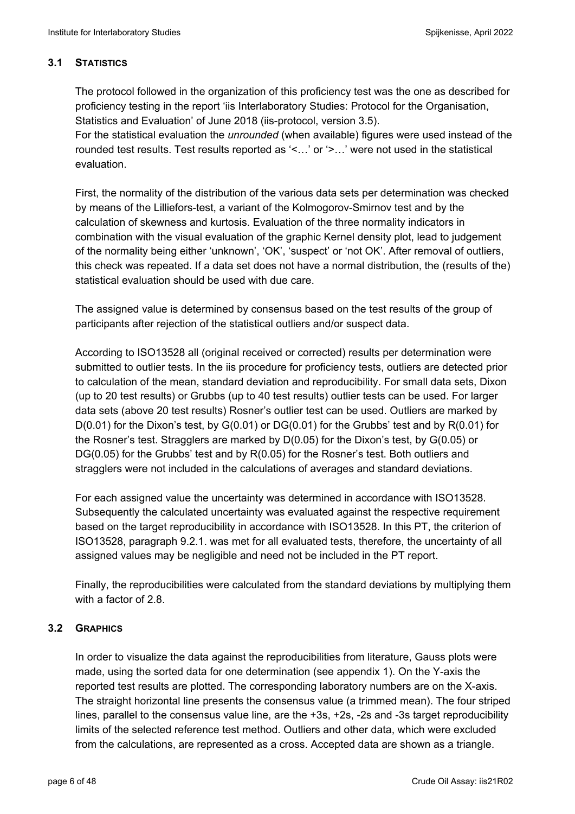## **3.1 STATISTICS**

The protocol followed in the organization of this proficiency test was the one as described for proficiency testing in the report 'iis Interlaboratory Studies: Protocol for the Organisation, Statistics and Evaluation' of June 2018 (iis-protocol, version 3.5).

For the statistical evaluation the *unrounded* (when available) figures were used instead of the rounded test results. Test results reported as '<…' or '>…' were not used in the statistical evaluation.

First, the normality of the distribution of the various data sets per determination was checked by means of the Lilliefors-test, a variant of the Kolmogorov-Smirnov test and by the calculation of skewness and kurtosis. Evaluation of the three normality indicators in combination with the visual evaluation of the graphic Kernel density plot, lead to judgement of the normality being either 'unknown', 'OK', 'suspect' or 'not OK'. After removal of outliers, this check was repeated. If a data set does not have a normal distribution, the (results of the) statistical evaluation should be used with due care.

The assigned value is determined by consensus based on the test results of the group of participants after rejection of the statistical outliers and/or suspect data.

According to ISO13528 all (original received or corrected) results per determination were submitted to outlier tests. In the iis procedure for proficiency tests, outliers are detected prior to calculation of the mean, standard deviation and reproducibility. For small data sets, Dixon (up to 20 test results) or Grubbs (up to 40 test results) outlier tests can be used. For larger data sets (above 20 test results) Rosner's outlier test can be used. Outliers are marked by  $D(0.01)$  for the Dixon's test, by  $G(0.01)$  or  $DG(0.01)$  for the Grubbs' test and by  $R(0.01)$  for the Rosner's test. Stragglers are marked by D(0.05) for the Dixon's test, by G(0.05) or DG(0.05) for the Grubbs' test and by R(0.05) for the Rosner's test. Both outliers and stragglers were not included in the calculations of averages and standard deviations.

For each assigned value the uncertainty was determined in accordance with ISO13528. Subsequently the calculated uncertainty was evaluated against the respective requirement based on the target reproducibility in accordance with ISO13528. In this PT, the criterion of ISO13528, paragraph 9.2.1. was met for all evaluated tests, therefore, the uncertainty of all assigned values may be negligible and need not be included in the PT report.

Finally, the reproducibilities were calculated from the standard deviations by multiplying them with a factor of 2.8.

# **3.2 GRAPHICS**

In order to visualize the data against the reproducibilities from literature, Gauss plots were made, using the sorted data for one determination (see appendix 1). On the Y-axis the reported test results are plotted. The corresponding laboratory numbers are on the X-axis. The straight horizontal line presents the consensus value (a trimmed mean). The four striped lines, parallel to the consensus value line, are the +3s, +2s, -2s and -3s target reproducibility limits of the selected reference test method. Outliers and other data, which were excluded from the calculations, are represented as a cross. Accepted data are shown as a triangle.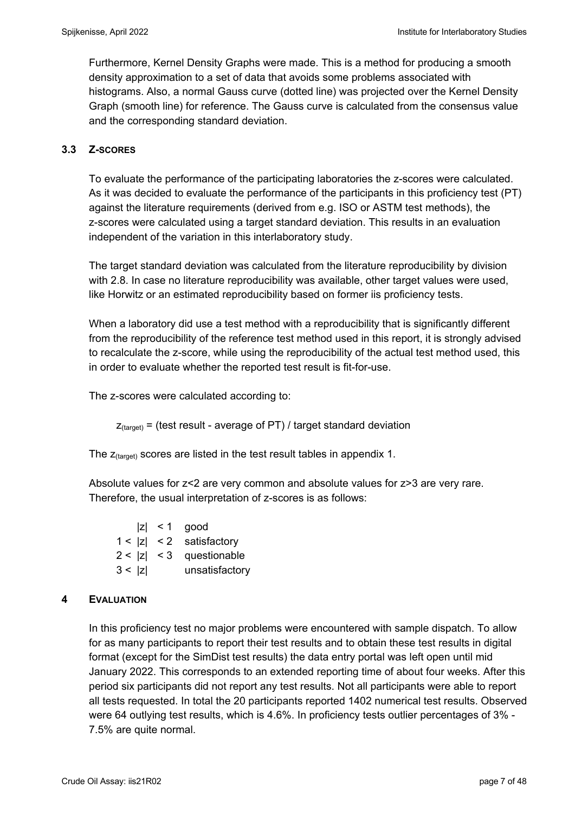Furthermore, Kernel Density Graphs were made. This is a method for producing a smooth density approximation to a set of data that avoids some problems associated with histograms. Also, a normal Gauss curve (dotted line) was projected over the Kernel Density Graph (smooth line) for reference. The Gauss curve is calculated from the consensus value and the corresponding standard deviation.

#### **3.3 Z-SCORES**

To evaluate the performance of the participating laboratories the z-scores were calculated. As it was decided to evaluate the performance of the participants in this proficiency test (PT) against the literature requirements (derived from e.g. ISO or ASTM test methods), the z-scores were calculated using a target standard deviation. This results in an evaluation independent of the variation in this interlaboratory study.

The target standard deviation was calculated from the literature reproducibility by division with 2.8. In case no literature reproducibility was available, other target values were used, like Horwitz or an estimated reproducibility based on former iis proficiency tests.

When a laboratory did use a test method with a reproducibility that is significantly different from the reproducibility of the reference test method used in this report, it is strongly advised to recalculate the z-score, while using the reproducibility of the actual test method used, this in order to evaluate whether the reported test result is fit-for-use.

The z-scores were calculated according to:

 $Z_{\text{target}}$  = (test result - average of PT) / target standard deviation

The  $z_{\text{(target)}}$  scores are listed in the test result tables in appendix 1.

Absolute values for z<2 are very common and absolute values for z>3 are very rare. Therefore, the usual interpretation of z-scores is as follows:

 $|z|$  < 1 good 1 < |z| < 2 satisfactory 2 < |z| < 3 questionable 3 < |z| unsatisfactory

#### **4 EVALUATION**

In this proficiency test no major problems were encountered with sample dispatch. To allow for as many participants to report their test results and to obtain these test results in digital format (except for the SimDist test results) the data entry portal was left open until mid January 2022. This corresponds to an extended reporting time of about four weeks. After this period six participants did not report any test results. Not all participants were able to report all tests requested. In total the 20 participants reported 1402 numerical test results. Observed were 64 outlying test results, which is 4.6%. In proficiency tests outlier percentages of 3% - 7.5% are quite normal.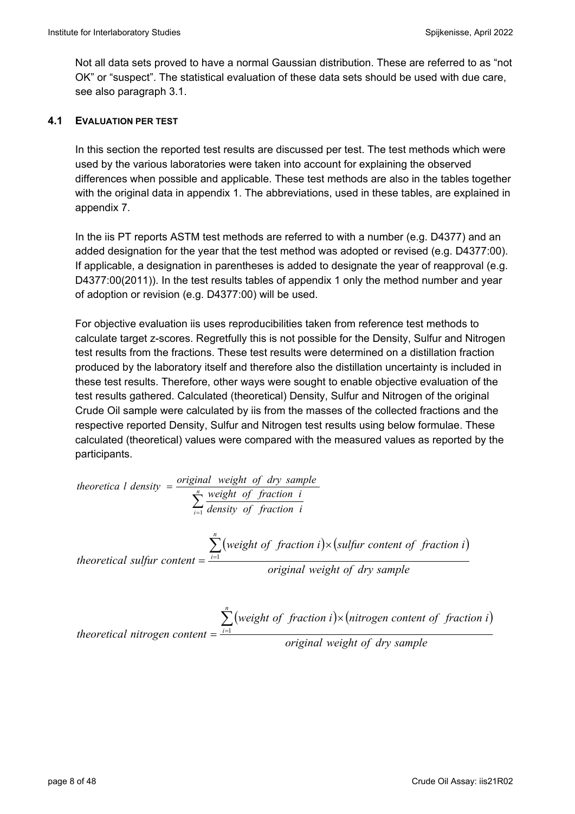Not all data sets proved to have a normal Gaussian distribution. These are referred to as "not OK" or "suspect". The statistical evaluation of these data sets should be used with due care, see also paragraph 3.1.

#### **4.1 EVALUATION PER TEST**

In this section the reported test results are discussed per test. The test methods which were used by the various laboratories were taken into account for explaining the observed differences when possible and applicable. These test methods are also in the tables together with the original data in appendix 1. The abbreviations, used in these tables, are explained in appendix 7.

In the iis PT reports ASTM test methods are referred to with a number (e.g. D4377) and an added designation for the year that the test method was adopted or revised (e.g. D4377:00). If applicable, a designation in parentheses is added to designate the year of reapproval (e.g. D4377:00(2011)). In the test results tables of appendix 1 only the method number and year of adoption or revision (e.g. D4377:00) will be used.

For objective evaluation iis uses reproducibilities taken from reference test methods to calculate target z-scores. Regretfully this is not possible for the Density, Sulfur and Nitrogen test results from the fractions. These test results were determined on a distillation fraction produced by the laboratory itself and therefore also the distillation uncertainty is included in these test results. Therefore, other ways were sought to enable objective evaluation of the test results gathered. Calculated (theoretical) Density, Sulfur and Nitrogen of the original Crude Oil sample were calculated by iis from the masses of the collected fractions and the respective reported Density, Sulfur and Nitrogen test results using below formulae. These calculated (theoretical) values were compared with the measured values as reported by the participants.

theoretical *density* = 
$$
\frac{\text{original weight of } dry \, sample}{\sum_{i=1}^{n} \text{density of fraction } i}
$$
\n
$$
\sum_{i=1}^{n} \frac{\text{weight of fraction } i}{\text{density of fraction } i}
$$
\ntheoretical sulfur content = 
$$
\frac{\sum_{i=1}^{n} (\text{weight of fraction } i) \times (\text{sulfur content of fraction } i)}{\text{original weight of dry sample}}
$$

*theoretical nitrogen content* = 
$$
\frac{\sum_{i=1}^{n} (weight of fraction i) \times (nitrogen content of fraction i)}{original weight of dry sample}
$$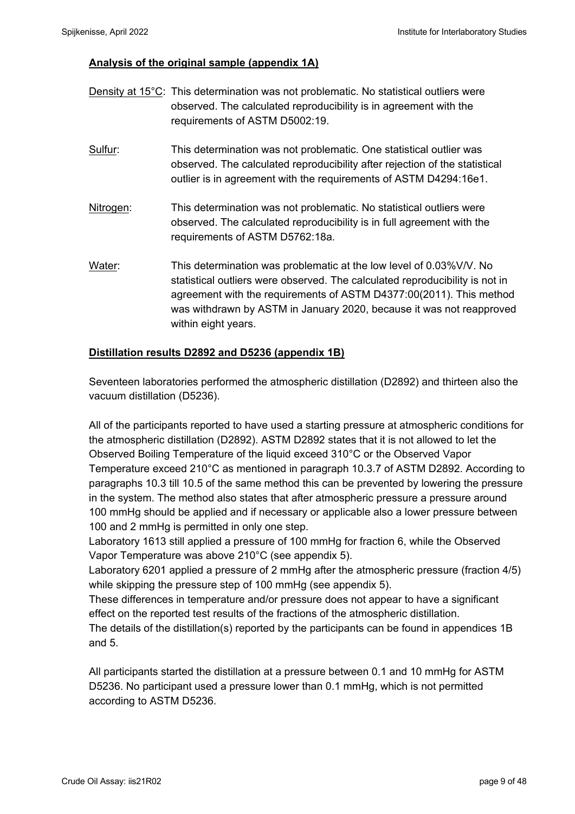### **Analysis of the original sample (appendix 1A)**

|           | Density at 15°C: This determination was not problematic. No statistical outliers were<br>observed. The calculated reproducibility is in agreement with the<br>requirements of ASTM D5002:19.                                                                                                                               |
|-----------|----------------------------------------------------------------------------------------------------------------------------------------------------------------------------------------------------------------------------------------------------------------------------------------------------------------------------|
| Sulfur:   | This determination was not problematic. One statistical outlier was<br>observed. The calculated reproducibility after rejection of the statistical<br>outlier is in agreement with the requirements of ASTM D4294:16e1.                                                                                                    |
| Nitrogen: | This determination was not problematic. No statistical outliers were<br>observed. The calculated reproducibility is in full agreement with the<br>requirements of ASTM D5762:18a.                                                                                                                                          |
| Water:    | This determination was problematic at the low level of 0.03% V/V. No<br>statistical outliers were observed. The calculated reproducibility is not in<br>agreement with the requirements of ASTM D4377:00(2011). This method<br>was withdrawn by ASTM in January 2020, because it was not reapproved<br>within eight years. |

#### **Distillation results D2892 and D5236 (appendix 1B)**

Seventeen laboratories performed the atmospheric distillation (D2892) and thirteen also the vacuum distillation (D5236).

All of the participants reported to have used a starting pressure at atmospheric conditions for the atmospheric distillation (D2892). ASTM D2892 states that it is not allowed to let the Observed Boiling Temperature of the liquid exceed 310°C or the Observed Vapor Temperature exceed 210°C as mentioned in paragraph 10.3.7 of ASTM D2892. According to paragraphs 10.3 till 10.5 of the same method this can be prevented by lowering the pressure in the system. The method also states that after atmospheric pressure a pressure around 100 mmHg should be applied and if necessary or applicable also a lower pressure between 100 and 2 mmHg is permitted in only one step.

Laboratory 1613 still applied a pressure of 100 mmHg for fraction 6, while the Observed Vapor Temperature was above 210°C (see appendix 5).

Laboratory 6201 applied a pressure of 2 mmHg after the atmospheric pressure (fraction 4/5) while skipping the pressure step of 100 mmHg (see appendix 5).

These differences in temperature and/or pressure does not appear to have a significant effect on the reported test results of the fractions of the atmospheric distillation.

The details of the distillation(s) reported by the participants can be found in appendices 1B and 5.

All participants started the distillation at a pressure between 0.1 and 10 mmHg for ASTM D5236. No participant used a pressure lower than 0.1 mmHg, which is not permitted according to ASTM D5236.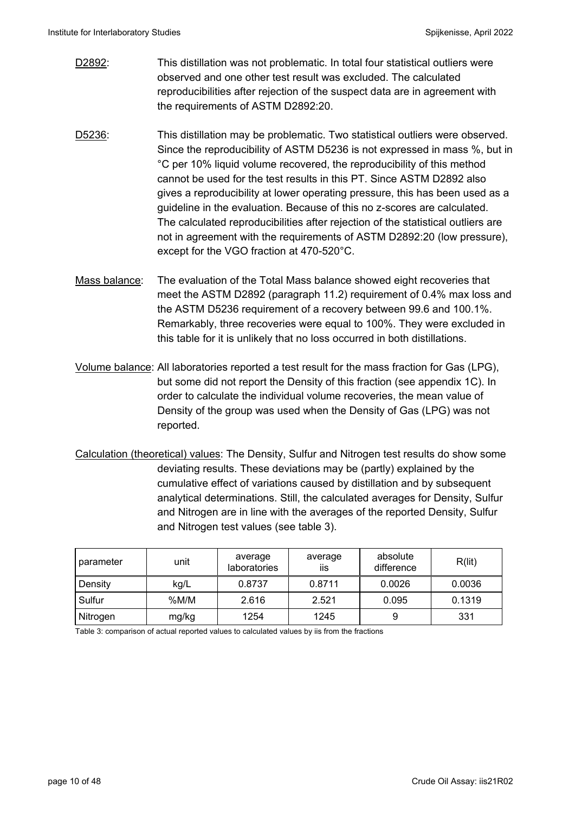- D2892: This distillation was not problematic. In total four statistical outliers were observed and one other test result was excluded. The calculated reproducibilities after rejection of the suspect data are in agreement with the requirements of ASTM D2892:20.
- D5236: This distillation may be problematic. Two statistical outliers were observed. Since the reproducibility of ASTM D5236 is not expressed in mass %, but in °C per 10% liquid volume recovered, the reproducibility of this method cannot be used for the test results in this PT. Since ASTM D2892 also gives a reproducibility at lower operating pressure, this has been used as a guideline in the evaluation. Because of this no z-scores are calculated. The calculated reproducibilities after rejection of the statistical outliers are not in agreement with the requirements of ASTM D2892:20 (low pressure), except for the VGO fraction at 470-520°C.
- Mass balance: The evaluation of the Total Mass balance showed eight recoveries that meet the ASTM D2892 (paragraph 11.2) requirement of 0.4% max loss and the ASTM D5236 requirement of a recovery between 99.6 and 100.1%. Remarkably, three recoveries were equal to 100%. They were excluded in this table for it is unlikely that no loss occurred in both distillations.
- Volume balance: All laboratories reported a test result for the mass fraction for Gas (LPG), but some did not report the Density of this fraction (see appendix 1C). In order to calculate the individual volume recoveries, the mean value of Density of the group was used when the Density of Gas (LPG) was not reported.
- Calculation (theoretical) values: The Density, Sulfur and Nitrogen test results do show some deviating results. These deviations may be (partly) explained by the cumulative effect of variations caused by distillation and by subsequent analytical determinations. Still, the calculated averages for Density, Sulfur and Nitrogen are in line with the averages of the reported Density, Sulfur and Nitrogen test values (see table 3).

| parameter | unit  | average<br>laboratories | average<br>iis | absolute<br>difference | R(lit) |
|-----------|-------|-------------------------|----------------|------------------------|--------|
| Density   | kg/L  | 0.8737                  | 0.8711         | 0.0026                 | 0.0036 |
| Sulfur    | %M/M  | 2.616                   | 2.521          | 0.095                  | 0.1319 |
| Nitrogen  | mg/kg | 1254                    | 1245           | 9                      | 331    |

Table 3: comparison of actual reported values to calculated values by iis from the fractions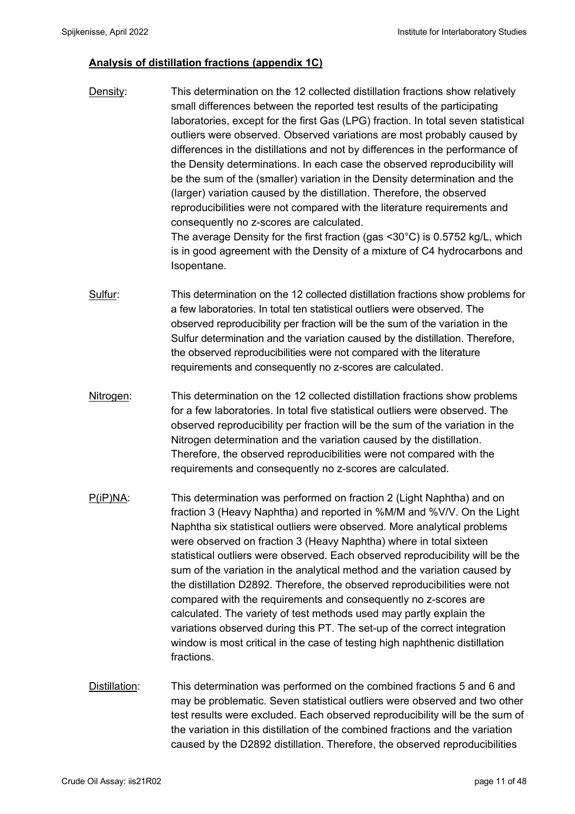### **Analysis of distillation fractions (appendix 1C)**

- Density: This determination on the 12 collected distillation fractions show relatively small differences between the reported test results of the participating laboratories, except for the first Gas (LPG) fraction. In total seven statistical outliers were observed. Observed variations are most probably caused by differences in the distillations and not by differences in the performance of the Density determinations. In each case the observed reproducibility will be the sum of the (smaller) variation in the Density determination and the (larger) variation caused by the distillation. Therefore, the observed reproducibilities were not compared with the literature requirements and consequently no z-scores are calculated. The average Density for the first fraction (gas <30°C) is 0.5752 kg/L, which is in good agreement with the Density of a mixture of C4 hydrocarbons and Isopentane.
- Sulfur: This determination on the 12 collected distillation fractions show problems for a few laboratories. In total ten statistical outliers were observed. The observed reproducibility per fraction will be the sum of the variation in the Sulfur determination and the variation caused by the distillation. Therefore, the observed reproducibilities were not compared with the literature requirements and consequently no z-scores are calculated.
- Nitrogen: This determination on the 12 collected distillation fractions show problems for a few laboratories. In total five statistical outliers were observed. The observed reproducibility per fraction will be the sum of the variation in the Nitrogen determination and the variation caused by the distillation. Therefore, the observed reproducibilities were not compared with the requirements and consequently no z-scores are calculated.
- P(iP)NA: This determination was performed on fraction 2 (Light Naphtha) and on fraction 3 (Heavy Naphtha) and reported in %M/M and %V/V. On the Light Naphtha six statistical outliers were observed. More analytical problems were observed on fraction 3 (Heavy Naphtha) where in total sixteen statistical outliers were observed. Each observed reproducibility will be the sum of the variation in the analytical method and the variation caused by the distillation D2892. Therefore, the observed reproducibilities were not compared with the requirements and consequently no z-scores are calculated. The variety of test methods used may partly explain the variations observed during this PT. The set-up of the correct integration window is most critical in the case of testing high naphthenic distillation fractions.
- Distillation: This determination was performed on the combined fractions 5 and 6 and may be problematic. Seven statistical outliers were observed and two other test results were excluded. Each observed reproducibility will be the sum of the variation in this distillation of the combined fractions and the variation caused by the D2892 distillation. Therefore, the observed reproducibilities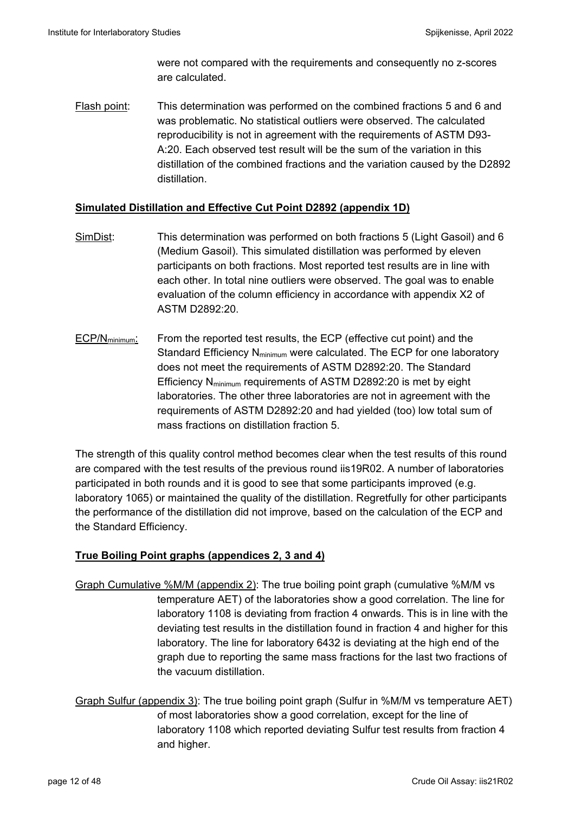were not compared with the requirements and consequently no z-scores are calculated.

Flash point: This determination was performed on the combined fractions 5 and 6 and was problematic. No statistical outliers were observed. The calculated reproducibility is not in agreement with the requirements of ASTM D93- A:20. Each observed test result will be the sum of the variation in this distillation of the combined fractions and the variation caused by the D2892 distillation.

### **Simulated Distillation and Effective Cut Point D2892 (appendix 1D)**

- SimDist: This determination was performed on both fractions 5 (Light Gasoil) and 6 (Medium Gasoil). This simulated distillation was performed by eleven participants on both fractions. Most reported test results are in line with each other. In total nine outliers were observed. The goal was to enable evaluation of the column efficiency in accordance with appendix X2 of ASTM D2892:20.
- $ECP/N_{\text{minimum}}$ : From the reported test results, the ECP (effective cut point) and the Standard Efficiency  $N_{\text{minimum}}$  were calculated. The ECP for one laboratory does not meet the requirements of ASTM D2892:20. The Standard Efficiency Nminimum requirements of ASTM D2892:20 is met by eight laboratories. The other three laboratories are not in agreement with the requirements of ASTM D2892:20 and had yielded (too) low total sum of mass fractions on distillation fraction 5.

The strength of this quality control method becomes clear when the test results of this round are compared with the test results of the previous round iis19R02. A number of laboratories participated in both rounds and it is good to see that some participants improved (e.g. laboratory 1065) or maintained the quality of the distillation. Regretfully for other participants the performance of the distillation did not improve, based on the calculation of the ECP and the Standard Efficiency.

### **True Boiling Point graphs (appendices 2, 3 and 4)**

- Graph Cumulative %M/M (appendix 2): The true boiling point graph (cumulative %M/M vs temperature AET) of the laboratories show a good correlation. The line for laboratory 1108 is deviating from fraction 4 onwards. This is in line with the deviating test results in the distillation found in fraction 4 and higher for this laboratory. The line for laboratory 6432 is deviating at the high end of the graph due to reporting the same mass fractions for the last two fractions of the vacuum distillation.
- Graph Sulfur (appendix 3): The true boiling point graph (Sulfur in %M/M vs temperature AET) of most laboratories show a good correlation, except for the line of laboratory 1108 which reported deviating Sulfur test results from fraction 4 and higher.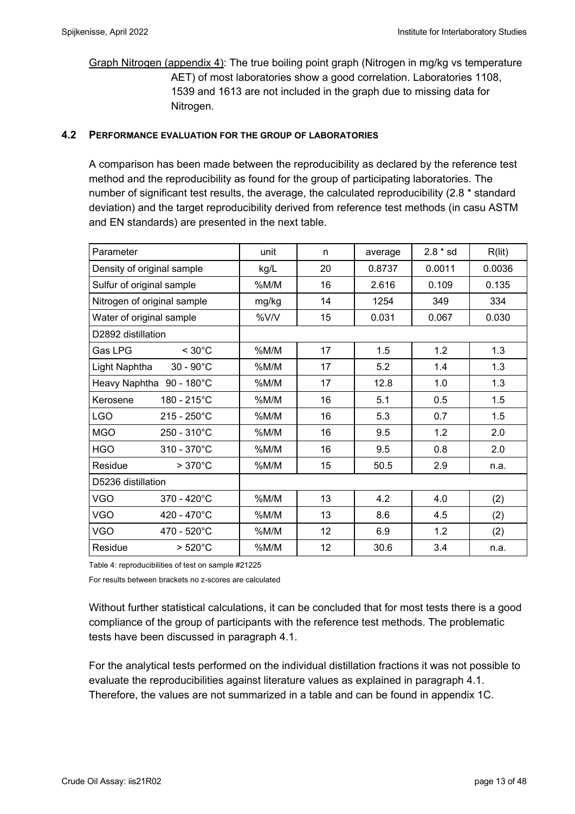Graph Nitrogen (appendix 4): The true boiling point graph (Nitrogen in mg/kg vs temperature AET) of most laboratories show a good correlation. Laboratories 1108, 1539 and 1613 are not included in the graph due to missing data for Nitrogen.

#### **4.2 PERFORMANCE EVALUATION FOR THE GROUP OF LABORATORIES**

A comparison has been made between the reproducibility as declared by the reference test method and the reproducibility as found for the group of participating laboratories. The number of significant test results, the average, the calculated reproducibility (2.8 \* standard deviation) and the target reproducibility derived from reference test methods (in casu ASTM and EN standards) are presented in the next table.

| Parameter                           | unit  | n  | average | $2.8 * sd$ | R(lit) |
|-------------------------------------|-------|----|---------|------------|--------|
| Density of original sample          | kg/L  | 20 | 0.8737  | 0.0011     | 0.0036 |
| Sulfur of original sample           | %M/M  | 16 | 2.616   | 0.109      | 0.135  |
| Nitrogen of original sample         | mg/kg | 14 | 1254    | 349        | 334    |
| Water of original sample            | %V/V  | 15 | 0.031   | 0.067      | 0.030  |
| D2892 distillation                  |       |    |         |            |        |
| $< 30^{\circ}$ C<br>Gas LPG         | %M/M  | 17 | 1.5     | 1.2        | 1.3    |
| Light Naphtha<br>$30 - 90^{\circ}C$ | %M/M  | 17 | 5.2     | 1.4        | 1.3    |
| Heavy Naphtha 90 - 180°C            | %M/M  | 17 | 12.8    | 1.0        | 1.3    |
| 180 - 215°C<br>Kerosene             | %M/M  | 16 | 5.1     | 0.5        | 1.5    |
| <b>LGO</b><br>$215 - 250^{\circ}C$  | %M/M  | 16 | 5.3     | 0.7        | 1.5    |
| <b>MGO</b><br>250 - 310°C           | %M/M  | 16 | 9.5     | 1.2        | 2.0    |
| <b>HGO</b><br>310 - 370°C           | %M/M  | 16 | 9.5     | 0.8        | 2.0    |
| $>370^{\circ}$ C<br>Residue         | %M/M  | 15 | 50.5    | 2.9        | n.a.   |
| D5236 distillation                  |       |    |         |            |        |
| <b>VGO</b><br>370 - 420°C           | %M/M  | 13 | 4.2     | 4.0        | (2)    |
| <b>VGO</b><br>420 - 470°C           | %M/M  | 13 | 8.6     | 4.5        | (2)    |
| <b>VGO</b><br>470 - 520°C           | %M/M  | 12 | 6.9     | 1.2        | (2)    |
| Residue<br>$>520^{\circ}$ C         | %M/M  | 12 | 30.6    | 3.4        | n.a.   |

Table 4: reproducibilities of test on sample #21225

For results between brackets no z-scores are calculated

Without further statistical calculations, it can be concluded that for most tests there is a good compliance of the group of participants with the reference test methods. The problematic tests have been discussed in paragraph 4.1.

For the analytical tests performed on the individual distillation fractions it was not possible to evaluate the reproducibilities against literature values as explained in paragraph 4.1. Therefore, the values are not summarized in a table and can be found in appendix 1C.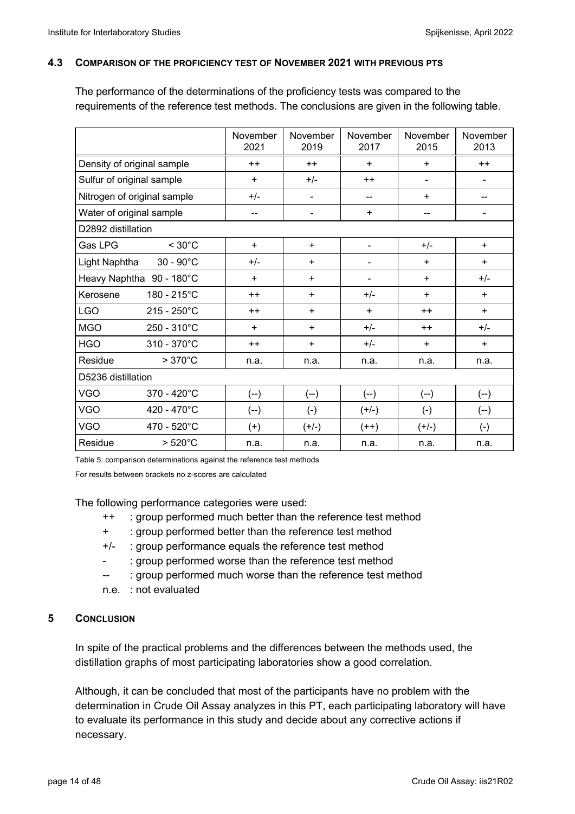#### **4.3 COMPARISON OF THE PROFICIENCY TEST OF NOVEMBER 2021 WITH PREVIOUS PTS**

The performance of the determinations of the proficiency tests was compared to the requirements of the reference test methods. The conclusions are given in the following table.

|                             |                       | November<br>2021 | November<br>2019 | November<br>2017             | November<br>2015         | November<br>2013         |
|-----------------------------|-----------------------|------------------|------------------|------------------------------|--------------------------|--------------------------|
| Density of original sample  |                       | $++$             | $++$             | $+$                          | $+$                      | $++$                     |
| Sulfur of original sample   |                       | $+$              | $+/-$            | $++$                         | ۰                        |                          |
| Nitrogen of original sample |                       | $+/-$            | $\blacksquare$   | $\overline{\phantom{a}}$     | $\ddot{}$                | --                       |
| Water of original sample    |                       | --               | $\blacksquare$   | $\ddot{}$                    | $\overline{\phantom{a}}$ | $\overline{\phantom{a}}$ |
| D2892 distillation          |                       |                  |                  |                              |                          |                          |
| Gas LPG                     | $< 30^{\circ}$ C      | $\ddot{}$        | $\ddot{}$        | $\blacksquare$               | $+/-$                    | $+$                      |
| Light Naphtha               | $30 - 90^{\circ}C$    | $+/-$            | $\ddot{}$        | $\qquad \qquad \blacksquare$ | $\ddot{}$                | $\ddot{}$                |
| Heavy Naphtha 90 - 180°C    |                       | $\ddot{}$        | $\ddot{}$        | $\blacksquare$               | $\ddot{}$                | $+/-$                    |
| Kerosene                    | 180 - 215°C           | $++$             | $+$              | $+/-$                        | $+$                      | $+$                      |
| <b>LGO</b>                  | $215 - 250^{\circ}$ C | $++$             | $\ddot{}$        | $\ddot{}$                    | $++$                     | $\ddot{}$                |
| <b>MGO</b>                  | $250 - 310^{\circ}$ C | $\ddot{}$        | ÷                | $+/-$                        | $++$                     | $+/-$                    |
| <b>HGO</b>                  | $310 - 370^{\circ}$ C | $++$             | $+$              | $+/-$                        | $+$                      | $+$                      |
| Residue                     | $>370^{\circ}$ C      | n.a.             | n.a.             | n.a.                         | n.a.                     | n.a.                     |
| D5236 distillation          |                       |                  |                  |                              |                          |                          |
| <b>VGO</b>                  | 370 - 420°C           | $(-)$            | $(-)$            | $(-)$                        | $(-)$                    | $(-)$                    |
| <b>VGO</b>                  | 420 - 470°C           | $(-)$            | $(-)$            | $(+/-)$                      | $(-)$                    | $(-)$                    |
| <b>VGO</b>                  | 470 - 520°C           | $(+)$            | $(+/-)$          | $(++)$                       | $(+/-)$                  | $(-)$                    |
| Residue                     | $>520^{\circ}$ C      | n.a.             | n.a.             | n.a.                         | n.a.                     | n.a.                     |

Table 5: comparison determinations against the reference test methods

For results between brackets no z-scores are calculated

The following performance categories were used:

- ++ : group performed much better than the reference test method
- + : group performed better than the reference test method
- +/- : group performance equals the reference test method
- : group performed worse than the reference test method
- -- : group performed much worse than the reference test method
- n.e. : not evaluated

### **5 CONCLUSION**

In spite of the practical problems and the differences between the methods used, the distillation graphs of most participating laboratories show a good correlation.

Although, it can be concluded that most of the participants have no problem with the determination in Crude Oil Assay analyzes in this PT, each participating laboratory will have to evaluate its performance in this study and decide about any corrective actions if necessary.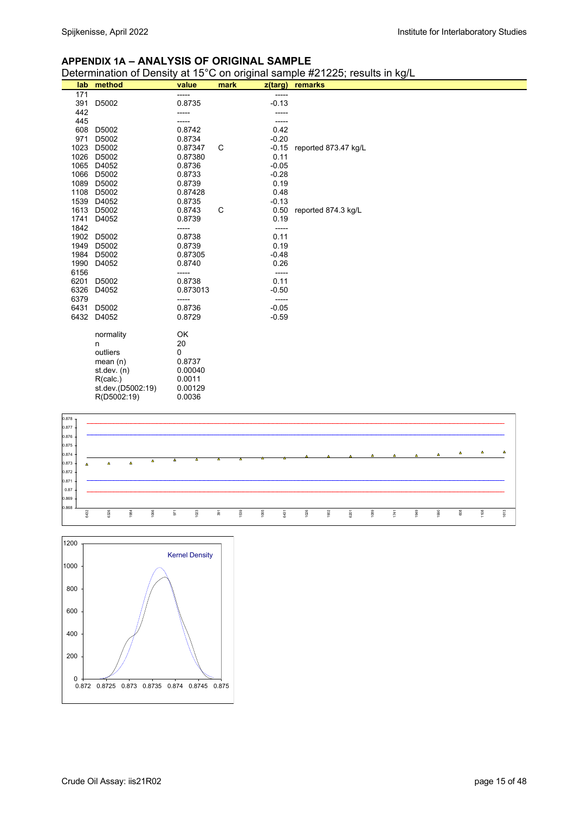#### **APPENDIX 1A – ANALYSIS OF ORIGINAL SAMPLE**

Determination of Density at 15°C on original sample #21225; results in kg/L

| lab          | method            | value            | mark | z(targ)            | remarks              |
|--------------|-------------------|------------------|------|--------------------|----------------------|
| 171          |                   |                  |      | -----              |                      |
| 391          | D5002             | 0.8735           |      | $-0.13$            |                      |
| 442          |                   |                  |      |                    |                      |
| 445          |                   |                  |      |                    |                      |
| 608          | D5002             | 0.8742           |      | 0.42               |                      |
| 971          | D5002             | 0.8734           |      | $-0.20$            |                      |
| 1023         | D5002             | 0.87347          | С    | $-0.15$            | reported 873.47 kg/L |
| 1026         | D5002             | 0.87380          |      | 0.11               |                      |
| 1065         | D4052             | 0.8736           |      | $-0.05$            |                      |
| 1066         | D5002             | 0.8733           |      | $-0.28$            |                      |
| 1089         | D5002             | 0.8739           |      | 0.19               |                      |
| 1108         | D5002             | 0.87428          |      | 0.48               |                      |
| 1539         | D4052             | 0.8735           |      | $-0.13$            |                      |
| 1613         | D5002             | 0.8743           | C    | 0.50               | reported 874.3 kg/L  |
| 1741         | D4052             | 0.8739           |      | 0.19               |                      |
| 1842         |                   |                  |      | -----              |                      |
| 1902         | D5002             | 0.8738           |      | 0.11               |                      |
| 1949         | D5002             | 0.8739           |      | 0.19               |                      |
| 1984         | D5002             | 0.87305          |      | $-0.48$            |                      |
| 1990         | D4052             | 0.8740           |      | 0.26               |                      |
| 6156         |                   |                  |      | -----              |                      |
| 6201         | D5002             | 0.8738           |      | 0.11               |                      |
| 6326         | D4052             | 0.873013         |      | $-0.50$            |                      |
| 6379         |                   |                  |      |                    |                      |
| 6431<br>6432 | D5002<br>D4052    | 0.8736<br>0.8729 |      | $-0.05$<br>$-0.59$ |                      |
|              |                   |                  |      |                    |                      |
|              | normality         | OK               |      |                    |                      |
|              | n                 | 20               |      |                    |                      |
|              | outliers          | 0                |      |                    |                      |
|              | mean $(n)$        | 0.8737           |      |                    |                      |
|              | st. dev. (n)      | 0.00040          |      |                    |                      |
|              | R(calc.)          | 0.0011           |      |                    |                      |
|              | st.dev.(D5002:19) | 0.00129          |      |                    |                      |
|              | R(D5002:19)       | 0.0036           |      |                    |                      |



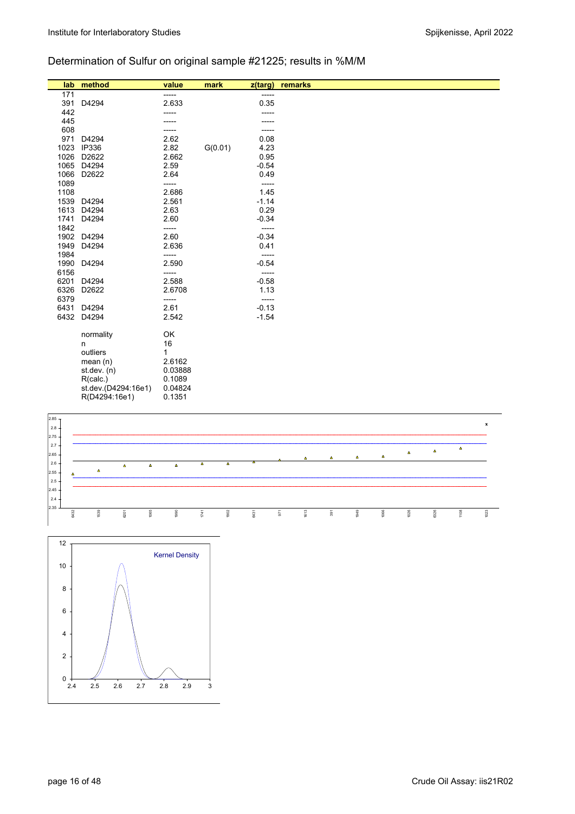## Determination of Sulfur on original sample #21225; results in %M/M

| lab  | method              | value   | mark    | z(targ) | remarks |
|------|---------------------|---------|---------|---------|---------|
| 171  |                     | -----   |         | -----   |         |
| 391  | D4294               | 2.633   |         | 0.35    |         |
| 442  |                     |         |         |         |         |
| 445  |                     |         |         |         |         |
| 608  |                     |         |         |         |         |
| 971  | D4294               | 2.62    |         | 0.08    |         |
| 1023 | IP336               | 2.82    | G(0.01) | 4.23    |         |
| 1026 | D2622               | 2.662   |         | 0.95    |         |
| 1065 | D4294               | 2.59    |         | $-0.54$ |         |
| 1066 | D2622               | 2.64    |         | 0.49    |         |
| 1089 |                     | -----   |         | -----   |         |
| 1108 |                     | 2.686   |         | 1.45    |         |
| 1539 | D4294               | 2.561   |         | $-1.14$ |         |
| 1613 | D4294               | 2.63    |         | 0.29    |         |
| 1741 | D4294               | 2.60    |         | $-0.34$ |         |
| 1842 |                     | -----   |         | -----   |         |
| 1902 | D4294               | 2.60    |         | $-0.34$ |         |
| 1949 | D4294               | 2.636   |         | 0.41    |         |
| 1984 |                     | -----   |         | -----   |         |
| 1990 | D4294               | 2.590   |         | $-0.54$ |         |
| 6156 |                     | -----   |         | -----   |         |
| 6201 | D4294               | 2.588   |         | $-0.58$ |         |
| 6326 | D2622               | 2.6708  |         | 1.13    |         |
| 6379 |                     | -----   |         | -----   |         |
| 6431 | D4294               | 2.61    |         | $-0.13$ |         |
| 6432 | D4294               | 2.542   |         | $-1.54$ |         |
|      | normality           | OK      |         |         |         |
|      | n                   | 16      |         |         |         |
|      | outliers            | 1       |         |         |         |
|      | mean $(n)$          | 2.6162  |         |         |         |
|      | st. dev. (n)        | 0.03888 |         |         |         |
|      | R(calc.)            | 0.1089  |         |         |         |
|      | st.dev.(D4294:16e1) | 0.04824 |         |         |         |
|      | R(D4294:16e1)       | 0.1351  |         |         |         |



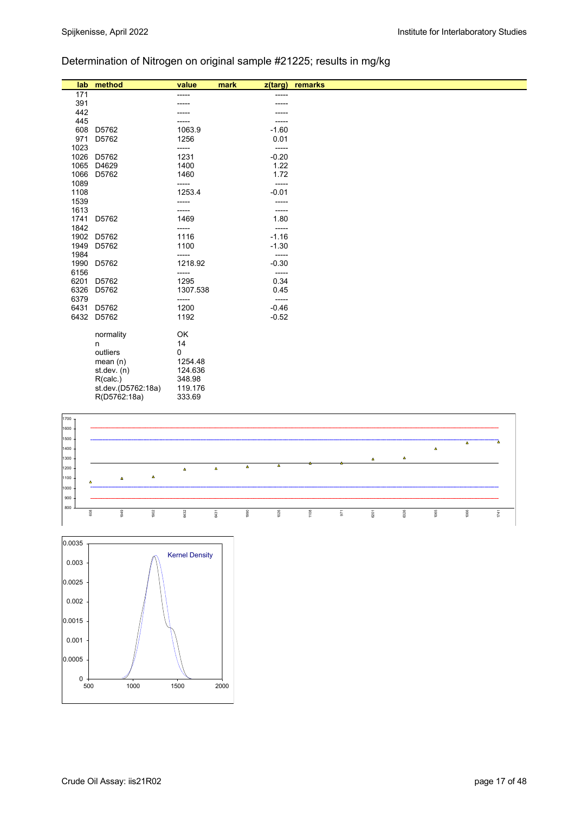# Determination of Nitrogen on original sample #21225; results in mg/kg

| lab          | method             | value         | mark<br>z(targ) | remarks |
|--------------|--------------------|---------------|-----------------|---------|
| 171          |                    | ----          | -----           |         |
| 391          |                    |               |                 |         |
| 442          |                    |               |                 |         |
| 445          |                    |               |                 |         |
| 608          | D5762              | 1063.9        | $-1.60$         |         |
| 971          | D5762              | 1256          | 0.01            |         |
| 1023         |                    | -----         | -----           |         |
| 1026         | D5762              | 1231          | $-0.20$         |         |
| 1065         | D4629              | 1400          | 1.22            |         |
| 1066         | D5762              | 1460          | 1.72            |         |
| 1089         |                    | -----         | -----           |         |
| 1108         |                    | 1253.4        | $-0.01$         |         |
| 1539         |                    | -----         | -----           |         |
| 1613         |                    | -----         | -----           |         |
| 1741         | D5762              | 1469          | 1.80            |         |
| 1842         |                    | -----         | -----           |         |
| 1902         | D5762              | 1116          | $-1.16$         |         |
| 1949         | D5762              | 1100          | $-1.30$         |         |
| 1984         |                    | -----         | -----           |         |
| 1990         | D5762              | 1218.92       | $-0.30$         |         |
| 6156<br>6201 | D5762              | -----<br>1295 | -----<br>0.34   |         |
| 6326         | D5762              | 1307.538      | 0.45            |         |
| 6379         |                    | -----         | -----           |         |
| 6431         | D5762              | 1200          | $-0.46$         |         |
| 6432         | D5762              | 1192          | $-0.52$         |         |
|              |                    |               |                 |         |
|              | normality          | OK            |                 |         |
|              | n                  | 14            |                 |         |
|              | outliers           | 0             |                 |         |
|              | mean $(n)$         | 1254.48       |                 |         |
|              | st.dev. $(n)$      | 124.636       |                 |         |
|              | R(calc.)           | 348.98        |                 |         |
|              | st.dev.(D5762:18a) | 119.176       |                 |         |
|              | R(D5762:18a)       | 333.69        |                 |         |



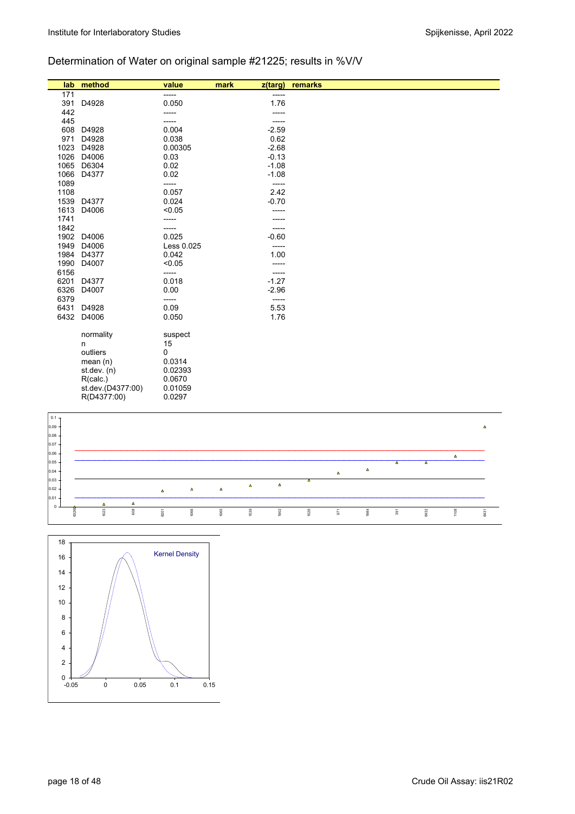## Determination of Water on original sample #21225; results in %V/V

| 171<br>-----<br>-----<br>0.050<br>1.76<br>391<br>D4928<br>442<br>445<br>608<br>0.004<br>$-2.59$<br>D4928<br>0.62<br>971<br>D4928<br>0.038<br>1023<br>D4928<br>0.00305<br>$-2.68$<br>1026<br>$-0.13$<br>D4006<br>0.03<br>1065<br>$-1.08$<br>D6304<br>0.02<br>1066<br>0.02<br>D4377<br>$-1.08$<br>1089<br>-----<br>-----<br>2.42<br>1108<br>0.057<br>$-0.70$<br>0.024<br>1539<br>D4377<br>1613<br>D4006<br>< 0.05<br>1741<br>1842<br>-----<br>$-0.60$<br>1902<br>0.025<br>D4006<br>1949<br>D4006<br>Less 0.025<br>-----<br>1.00<br>1984<br>D4377<br>0.042 |
|---------------------------------------------------------------------------------------------------------------------------------------------------------------------------------------------------------------------------------------------------------------------------------------------------------------------------------------------------------------------------------------------------------------------------------------------------------------------------------------------------------------------------------------------------------|
|                                                                                                                                                                                                                                                                                                                                                                                                                                                                                                                                                         |
|                                                                                                                                                                                                                                                                                                                                                                                                                                                                                                                                                         |
|                                                                                                                                                                                                                                                                                                                                                                                                                                                                                                                                                         |
|                                                                                                                                                                                                                                                                                                                                                                                                                                                                                                                                                         |
|                                                                                                                                                                                                                                                                                                                                                                                                                                                                                                                                                         |
|                                                                                                                                                                                                                                                                                                                                                                                                                                                                                                                                                         |
|                                                                                                                                                                                                                                                                                                                                                                                                                                                                                                                                                         |
|                                                                                                                                                                                                                                                                                                                                                                                                                                                                                                                                                         |
|                                                                                                                                                                                                                                                                                                                                                                                                                                                                                                                                                         |
|                                                                                                                                                                                                                                                                                                                                                                                                                                                                                                                                                         |
|                                                                                                                                                                                                                                                                                                                                                                                                                                                                                                                                                         |
|                                                                                                                                                                                                                                                                                                                                                                                                                                                                                                                                                         |
|                                                                                                                                                                                                                                                                                                                                                                                                                                                                                                                                                         |
|                                                                                                                                                                                                                                                                                                                                                                                                                                                                                                                                                         |
|                                                                                                                                                                                                                                                                                                                                                                                                                                                                                                                                                         |
|                                                                                                                                                                                                                                                                                                                                                                                                                                                                                                                                                         |
|                                                                                                                                                                                                                                                                                                                                                                                                                                                                                                                                                         |
|                                                                                                                                                                                                                                                                                                                                                                                                                                                                                                                                                         |
|                                                                                                                                                                                                                                                                                                                                                                                                                                                                                                                                                         |
| 1990<br>D4007<br>< 0.05<br>-----                                                                                                                                                                                                                                                                                                                                                                                                                                                                                                                        |
| 6156<br>-----<br>-----                                                                                                                                                                                                                                                                                                                                                                                                                                                                                                                                  |
| 6201<br>0.018<br>$-1.27$<br>D4377                                                                                                                                                                                                                                                                                                                                                                                                                                                                                                                       |
| 6326<br>$-2.96$<br>0.00<br>D4007                                                                                                                                                                                                                                                                                                                                                                                                                                                                                                                        |
| 6379<br>-----<br>-----                                                                                                                                                                                                                                                                                                                                                                                                                                                                                                                                  |
| 0.09<br>5.53<br>6431<br>D4928                                                                                                                                                                                                                                                                                                                                                                                                                                                                                                                           |
| 6432<br>1.76<br>D4006<br>0.050                                                                                                                                                                                                                                                                                                                                                                                                                                                                                                                          |
|                                                                                                                                                                                                                                                                                                                                                                                                                                                                                                                                                         |
| normality<br>suspect                                                                                                                                                                                                                                                                                                                                                                                                                                                                                                                                    |
| 15<br>n                                                                                                                                                                                                                                                                                                                                                                                                                                                                                                                                                 |
| outliers<br>0                                                                                                                                                                                                                                                                                                                                                                                                                                                                                                                                           |
| 0.0314<br>mean $(n)$                                                                                                                                                                                                                                                                                                                                                                                                                                                                                                                                    |
| 0.02393<br>st.dev. $(n)$                                                                                                                                                                                                                                                                                                                                                                                                                                                                                                                                |
| 0.0670<br>R(calc.)                                                                                                                                                                                                                                                                                                                                                                                                                                                                                                                                      |
| st.dev.(D4377:00)<br>0.01059                                                                                                                                                                                                                                                                                                                                                                                                                                                                                                                            |
| R(D4377:00)<br>0.0297                                                                                                                                                                                                                                                                                                                                                                                                                                                                                                                                   |



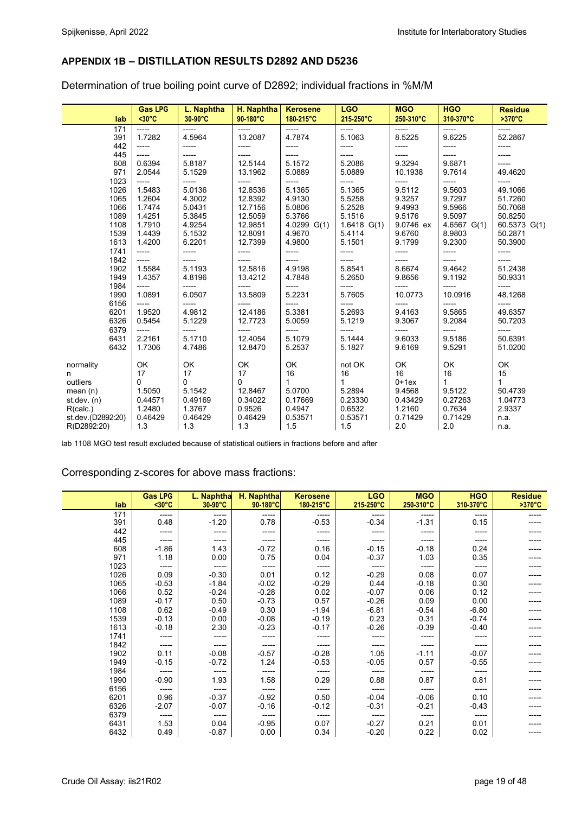### **APPENDIX 1B – DISTILLATION RESULTS D2892 AND D5236**

Determination of true boiling point curve of D2892; individual fractions in %M/M

| lab               | <b>Gas LPG</b><br>$30°C$ | L. Naphtha<br>30-90°C | H. Naphtha<br>90-180°C | <b>Kerosene</b><br>180-215°C | <b>LGO</b><br>215-250°C | <b>MGO</b><br>250-310°C | <b>HGO</b><br>310-370°C | <b>Residue</b><br>$>370^{\circ}$ C |
|-------------------|--------------------------|-----------------------|------------------------|------------------------------|-------------------------|-------------------------|-------------------------|------------------------------------|
| 171               | -----                    | -----                 | -----                  | -----                        | -----                   | -----                   | -----                   | -----                              |
| 391               | 1.7282                   | 4.5964                | 13.2087                | 4.7874                       | 5.1063                  | 8.5225                  | 9.6225                  | 52.2867                            |
| 442               | -----                    | -----                 | -----                  | -----                        | -----                   | -----                   | -----                   | -----                              |
| 445               | -----                    | -----                 | -----                  | -----                        | -----                   |                         | -----                   | -----                              |
| 608               | 0.6394                   | 5.8187                | 12.5144                | 5.1572                       | 5.2086                  | 9.3294                  | 9.6871                  | -----                              |
| 971               | 2.0544                   | 5.1529                | 13.1962                | 5.0889                       | 5.0889                  | 10.1938                 | 9.7614                  | 49.4620                            |
| 1023              | -----                    | -----                 | -----                  | -----                        | -----                   | -----                   | -----                   | -----                              |
| 1026              | 1.5483                   | 5.0136                | 12.8536                | 5.1365                       | 5.1365                  | 9.5112                  | 9.5603                  | 49.1066                            |
| 1065              | 1.2604                   | 4.3002                | 12.8392                | 4.9130                       | 5.5258                  | 9.3257                  | 9.7297                  | 51.7260                            |
| 1066              | 1.7474                   | 5.0431                | 12.7156                | 5.0806                       | 5.2528                  | 9.4993                  | 9.5966                  | 50.7068                            |
| 1089              | 1.4251                   | 5.3845                | 12.5059                | 5.3766                       | 5.1516                  | 9.5176                  | 9.5097                  | 50.8250                            |
| 1108              | 1.7910                   | 4.9254                | 12.9851                | 4.0299 G(1)                  | $1.6418$ G(1)           | 9.0746 ex               | $4.6567$ G(1)           | 60.5373 G(1)                       |
| 1539              | 1.4439                   | 5.1532                | 12.8091                | 4.9670                       | 5.4114                  | 9.6760                  | 8.9803                  | 50.2871                            |
| 1613              | 1.4200                   | 6.2201                | 12.7399                | 4.9800                       | 5.1501                  | 9.1799                  | 9.2300                  | 50.3900                            |
| 1741              | -----                    | -----                 | -----                  | -----                        | -----                   | ------                  | -----                   | -----                              |
| 1842              | -----                    | -----                 |                        | -----                        | -----                   |                         | -----                   | -----                              |
| 1902              | 1.5584                   | 5.1193                | 12.5816                | 4.9198                       | 5.8541                  | 8.6674                  | 9.4642                  | 51.2438                            |
| 1949              | 1.4357                   | 4.8196                | 13.4212                | 4.7848                       | 5.2650                  | 9.8656                  | 9.1192                  | 50.9331                            |
| 1984              | -----                    | -----                 | -----                  | -----                        | -----                   | -----                   | -----                   | -----                              |
| 1990              | 1.0891                   | 6.0507                | 13.5809                | 5.2231                       | 5.7605                  | 10.0773                 | 10.0916                 | 48.1268                            |
| 6156              | -----                    | -----                 |                        | -----                        | -----                   | -----                   | -----                   | -----                              |
| 6201              | 1.9520                   | 4.9812                | 12.4186                | 5.3381                       | 5.2693                  | 9.4163                  | 9.5865                  | 49.6357                            |
| 6326              | 0.5454                   | 5.1229                | 12.7723                | 5.0059                       | 5.1219                  | 9.3067                  | 9.2084                  | 50.7203                            |
| 6379              | -----                    | -----                 | -----                  | -----                        | -----                   | -----                   | -----                   | -----                              |
| 6431              | 2.2161                   | 5.1710                | 12.4054                | 5.1079                       | 5.1444                  | 9.6033                  | 9.5186                  | 50.6391                            |
| 6432              | 1.7306                   | 4.7486                | 12.8470                | 5.2537                       | 5.1827                  | 9.6169                  | 9.5291                  | 51.0200                            |
| normality         | OK                       | OK                    | OK                     | OK                           | not OK                  | OK                      | OK                      | OK                                 |
| n                 | 17                       | 17                    | 17                     | 16                           | 16                      | 16                      | 16                      | 15                                 |
| outliers          | 0                        | $\mathbf 0$           | 0                      | 1                            | 1                       | $0+1ex$                 | $\mathbf{1}$            | $\mathbf{1}$                       |
| mean $(n)$        | 1.5050                   | 5.1542                | 12.8467                | 5.0700                       | 5.2894                  | 9.4568                  | 9.5122                  | 50.4739                            |
| st. dev. (n)      | 0.44571                  | 0.49169               | 0.34022                | 0.17669                      | 0.23330                 | 0.43429                 | 0.27263                 | 1.04773                            |
| R(calc.)          | 1.2480                   | 1.3767                | 0.9526                 | 0.4947                       | 0.6532                  | 1.2160                  | 0.7634                  | 2.9337                             |
| st.dev.(D2892:20) | 0.46429                  | 0.46429               | 0.46429                | 0.53571                      | 0.53571                 | 0.71429                 | 0.71429                 | n.a.                               |
| R(D2892:20)       | 1.3                      | 1.3                   | 1.3                    | 1.5                          | 1.5                     | 2.0                     | 2.0                     | n.a.                               |

lab 1108 MGO test result excluded because of statistical outliers in fractions before and after

#### Corresponding z-scores for above mass fractions:

| lab  | <b>Gas LPG</b><br>$30°C$ | L. Naphtha<br>$30-90^{\circ}C$ | H. Naphtha<br>90-180°C | <b>Kerosene</b><br>180-215°C | <b>LGO</b><br>215-250°C | <b>MGO</b><br>250-310°C | <b>HGO</b><br>310-370°C | <b>Residue</b><br>$>370^{\circ}C$ |
|------|--------------------------|--------------------------------|------------------------|------------------------------|-------------------------|-------------------------|-------------------------|-----------------------------------|
|      |                          |                                |                        |                              |                         |                         |                         |                                   |
| 171  | ------                   | -----                          | -----                  | -----                        | -----                   | ------                  | -----                   | -----                             |
| 391  | 0.48                     | $-1.20$                        | 0.78                   | $-0.53$                      | $-0.34$                 | $-1.31$                 | 0.15                    |                                   |
| 442  | -----                    | -----                          | -----                  | -----                        |                         | -----                   |                         |                                   |
| 445  | -----                    | -----                          | -----                  | -----                        |                         | -----                   |                         |                                   |
| 608  | $-1.86$                  | 1.43                           | $-0.72$                | 0.16                         | $-0.15$                 | $-0.18$                 | 0.24                    |                                   |
| 971  | 1.18                     | 0.00                           | 0.75                   | 0.04                         | $-0.37$                 | 1.03                    | 0.35                    |                                   |
| 1023 | -----                    | -----                          | -----                  | -----                        |                         | -----                   | -----                   |                                   |
| 1026 | 0.09                     | $-0.30$                        | 0.01                   | 0.12                         | $-0.29$                 | 0.08                    | 0.07                    |                                   |
| 1065 | $-0.53$                  | $-1.84$                        | $-0.02$                | $-0.29$                      | 0.44                    | $-0.18$                 | 0.30                    |                                   |
| 1066 | 0.52                     | $-0.24$                        | $-0.28$                | 0.02                         | $-0.07$                 | 0.06                    | 0.12                    |                                   |
| 1089 | $-0.17$                  | 0.50                           | $-0.73$                | 0.57                         | $-0.26$                 | 0.09                    | 0.00                    |                                   |
| 1108 | 0.62                     | $-0.49$                        | 0.30                   | $-1.94$                      | $-6.81$                 | $-0.54$                 | $-6.80$                 |                                   |
| 1539 | $-0.13$                  | 0.00                           | $-0.08$                | $-0.19$                      | 0.23                    | 0.31                    | $-0.74$                 |                                   |
| 1613 | $-0.18$                  | 2.30                           | $-0.23$                | $-0.17$                      | $-0.26$                 | $-0.39$                 | $-0.40$                 |                                   |
| 1741 | -----                    | -----                          | -----                  | -----                        |                         |                         |                         |                                   |
| 1842 | -----                    | -----                          | -----                  | -----                        | -----                   | -----                   | -----                   |                                   |
| 1902 | 0.11                     | $-0.08$                        | $-0.57$                | $-0.28$                      | 1.05                    | $-1.11$                 | $-0.07$                 |                                   |
| 1949 | $-0.15$                  | $-0.72$                        | 1.24                   | $-0.53$                      | $-0.05$                 | 0.57                    | $-0.55$                 |                                   |
| 1984 | -----                    | -----                          | -----                  | -----                        | -----                   | -----                   | -----                   |                                   |
| 1990 | $-0.90$                  | 1.93                           | 1.58                   | 0.29                         | 0.88                    | 0.87                    | 0.81                    |                                   |
| 6156 | -----                    |                                | -----                  | -----                        |                         | -----                   | -----                   |                                   |
| 6201 | 0.96                     | $-0.37$                        | $-0.92$                | 0.50                         | $-0.04$                 | $-0.06$                 | 0.10                    |                                   |
| 6326 | $-2.07$                  | $-0.07$                        | $-0.16$                | $-0.12$                      | $-0.31$                 | $-0.21$                 | $-0.43$                 |                                   |
| 6379 | -----                    | -----                          | -----                  | -----                        | -----                   | -----                   | -----                   |                                   |
| 6431 | 1.53                     | 0.04                           | $-0.95$                | 0.07                         | $-0.27$                 | 0.21                    | 0.01                    |                                   |
| 6432 | 0.49                     | $-0.87$                        | 0.00                   | 0.34                         | $-0.20$                 | 0.22                    | 0.02                    |                                   |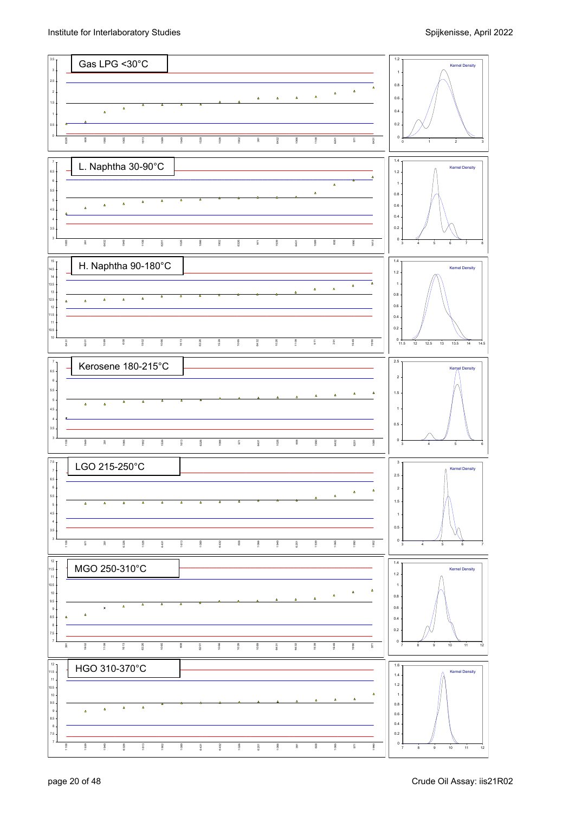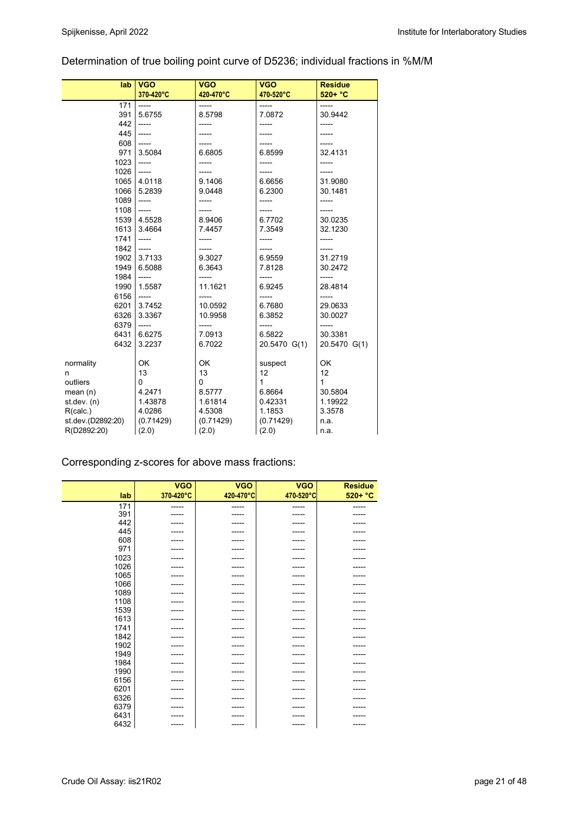## Determination of true boiling point curve of D5236; individual fractions in %M/M

| lab               | <b>VGO</b> | <b>VGO</b> | <b>VGO</b>   | <b>Residue</b> |
|-------------------|------------|------------|--------------|----------------|
|                   | 370-420°C  | 420-470°C  | 470-520°C    | $520 + °C$     |
| 171               | $-----$    | -----      | -----        | -----          |
| 391               | 5.6755     | 8.5798     | 7.0872       | 30.9442        |
| 442               | $-----$    | -----      | -----        | -----          |
| 445               | $-----$    |            |              |                |
| 608               | $-----$    | -----      | -----        | -----          |
| 971               | 3.5084     | 6.6805     | 6.8599       | 32.4131        |
| 1023              | $-----$    | -----      | -----        | -----          |
| 1026              | $-----$    | -----      |              | -----          |
| 1065              | 4.0118     | 9.1406     | 6.6656       | 31.9080        |
| 1066              | 5.2839     | 9.0448     | 6.2300       | 30.1481        |
| 1089              | $-----$    |            | -----        |                |
| 1108              | $-----$    | -----      |              | -----          |
| 1539              | 4.5528     | 8.9406     | 6.7702       | 30.0235        |
| 1613              | 3.4664     | 7.4457     | 7.3549       | 32.1230        |
| 1741              | $-----$    |            |              |                |
| 1842              | $-----$    |            |              |                |
| 1902              | 3.7133     | 9.3027     | 6.9559       | 31.2719        |
| 1949              | 6.5088     | 6.3643     | 7.8128       | 30.2472        |
| 1984              | $-----$    | -----      | -----        | -----          |
| 1990              | 1.5587     | 11.1621    | 6.9245       | 28.4814        |
| 6156              | $-----$    |            |              | -----          |
| 6201              | 3.7452     | 10.0592    | 6.7680       | 29.0633        |
| 6326              | 3.3367     | 10.9958    | 6.3852       | 30.0027        |
| 6379              | $---$      |            |              |                |
| 6431              | 6.6275     | 7.0913     | 6.5822       | 30.3381        |
| 6432              | 3.2237     | 6.7022     | 20.5470 G(1) | 20.5470 G(1)   |
|                   |            |            |              |                |
| normality         | OK         | <b>OK</b>  | suspect      | OK             |
| n                 | 13         | 13         | 12           | 12             |
| outliers          | 0          | 0          | $\mathbf{1}$ | 1              |
| mean(n)           | 4.2471     | 8.5777     | 6.8664       | 30.5804        |
| st.dev. (n)       | 1.43878    | 1.61814    | 0.42331      | 1.19922        |
| R(calc.)          | 4.0286     | 4.5308     | 1.1853       | 3.3578         |
| st.dev.(D2892:20) | (0.71429)  | (0.71429)  | (0.71429)    | n.a.           |
| R(D2892:20)       | (2.0)      | (2.0)      | (2.0)        | n.a.           |

## Corresponding z-scores for above mass fractions:

|      | <b>VGO</b> | <b>VGO</b> | <b>VGO</b> | <b>Residue</b> |
|------|------------|------------|------------|----------------|
| lab  | 370-420°C  | 420-470°C  | 470-520°C  | $520 + °C$     |
| 171  | -----      | ------     | -----      | -----          |
| 391  | -----      | -----      | -----      |                |
| 442  | -----      | -----      | -----      | -----          |
| 445  | -----      | ------     | -----      | -----          |
| 608  | -----      | -----      |            |                |
| 971  | -----      | -----      |            | -----          |
| 1023 |            |            |            |                |
| 1026 | -----      | -----      | -----      | -----          |
| 1065 |            |            |            |                |
| 1066 | -----      | -----      | -----      | -----          |
| 1089 | -----      | ------     | -----      | -----          |
| 1108 | -----      | -----      |            | -----          |
| 1539 |            |            |            |                |
| 1613 | -----      | -----      | -----      | -----          |
| 1741 | -----      | -----      |            |                |
| 1842 | -----      | ------     | -----      | -----          |
| 1902 | -----      | -----      |            |                |
| 1949 | -----      | -----      | -----      | -----          |
| 1984 | -----      | -----      | -----      | -----          |
| 1990 | -----      | -----      | -----      | -----          |
| 6156 | -----      | -----      |            |                |
| 6201 | -----      | -----      |            | -----          |
| 6326 | -----      | -----      |            |                |
| 6379 | -----      | -----      | -----      | -----          |
| 6431 |            |            |            |                |
| 6432 | -----      | -----      | -----      | -----          |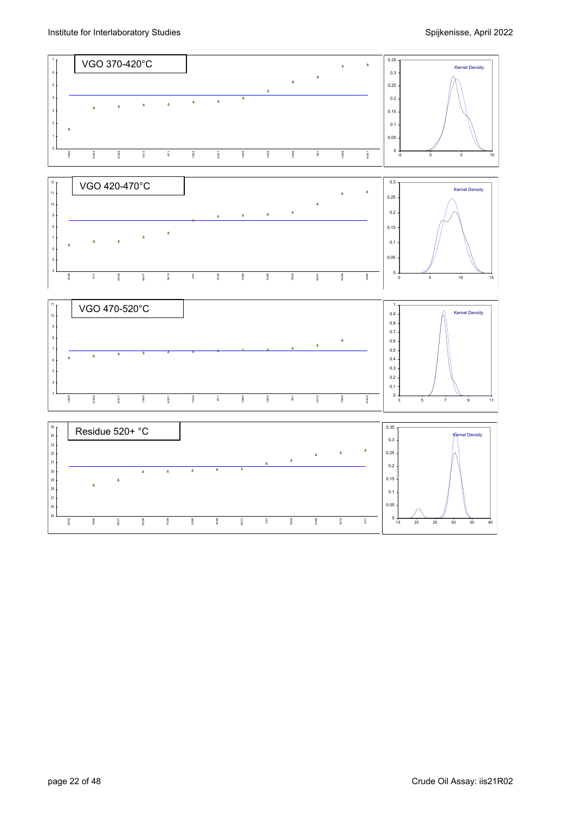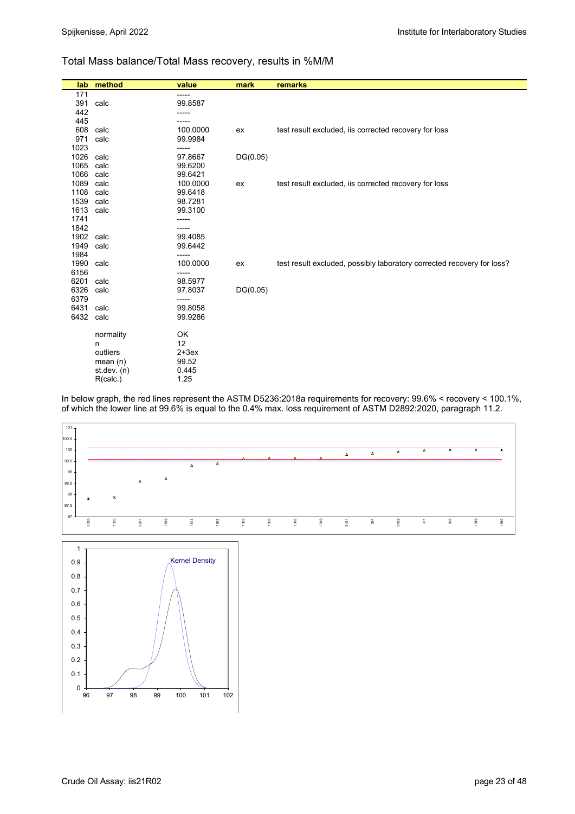#### Total Mass balance/Total Mass recovery, results in %M/M

|              | lab method    | value              | mark     | remarks                                                                |
|--------------|---------------|--------------------|----------|------------------------------------------------------------------------|
| 171          |               | -----              |          |                                                                        |
| 391          | calc          | 99.8587            |          |                                                                        |
| 442          |               |                    |          |                                                                        |
| 445          |               |                    |          |                                                                        |
| 608          | calc          | 100.0000           | ex       | test result excluded, iis corrected recovery for loss                  |
| 971          | calc          | 99.9984            |          |                                                                        |
| 1023         |               | -----              |          |                                                                        |
| 1026 calc    |               | 97.8667            | DG(0.05) |                                                                        |
| 1065         | calc          | 99.6200            |          |                                                                        |
| 1066         | calc          | 99.6421            |          |                                                                        |
| 1089         | calc          | 100.0000           | ex       | test result excluded, iis corrected recovery for loss                  |
| 1108<br>1539 | calc<br>calc  | 99.6418<br>98.7281 |          |                                                                        |
| 1613         | calc          | 99.3100            |          |                                                                        |
| 1741         |               | -----              |          |                                                                        |
| 1842         |               |                    |          |                                                                        |
| 1902 calc    |               | 99.4085            |          |                                                                        |
| 1949         | calc          | 99.6442            |          |                                                                        |
| 1984         |               | -----              |          |                                                                        |
| 1990 calc    |               | 100.0000           | ex       | test result excluded, possibly laboratory corrected recovery for loss? |
| 6156         |               | -----              |          |                                                                        |
| 6201         | calc          | 98.5977            |          |                                                                        |
| 6326         | calc          | 97.8037            | DG(0.05) |                                                                        |
| 6379         |               | -----              |          |                                                                        |
| 6431         | calc          | 99.8058            |          |                                                                        |
| 6432         | calc          | 99.9286            |          |                                                                        |
|              | normality     | OK                 |          |                                                                        |
|              | n             | 12                 |          |                                                                        |
|              | outliers      | $2+3ex$            |          |                                                                        |
|              | mean $(n)$    | 99.52              |          |                                                                        |
|              | st.dev. $(n)$ | 0.445              |          |                                                                        |
|              | R(calc.)      | 1.25               |          |                                                                        |

In below graph, the red lines represent the ASTM D5236:2018a requirements for recovery: 99.6% < recovery < 100.1%, of which the lower line at 99.6% is equal to the 0.4% max. loss requirement of ASTM D2892:2020, paragraph 11.2.

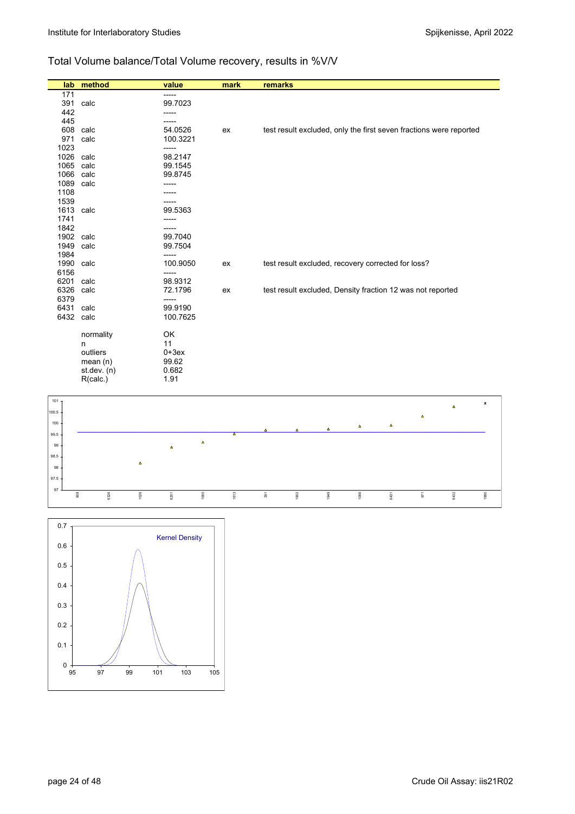## Total Volume balance/Total Volume recovery, results in %V/V

| lab. | method        | value    | mark | remarks                                                            |
|------|---------------|----------|------|--------------------------------------------------------------------|
| 171  |               | -----    |      |                                                                    |
| 391  | calc          | 99.7023  |      |                                                                    |
| 442  |               | -----    |      |                                                                    |
| 445  |               |          |      |                                                                    |
| 608  | calc          | 54.0526  | ex   | test result excluded, only the first seven fractions were reported |
| 971  | calc          | 100.3221 |      |                                                                    |
| 1023 |               | -----    |      |                                                                    |
| 1026 | calc          | 98.2147  |      |                                                                    |
| 1065 | calc          | 99.1545  |      |                                                                    |
| 1066 | calc          | 99.8745  |      |                                                                    |
| 1089 | calc          | -----    |      |                                                                    |
| 1108 |               |          |      |                                                                    |
| 1539 |               |          |      |                                                                    |
| 1613 | calc          | 99.5363  |      |                                                                    |
| 1741 |               |          |      |                                                                    |
| 1842 |               | -----    |      |                                                                    |
| 1902 | calc          | 99.7040  |      |                                                                    |
| 1949 | calc          | 99.7504  |      |                                                                    |
| 1984 |               | -----    |      |                                                                    |
| 1990 | calc          | 100.9050 | ex   | test result excluded, recovery corrected for loss?                 |
| 6156 |               |          |      |                                                                    |
| 6201 | calc          | 98.9312  |      |                                                                    |
| 6326 | calc          | 72.1796  | ex   | test result excluded, Density fraction 12 was not reported         |
| 6379 |               | -----    |      |                                                                    |
| 6431 | calc          | 99.9190  |      |                                                                    |
| 6432 | calc          | 100.7625 |      |                                                                    |
|      | normality     | OK       |      |                                                                    |
|      | n             | 11       |      |                                                                    |
|      | outliers      | $0+3ex$  |      |                                                                    |
|      | mean $(n)$    | 99.62    |      |                                                                    |
|      | st.dev. $(n)$ | 0.682    |      |                                                                    |
|      | R(calc.)      | 1.91     |      |                                                                    |
|      |               |          |      |                                                                    |



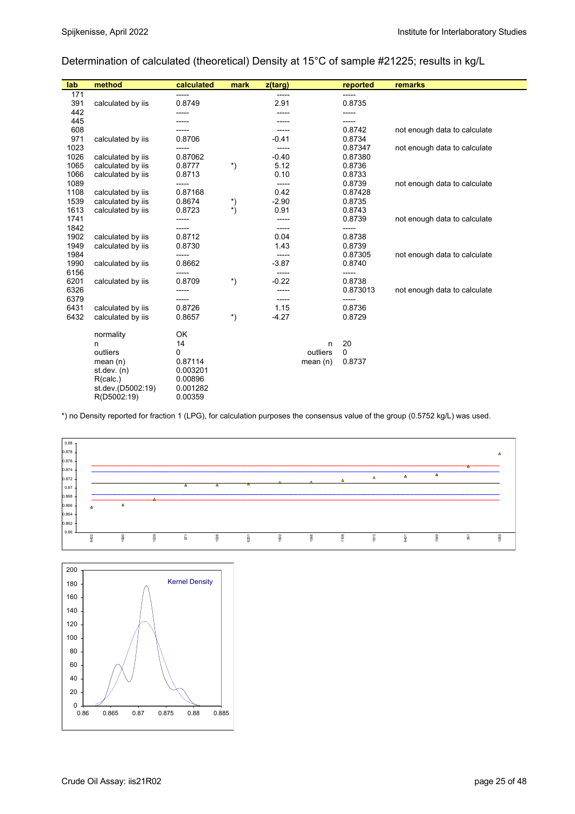## Determination of calculated (theoretical) Density at 15°C of sample #21225; results in kg/L

| lab  | method            | calculated | mark       | z(targ) |            | reported | remarks                      |
|------|-------------------|------------|------------|---------|------------|----------|------------------------------|
| 171  |                   | -----      |            | -----   |            | -----    |                              |
| 391  | calculated by iis | 0.8749     |            | 2.91    |            | 0.8735   |                              |
| 442  |                   | -----      |            |         |            | ------   |                              |
| 445  |                   | -----      |            | -----   |            | -----    |                              |
| 608  |                   | -----      |            |         |            | 0.8742   | not enough data to calculate |
| 971  | calculated by iis | 0.8706     |            | $-0.41$ |            | 0.8734   |                              |
| 1023 |                   | -----      |            | -----   |            | 0.87347  | not enough data to calculate |
| 1026 | calculated by iis | 0.87062    |            | $-0.40$ |            | 0.87380  |                              |
| 1065 | calculated by iis | 0.8777     | *)         | 5.12    |            | 0.8736   |                              |
| 1066 | calculated by iis | 0.8713     |            | 0.10    |            | 0.8733   |                              |
| 1089 |                   | -----      |            | -----   |            | 0.8739   | not enough data to calculate |
| 1108 | calculated by iis | 0.87168    |            | 0.42    |            | 0.87428  |                              |
| 1539 | calculated by iis | 0.8674     | *)         | $-2.90$ |            | 0.8735   |                              |
| 1613 | calculated by iis | 0.8723     | $^{\ast})$ | 0.91    |            | 0.8743   |                              |
| 1741 |                   | -----      |            | -----   |            | 0.8739   | not enough data to calculate |
| 1842 |                   | -----      |            | -----   |            | -----    |                              |
| 1902 | calculated by iis | 0.8712     |            | 0.04    |            | 0.8738   |                              |
| 1949 | calculated by iis | 0.8730     |            | 1.43    |            | 0.8739   |                              |
| 1984 |                   | -----      |            | -----   |            | 0.87305  | not enough data to calculate |
| 1990 | calculated by iis | 0.8662     |            | $-3.87$ |            | 0.8740   |                              |
| 6156 |                   | -----      |            |         |            | -----    |                              |
| 6201 | calculated by iis | 0.8709     | $^{\ast})$ | $-0.22$ |            | 0.8738   |                              |
| 6326 |                   | -----      |            | -----   |            | 0.873013 | not enough data to calculate |
| 6379 |                   | -----      |            | -----   |            | -----    |                              |
| 6431 | calculated by iis | 0.8726     |            | 1.15    |            | 0.8736   |                              |
| 6432 | calculated by iis | 0.8657     | *)         | $-4.27$ |            | 0.8729   |                              |
|      | normality         | OK         |            |         |            |          |                              |
|      | n                 | 14         |            |         | n          | 20       |                              |
|      | outliers          | 0          |            |         | outliers   | 0        |                              |
|      | mean $(n)$        | 0.87114    |            |         | mean $(n)$ | 0.8737   |                              |
|      | st. dev. (n)      | 0.003201   |            |         |            |          |                              |
|      | R(calc.)          | 0.00896    |            |         |            |          |                              |
|      | st.dev.(D5002:19) | 0.001282   |            |         |            |          |                              |
|      | R(D5002:19)       | 0.00359    |            |         |            |          |                              |

\*) no Density reported for fraction 1 (LPG), for calculation purposes the consensus value of the group (0.5752 kg/L) was used.



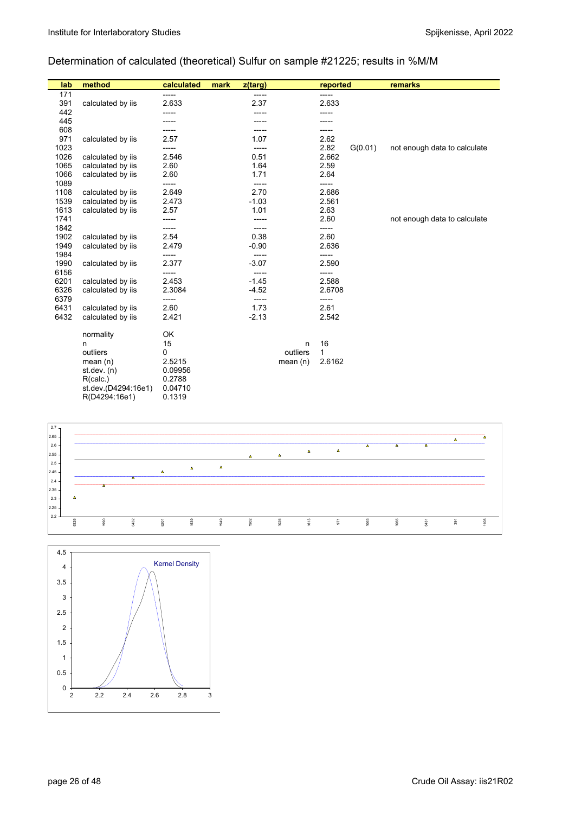## Determination of calculated (theoretical) Sulfur on sample #21225; results in %M/M

| lab  | method              | calculated | mark | z(targ) |            | reported |         | remarks                      |
|------|---------------------|------------|------|---------|------------|----------|---------|------------------------------|
| 171  |                     | -----      |      | -----   |            | -----    |         |                              |
| 391  | calculated by iis   | 2.633      |      | 2.37    |            | 2.633    |         |                              |
| 442  |                     |            |      |         |            |          |         |                              |
| 445  |                     |            |      |         |            |          |         |                              |
| 608  |                     |            |      |         |            | -----    |         |                              |
| 971  | calculated by iis   | 2.57       |      | 1.07    |            | 2.62     |         |                              |
| 1023 |                     |            |      | -----   |            | 2.82     | G(0.01) | not enough data to calculate |
| 1026 | calculated by iis   | 2.546      |      | 0.51    |            | 2.662    |         |                              |
| 1065 | calculated by iis   | 2.60       |      | 1.64    |            | 2.59     |         |                              |
| 1066 | calculated by iis   | 2.60       |      | 1.71    |            | 2.64     |         |                              |
| 1089 |                     | -----      |      | -----   |            | -----    |         |                              |
| 1108 | calculated by iis   | 2.649      |      | 2.70    |            | 2.686    |         |                              |
| 1539 | calculated by iis   | 2.473      |      | $-1.03$ |            | 2.561    |         |                              |
| 1613 | calculated by iis   | 2.57       |      | 1.01    |            | 2.63     |         |                              |
| 1741 |                     | -----      |      |         |            | 2.60     |         | not enough data to calculate |
| 1842 |                     | -----      |      | -----   |            | -----    |         |                              |
| 1902 | calculated by iis   | 2.54       |      | 0.38    |            | 2.60     |         |                              |
| 1949 | calculated by iis   | 2.479      |      | $-0.90$ |            | 2.636    |         |                              |
| 1984 |                     | -----      |      | -----   |            | -----    |         |                              |
| 1990 | calculated by iis   | 2.377      |      | $-3.07$ |            | 2.590    |         |                              |
| 6156 |                     | -----      |      | -----   |            | -----    |         |                              |
| 6201 | calculated by iis   | 2.453      |      | $-1.45$ |            | 2.588    |         |                              |
| 6326 | calculated by iis   | 2.3084     |      | $-4.52$ |            | 2.6708   |         |                              |
| 6379 |                     | -----      |      | -----   |            | -----    |         |                              |
| 6431 | calculated by iis   | 2.60       |      | 1.73    |            | 2.61     |         |                              |
| 6432 | calculated by iis   | 2.421      |      | $-2.13$ |            | 2.542    |         |                              |
|      | normality           | OK         |      |         |            |          |         |                              |
|      | n                   | 15         |      |         | n          | 16       |         |                              |
|      | outliers            | 0          |      |         | outliers   | 1        |         |                              |
|      | mean $(n)$          | 2.5215     |      |         | mean $(n)$ | 2.6162   |         |                              |
|      | st.dev. $(n)$       | 0.09956    |      |         |            |          |         |                              |
|      | R(calc.)            | 0.2788     |      |         |            |          |         |                              |
|      | st.dev.(D4294:16e1) | 0.04710    |      |         |            |          |         |                              |
|      | R(D4294:16e1)       | 0.1319     |      |         |            |          |         |                              |



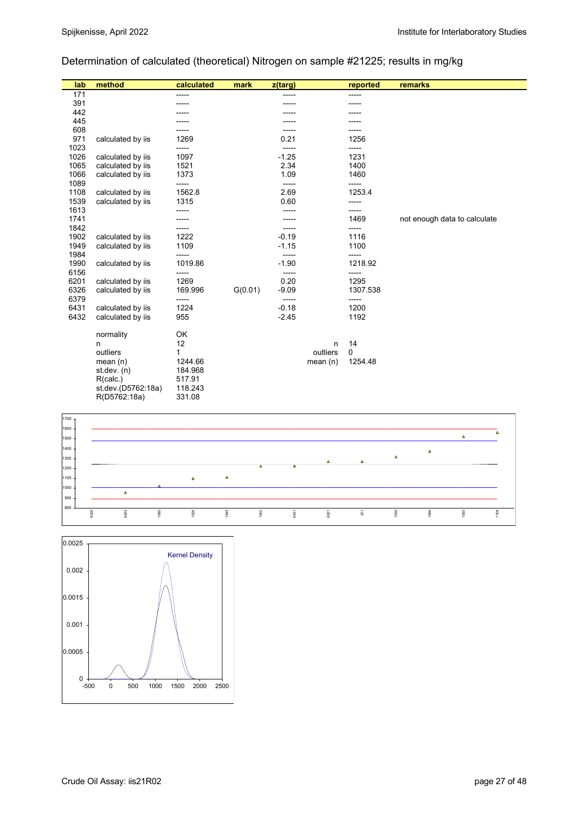## Determination of calculated (theoretical) Nitrogen on sample #21225; results in mg/kg

| lab  | method             | calculated | mark    | z(targ) |            | reported | remarks                      |
|------|--------------------|------------|---------|---------|------------|----------|------------------------------|
| 171  |                    | -----      |         | -----   |            | -----    |                              |
| 391  |                    |            |         |         |            |          |                              |
| 442  |                    |            |         |         |            |          |                              |
| 445  |                    |            |         |         |            |          |                              |
| 608  |                    |            |         |         |            |          |                              |
| 971  | calculated by iis  | 1269       |         | 0.21    |            | 1256     |                              |
| 1023 |                    | -----      |         | -----   |            | -----    |                              |
| 1026 | calculated by iis  | 1097       |         | $-1.25$ |            | 1231     |                              |
| 1065 | calculated by iis  | 1521       |         | 2.34    |            | 1400     |                              |
| 1066 | calculated by iis  | 1373       |         | 1.09    |            | 1460     |                              |
| 1089 |                    | -----      |         | -----   |            | -----    |                              |
| 1108 | calculated by iis  | 1562.8     |         | 2.69    |            | 1253.4   |                              |
| 1539 | calculated by iis  | 1315       |         | 0.60    |            | -----    |                              |
| 1613 |                    | -----      |         |         |            | -----    |                              |
| 1741 |                    |            |         |         |            | 1469     | not enough data to calculate |
| 1842 |                    | -----      |         |         |            | -----    |                              |
| 1902 | calculated by iis  | 1222       |         | $-0.19$ |            | 1116     |                              |
| 1949 | calculated by iis  | 1109       |         | $-1.15$ |            | 1100     |                              |
| 1984 |                    | -----      |         | -----   |            | -----    |                              |
| 1990 | calculated by iis  | 1019.86    |         | $-1.90$ |            | 1218.92  |                              |
| 6156 |                    | -----      |         | -----   |            | -----    |                              |
| 6201 | calculated by iis  | 1269       |         | 0.20    |            | 1295     |                              |
| 6326 | calculated by iis  | 169.996    | G(0.01) | $-9.09$ |            | 1307.538 |                              |
| 6379 |                    | -----      |         | -----   |            | -----    |                              |
| 6431 | calculated by iis  | 1224       |         | $-0.18$ |            | 1200     |                              |
| 6432 | calculated by iis  | 955        |         | $-2.45$ |            | 1192     |                              |
|      | normality          | OK         |         |         |            |          |                              |
|      | n                  | 12         |         |         | n          | 14       |                              |
|      | outliers           | 1          |         |         | outliers   | 0        |                              |
|      | mean $(n)$         | 1244.66    |         |         | mean $(n)$ | 1254.48  |                              |
|      | st.dev. (n)        | 184.968    |         |         |            |          |                              |
|      | R(calc.)           | 517.91     |         |         |            |          |                              |
|      | st.dev.(D5762:18a) | 118.243    |         |         |            |          |                              |
|      | R(D5762:18a)       | 331.08     |         |         |            |          |                              |



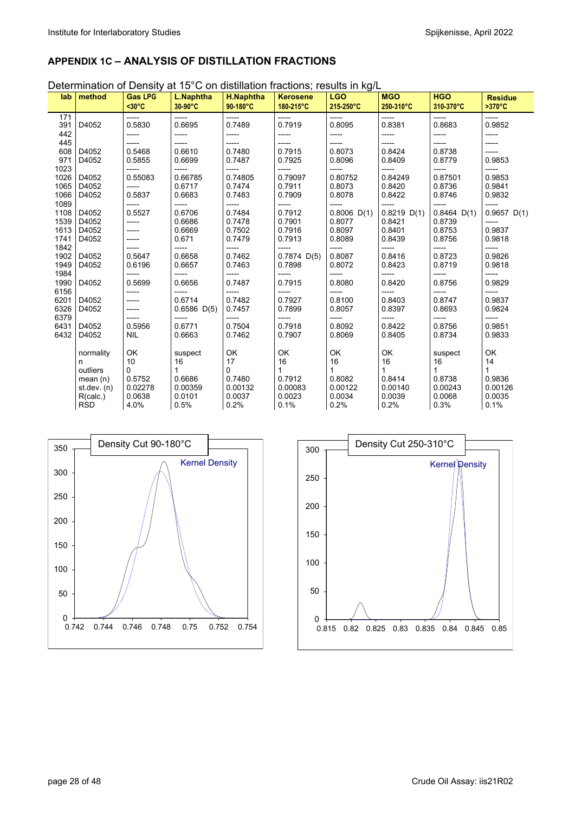## **APPENDIX 1C – ANALYSIS OF DISTILLATION FRACTIONS**

Determination of Density at 15°C on distillation fractions; results in kg/L

| lab          | method                      | <b>Gas LPG</b><br>$30°C$ | L.Naphtha<br>30-90°C | <b>H.Naphtha</b><br>90-180°C | <b>Kerosene</b><br>180-215°C | <b>LGO</b><br>215-250°C | <b>MGO</b><br>250-310°C | <b>HGO</b><br>310-370°C | <b>Residue</b><br>$>370^{\circ}C$ |
|--------------|-----------------------------|--------------------------|----------------------|------------------------------|------------------------------|-------------------------|-------------------------|-------------------------|-----------------------------------|
| 171<br>391   | D4052                       | -----<br>0.5830          | -----<br>0.6695      | -----<br>0.7489              | -----<br>0.7919              | -----<br>0.8095         | $-----$<br>0.8381       | -----<br>0.8683         | -----<br>0.9852                   |
| 442          |                             |                          | -----                | -----                        | -----                        | -----                   | ------                  | -----                   | -----                             |
| 445<br>608   | D4052                       | 0.5468                   | -----<br>0.6610      | -----<br>0.7480              | -----<br>0.7915              | ------<br>0.8073        | $- - - - -$<br>0.8424   | ------<br>0.8738        | -----<br>------                   |
| 971<br>1023  | D4052                       | 0.5855                   | 0.6699               | 0.7487                       | 0.7925                       | 0.8096                  | 0.8409                  | 0.8779                  | 0.9853                            |
| 1026         | D4052                       | -----<br>0.55083         | -----<br>0.66785     | -----<br>0.74805             | -----<br>0.79097             | -----<br>0.80752        | -----<br>0.84249        | -----<br>0.87501        | -----<br>0.9853                   |
| 1065<br>1066 | D4052<br>D4052              | -----<br>0.5837          | 0.6717<br>0.6683     | 0.7474<br>0.7483             | 0.7911<br>0.7909             | 0.8073<br>0.8078        | 0.8420<br>0.8422        | 0.8736<br>0.8746        | 0.9841<br>0.9832                  |
| 1089         |                             | -----                    | -----                | -----                        | -----                        | -----                   | $--- -$                 | -----                   | -----                             |
| 1108<br>1539 | D4052<br>D4052              | 0.5527<br>-----          | 0.6706<br>0.6686     | 0.7484<br>0.7478             | 0.7912<br>0.7901             | $0.8006$ D(1)<br>0.8077 | $0.8219$ D(1)<br>0.8421 | $0.8464$ D(1)<br>0.8739 | $0.9657$ D(1)<br>------           |
| 1613         | D4052                       |                          | 0.6669               | 0.7502                       | 0.7916                       | 0.8097                  | 0.8401                  | 0.8753                  | 0.9837                            |
| 1741<br>1842 | D4052                       |                          | 0.671<br>-----       | 0.7479<br>-----              | 0.7913<br>-----              | 0.8089<br>-----         | 0.8439<br>-----         | 0.8756<br>-----         | 0.9818<br>-----                   |
| 1902         | D4052                       | 0.5647                   | 0.6658               | 0.7462                       | $0.7874$ D(5)                | 0.8087                  | 0.8416                  | 0.8723                  | 0.9826                            |
| 1949<br>1984 | D4052                       | 0.6196<br>-----          | 0.6657<br>-----      | 0.7463<br>-----              | 0.7898<br>-----              | 0.8072<br>-----         | 0.8423<br>-----         | 0.8719<br>-----         | 0.9818<br>-----                   |
| 1990<br>6156 | D4052                       | 0.5699                   | 0.6656<br>-----      | 0.7487                       | 0.7915<br>-----              | 0.8080<br>-----         | 0.8420                  | 0.8756<br>-----         | 0.9829<br>-----                   |
| 6201         | D4052                       |                          | 0.6714               | 0.7482                       | 0.7927                       | 0.8100                  | 0.8403                  | 0.8747                  | 0.9837                            |
| 6326<br>6379 | D4052                       |                          | $0.6586$ D(5)        | 0.7457<br>-----              | 0.7899                       | 0.8057                  | 0.8397                  | 0.8693<br>-----         | 0.9824<br>-----                   |
| 6431         | D4052                       | 0.5956                   | 0.6771               | 0.7504                       | 0.7918                       | 0.8092                  | 0.8422                  | 0.8756                  | 0.9851                            |
| 6432         | D4052                       | <b>NIL</b>               | 0.6663               | 0.7462                       | 0.7907                       | 0.8069                  | 0.8405                  | 0.8734                  | 0.9833                            |
|              | normality                   | OK                       | suspect              | OK                           | OK                           | OK                      | OK                      | suspect                 | OK                                |
|              | n<br>outliers               | 10<br>0                  | 16                   | 17<br>0                      | 16<br>1                      | 16<br>1                 | 16                      | 16<br>1                 | 14                                |
|              | mean $(n)$<br>st.dev. $(n)$ | 0.5752<br>0.02278        | 0.6686<br>0.00359    | 0.7480<br>0.00132            | 0.7912<br>0.00083            | 0.8082<br>0.00122       | 0.8414<br>0.00140       | 0.8738<br>0.00243       | 0.9836<br>0.00126                 |
|              | R(calc.)                    | 0.0638                   | 0.0101               | 0.0037                       | 0.0023                       | 0.0034                  | 0.0039                  | 0.0068                  | 0.0035                            |
|              | <b>RSD</b>                  | 4.0%                     | 0.5%                 | 0.2%                         | 0.1%                         | 0.2%                    | 0.2%                    | 0.3%                    | 0.1%                              |



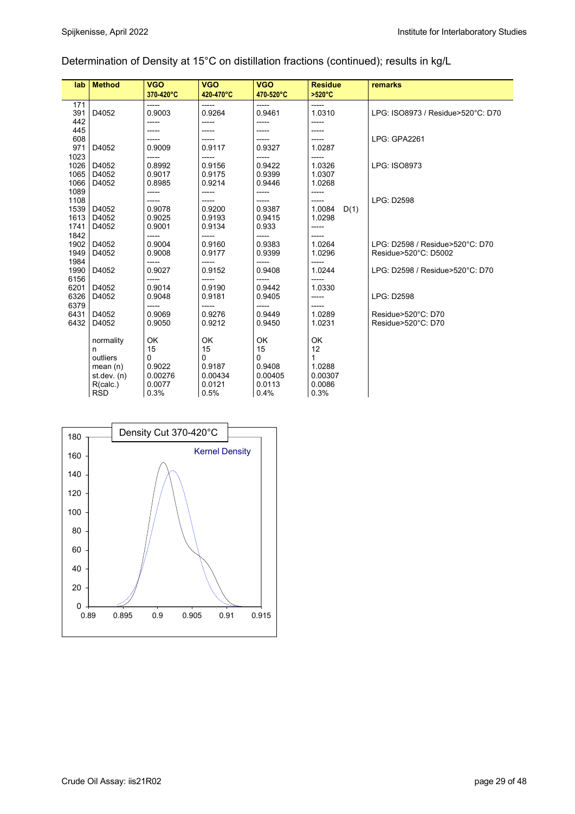## Determination of Density at 15°C on distillation fractions (continued); results in kg/L

| lab                  | <b>Method</b>                                                                       | <b>VGO</b><br>370-420°C                              | <b>VGO</b><br>420-470°C                              | <b>VGO</b><br>470-520°C                              | <b>Residue</b><br>>520°C                             | remarks                                                 |
|----------------------|-------------------------------------------------------------------------------------|------------------------------------------------------|------------------------------------------------------|------------------------------------------------------|------------------------------------------------------|---------------------------------------------------------|
| 171<br>391<br>442    | D4052                                                                               | -----<br>0.9003<br>-----                             | -----<br>0.9264<br>-----                             | -----<br>0.9461<br>-----                             | -----<br>1.0310<br>-----                             | LPG: ISO8973 / Residue>520°C: D70                       |
| 445<br>608<br>971    | D4052                                                                               | 0.9009                                               | 0.9117                                               | 0.9327                                               | 1.0287                                               | LPG: GPA2261                                            |
| 1023<br>1026<br>1065 | D4052<br>D4052                                                                      | -----<br>0.8992<br>0.9017                            | -----<br>0.9156<br>0.9175                            | -----<br>0.9422<br>0.9399                            | -----<br>1.0326<br>1.0307                            | LPG: ISO8973                                            |
| 1066<br>1089<br>1108 | D4052                                                                               | 0.8985<br>-----                                      | 0.9214<br>-----<br>-----                             | 0.9446<br>-----<br>-----                             | 1.0268<br>-----<br>-----                             | <b>LPG: D2598</b>                                       |
| 1539<br>1613<br>1741 | D4052<br>D4052<br>D4052                                                             | 0.9078<br>0.9025<br>0.9001                           | 0.9200<br>0.9193<br>0.9134                           | 0.9387<br>0.9415<br>0.933                            | 1.0084<br>D(1)<br>1.0298<br>-----                    |                                                         |
| 1842<br>1902<br>1949 | D4052<br>D4052                                                                      | -----<br>0.9004<br>0.9008                            | -----<br>0.9160<br>0.9177                            | -----<br>0.9383<br>0.9399                            | 1.0264<br>1.0296                                     | LPG: D2598 / Residue>520°C: D70<br>Residue>520°C: D5002 |
| 1984<br>1990<br>6156 | D4052                                                                               | -----<br>0.9027<br>-----                             | -----<br>0.9152<br>-----                             | -----<br>0.9408<br>-----                             | -----<br>1.0244<br>-----                             | LPG: D2598 / Residue>520°C: D70                         |
| 6201<br>6326<br>6379 | D4052<br>D4052                                                                      | 0.9014<br>0.9048<br>-----                            | 0.9190<br>0.9181<br>-----                            | 0.9442<br>0.9405<br>-----                            | 1.0330<br>-----                                      | <b>LPG: D2598</b>                                       |
| 6431<br>6432         | D4052<br>D4052                                                                      | 0.9069<br>0.9050                                     | 0.9276<br>0.9212                                     | 0.9449<br>0.9450                                     | 1.0289<br>1.0231                                     | Residue>520°C: D70<br>Residue>520°C: D70                |
|                      | normality<br>n<br>outliers<br>mean $(n)$<br>st dev. $(n)$<br>R(calc.)<br><b>RSD</b> | OK<br>15<br>0<br>0.9022<br>0.00276<br>0.0077<br>0.3% | OK<br>15<br>0<br>0.9187<br>0.00434<br>0.0121<br>0.5% | OK<br>15<br>0<br>0.9408<br>0.00405<br>0.0113<br>0.4% | OK<br>12<br>1<br>1.0288<br>0.00307<br>0.0086<br>0.3% |                                                         |

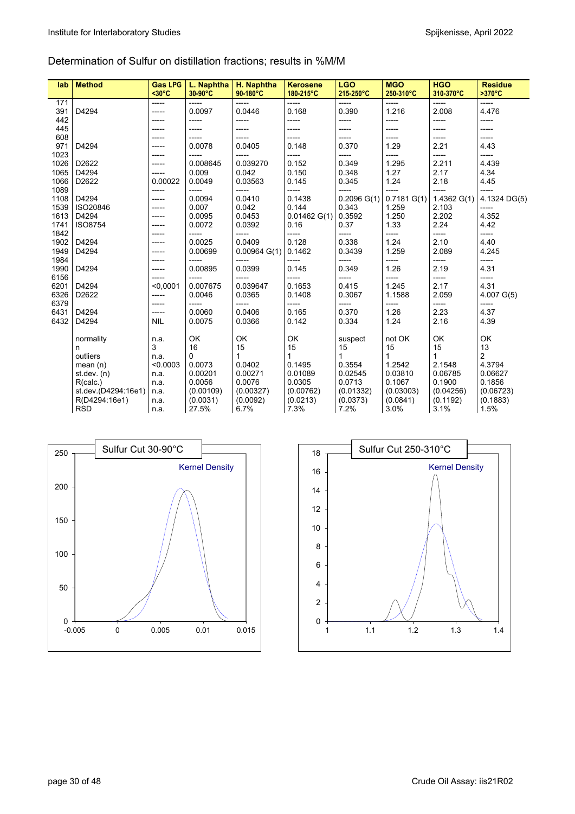#### Determination of Sulfur on distillation fractions; results in %M/M

| lab          | <b>Method</b>       | <b>Gas LPG</b><br>$30°C$ | L. Naphtha<br>30-90°C | H. Naphtha<br>90-180°C | <b>Kerosene</b><br>180-215°C | <b>LGO</b><br>215-250°C | <b>MGO</b><br>250-310°C | <b>HGO</b><br>310-370°C | <b>Residue</b><br>$>370^{\circ}$ C |
|--------------|---------------------|--------------------------|-----------------------|------------------------|------------------------------|-------------------------|-------------------------|-------------------------|------------------------------------|
| 171          |                     | -----                    | -----                 | -----                  | -----                        | -----                   | -----                   | -----                   | -----                              |
| 391          | D4294               | -----                    | 0.0097                | 0.0446                 | 0.168                        | 0.390                   | 1.216                   | 2.008                   | 4.476                              |
| 442          |                     | -----                    | -----                 | -----                  | -----                        | -----                   | -----                   | -----                   | -----                              |
| 445          |                     | -----                    | -----                 | -----                  | -----                        | -----                   | -----                   | -----                   | -----                              |
| 608          |                     | -----                    | -----                 | ------                 | -----                        | -----                   | -----                   | -----                   | -----                              |
| 971          | D4294               | -----                    | 0.0078                | 0.0405                 | 0.148                        | 0.370                   | 1.29                    | 2.21                    | 4.43                               |
| 1023         |                     | -----                    | -----                 | -----                  | -----                        | -----                   | -----                   | -----                   | -----                              |
| 1026         | D2622               | -----                    | 0.008645              | 0.039270               | 0.152                        | 0.349                   | 1.295                   | 2.211                   | 4.439                              |
| 1065         | D4294               | -----                    | 0.009                 | 0.042                  | 0.150                        | 0.348                   | 1.27                    | 2.17                    | 4.34                               |
| 1066<br>1089 | D2622               | 0.00022<br>-----         | 0.0049<br>-----       | 0.03563<br>-----       | 0.145<br>-----               | 0.345<br>-----          | 1.24<br>-----           | 2.18<br>-----           | 4.45<br>-----                      |
| 1108         | D4294               | -----                    | 0.0094                | 0.0410                 | 0.1438                       | $0.2096$ G(1)           | $0.7181$ G(1)           | $1.4362$ G(1)           | 4.1324 DG(5)                       |
| 1539         | ISO20846            | -----                    | 0.007                 | 0.042                  | 0.144                        | 0.343                   | 1.259                   | 2.103                   | -----                              |
| 1613         | D4294               | -----                    | 0.0095                | 0.0453                 | 0.01462 G(1)                 | 0.3592                  | 1.250                   | 2.202                   | 4.352                              |
| 1741         | <b>ISO8754</b>      | -----                    | 0.0072                | 0.0392                 | 0.16                         | 0.37                    | 1.33                    | 2.24                    | 4.42                               |
| 1842         |                     | -----                    | -----                 | -----                  | -----                        | -----                   | -----                   | -----                   | -----                              |
| 1902         | D4294               | -----                    | 0.0025                | 0.0409                 | 0.128                        | 0.338                   | 1.24                    | 2.10                    | 4.40                               |
| 1949         | D4294               | -----                    | 0.00699               | 0.00964 G(1)           | 0.1462                       | 0.3439                  | 1.259                   | 2.089                   | 4.245                              |
| 1984         |                     | -----                    | -----                 | -----                  | -----                        | -----                   | -----                   | -----                   | -----                              |
| 1990         | D4294               | -----                    | 0.00895               | 0.0399                 | 0.145                        | 0.349                   | 1.26                    | 2.19                    | 4.31                               |
| 6156         |                     | -----                    | -----                 | -----                  | -----                        | -----                   | -----                   | -----                   | -----                              |
| 6201         | D4294               | < 0.0001                 | 0.007675              | 0.039647               | 0.1653                       | 0.415                   | 1.245                   | 2.17                    | 4.31                               |
| 6326         | D2622               | -----                    | 0.0046                | 0.0365                 | 0.1408                       | 0.3067                  | 1.1588                  | 2.059                   | $4.007$ G(5)                       |
| 6379         |                     | -----                    | -----                 | -----                  | -----                        | -----                   | -----                   | -----                   | -----                              |
| 6431         | D4294               | -----                    | 0.0060                | 0.0406                 | 0.165                        | 0.370                   | 1.26                    | 2.23                    | 4.37                               |
| 6432         | D4294               | <b>NIL</b>               | 0.0075                | 0.0366                 | 0.142                        | 0.334                   | 1.24                    | 2.16                    | 4.39                               |
|              | normality           | n.a.                     | OK                    | OK                     | OK                           | suspect                 | not OK                  | OK                      | OK                                 |
|              | n                   | 3                        | 16                    | 15                     | 15                           | 15                      | 15                      | 15                      | 13                                 |
|              | outliers            | n.a.                     | 0                     | $\mathbf{1}$           | $\mathbf{1}$                 | $\mathbf{1}$            | $\mathbf{1}$            | 1                       | $\overline{c}$                     |
|              | mean $(n)$          | < 0.0003                 | 0.0073                | 0.0402                 | 0.1495                       | 0.3554                  | 1.2542                  | 2.1548                  | 4.3794                             |
|              | st dev. $(n)$       | n.a.                     | 0.00201               | 0.00271                | 0.01089                      | 0.02545                 | 0.03810                 | 0.06785                 | 0.06627                            |
|              | R(calc.)            | n.a.                     | 0.0056                | 0.0076                 | 0.0305                       | 0.0713                  | 0.1067                  | 0.1900                  | 0.1856                             |
|              | st.dev.(D4294:16e1) | n.a.                     | (0.00109)             | (0.00327)              | (0.00762)                    | (0.01332)               | (0.03003)               | (0.04256)               | (0.06723)                          |
|              | R(D4294:16e1)       | n.a.                     | (0.0031)              | (0.0092)               | (0.0213)                     | (0.0373)                | (0.0841)                | (0.1192)                | (0.1883)                           |
|              | <b>RSD</b>          | n.a.                     | 27.5%                 | 6.7%                   | 7.3%                         | 7.2%                    | 3.0%                    | 3.1%                    | 1.5%                               |



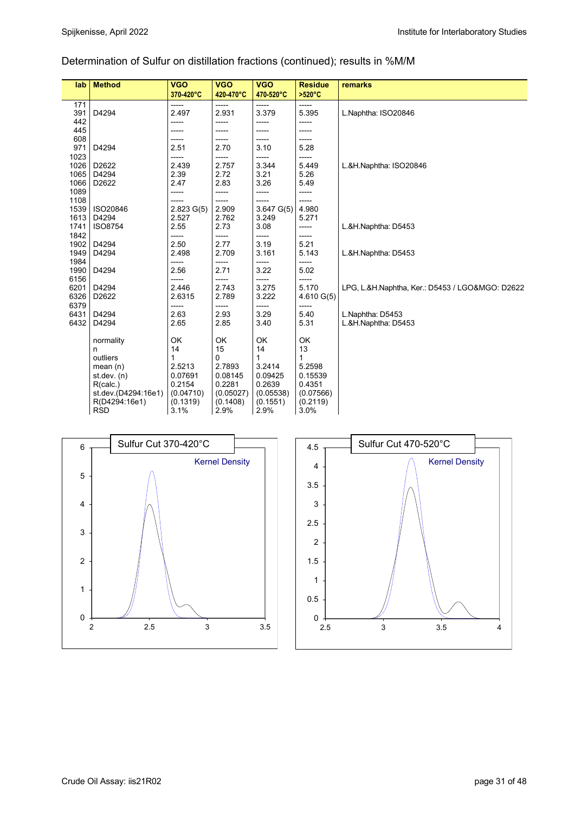## Determination of Sulfur on distillation fractions (continued); results in %M/M

| lab          | <b>Method</b>       | <b>VGO</b>     | <b>VGO</b>     | <b>VGO</b>     | <b>Residue</b> | remarks                                         |
|--------------|---------------------|----------------|----------------|----------------|----------------|-------------------------------------------------|
|              |                     | 370-420°C      | 420-470°C      | 470-520°C      | >520°C         |                                                 |
| 171          |                     | -----          | -----          | -----          | -----          |                                                 |
| 391          | D4294               | 2.497          | 2.931          | 3.379          | 5.395          | L.Naphtha: ISO20846                             |
| 442          |                     | -----          | -----          | -----          | -----          |                                                 |
| 445          |                     | -----          | -----          | -----          | -----          |                                                 |
| 608          |                     | -----          | -----          | -----          | -----          |                                                 |
| 971          | D4294               | 2.51           | 2.70           | 3.10           | 5.28           |                                                 |
| 1023         |                     | -----          | -----          | -----          | -----          |                                                 |
| 1026         | D2622               | 2.439          | 2.757          | 3.344          | 5.449          | L.&H.Naphtha: ISO20846                          |
| 1065         | D4294               | 2.39           | 2.72           | 3.21           | 5.26           |                                                 |
| 1066         | D2622               | 2.47           | 2.83           | 3.26           | 5.49           |                                                 |
| 1089         |                     | -----          | -----          | -----          | -----          |                                                 |
| 1108         |                     |                | -----          |                | -----          |                                                 |
| 1539         | ISO20846            | $2.823$ G(5)   | 2.909          | $3.647$ G(5)   | 4.980          |                                                 |
| 1613         | D4294               | 2.527          | 2.762          | 3.249          | 5.271          |                                                 |
| 1741         | <b>ISO8754</b>      | 2.55           | 2.73           | 3.08           | -----          | L.&H.Naphtha: D5453                             |
| 1842         |                     | -----          | -----          | -----          | -----          |                                                 |
| 1902         | D4294               | 2.50           | 2.77           | 3.19           | 5.21           |                                                 |
| 1949         | D4294               | 2.498          | 2.709          | 3.161          | 5.143          | L.&H.Naphtha: D5453                             |
| 1984         |                     | -----          | -----          | -----          | -----          |                                                 |
| 1990         | D4294               | 2.56           | 2.71           | 3.22           | 5.02           |                                                 |
| 6156<br>6201 | D4294               | -----<br>2.446 | -----<br>2.743 | -----<br>3.275 | -----<br>5.170 |                                                 |
| 6326         | D2622               | 2.6315         | 2.789          | 3.222          | $4.610$ G(5)   | LPG, L.&H.Naphtha, Ker.: D5453 / LGO&MGO: D2622 |
| 6379         |                     | -----          | -----          | -----          | -----          |                                                 |
| 6431         | D4294               | 2.63           | 2.93           | 3.29           | 5.40           | L.Naphtha: D5453                                |
| 6432         | D4294               | 2.65           | 2.85           | 3.40           | 5.31           | L.&H.Naphtha: D5453                             |
|              |                     |                |                |                |                |                                                 |
|              | normality           | OK             | OK             | OK             | OK             |                                                 |
|              | n                   | 14             | 15             | 14             | 13             |                                                 |
|              | outliers            | 1              | $\mathbf 0$    | $\mathbf{1}$   | 1              |                                                 |
|              | mean $(n)$          | 2.5213         | 2.7893         | 3.2414         | 5.2598         |                                                 |
|              | st.dev. (n)         | 0.07691        | 0.08145        | 0.09425        | 0.15539        |                                                 |
|              | R(calc.)            | 0.2154         | 0.2281         | 0.2639         | 0.4351         |                                                 |
|              | st.dev.(D4294:16e1) | (0.04710)      | (0.05027)      | (0.05538)      | (0.07566)      |                                                 |
|              | R(D4294:16e1)       | (0.1319)       | (0.1408)       | (0.1551)       | (0.2119)       |                                                 |
|              | <b>RSD</b>          | 3.1%           | 2.9%           | 2.9%           | 3.0%           |                                                 |
|              |                     |                |                |                |                |                                                 |



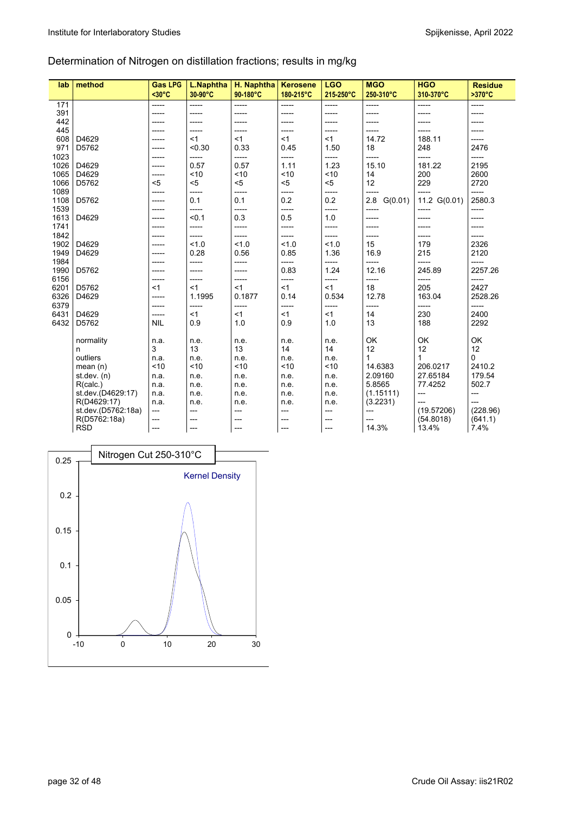## Determination of Nitrogen on distillation fractions; results in mg/kg

| lab  | method             | <b>Gas LPG</b><br>$<$ 30 $^{\circ}$ C | L.Naphtha<br>30-90°C | H. Naphtha<br>90-180°C | <b>Kerosene</b><br>180-215°C | <b>LGO</b><br>215-250°C | <b>MGO</b><br>250-310°C | <b>HGO</b><br>310-370°C | <b>Residue</b><br>$>370^{\circ}C$ |
|------|--------------------|---------------------------------------|----------------------|------------------------|------------------------------|-------------------------|-------------------------|-------------------------|-----------------------------------|
| 171  |                    | $---$                                 | -----                | $---$                  | -----                        | -----                   | -----                   | -----                   | -----                             |
| 391  |                    | -----                                 | -----                | -----                  | -----                        | -----                   | -----                   | -----                   | -----                             |
| 442  |                    | -----                                 | -----                | -----                  | -----                        | -----                   | -----                   | -----                   | -----                             |
| 445  |                    | -----                                 | -----                | -----                  | -----                        | -----                   | -----                   | -----                   | -----                             |
| 608  | D4629              | -----                                 | < 1                  | $<$ 1                  | $<$ 1                        | $<$ 1                   | 14.72                   | 188.11                  | -----                             |
| 971  | D5762              | -----                                 | < 0.30               | 0.33                   | 0.45                         | 1.50                    | 18                      | 248                     | 2476                              |
| 1023 |                    | -----                                 | -----                | -----                  | -----                        | -----                   | -----                   | -----                   | -----                             |
| 1026 | D4629              | -----                                 | 0.57                 | 0.57                   | 1.11                         | 1.23                    | 15.10                   | 181.22                  | 2195                              |
| 1065 | D4629              | -----                                 | < 10                 | < 10                   | ~10                          | ~10                     | 14                      | 200                     | 2600                              |
| 1066 | D5762              | < 5                                   | $5$                  | < 5                    | $5$                          | $5$                     | 12                      | 229                     | 2720                              |
| 1089 |                    | -----                                 | -----                | -----                  | -----                        | -----                   | -----                   | -----                   | -----                             |
| 1108 | D5762              | -----                                 | 0.1                  | 0.1                    | 0.2                          | 0.2                     | 2.8<br>G(0.01)          | 11.2 G(0.01)            | 2580.3                            |
| 1539 |                    | -----                                 | -----                | -----                  | -----                        | -----                   | -----                   | -----                   | -----                             |
| 1613 | D4629              | -----                                 | < 0.1                | 0.3                    | 0.5                          | 1.0                     | -----                   | -----                   | -----                             |
| 1741 |                    |                                       | -----                | -----                  | -----                        | -----                   | -----                   | -----                   | -----                             |
| 1842 |                    | -----                                 | -----                | -----                  | -----                        | -----                   | -----                   | -----                   | -----                             |
| 1902 | D4629              | -----                                 | 1.0                  | 1.0                    | 1.0                          | 1.0                     | 15                      | 179                     | 2326                              |
| 1949 | D4629              | -----                                 | 0.28                 | 0.56                   | 0.85                         | 1.36                    | 16.9                    | 215                     | 2120                              |
| 1984 |                    | -----                                 | -----                | -----                  | -----                        | -----                   | -----                   | -----                   | -----                             |
| 1990 | D5762              |                                       | -----                | -----                  | 0.83                         | 1.24                    | 12.16                   | 245.89                  | 2257.26                           |
| 6156 |                    | -----                                 | -----                | -----                  | -----                        | -----                   | -----                   | -----                   | -----                             |
| 6201 | D5762              | < 1                                   | $<$ 1                | <1                     | < 1                          | $<$ 1                   | 18                      | 205                     | 2427                              |
| 6326 | D4629              | -----                                 | 1.1995               | 0.1877                 | 0.14                         | 0.534                   | 12.78                   | 163.04                  | 2528.26                           |
| 6379 |                    | -----                                 | -----                | -----                  | -----                        | -----                   | -----                   | -----                   | -----                             |
| 6431 | D4629              | -----                                 | <1                   | <1                     | <1                           | $<$ 1                   | 14                      | 230                     | 2400                              |
| 6432 | D5762              | <b>NIL</b>                            | 0.9                  | 1.0                    | 0.9                          | 1.0                     | 13                      | 188                     | 2292                              |
|      |                    |                                       |                      |                        |                              |                         |                         |                         |                                   |
|      | normality          | n.a.                                  | n.e.                 | n.e.                   | n.e.                         | n.e.                    | OK                      | OK                      | OK                                |
|      | n                  | 3                                     | 13                   | 13                     | 14                           | 14                      | 12                      | 12                      | 12                                |
|      | outliers           | n.a.                                  | n.e.                 | n.e.                   | n.e.                         | n.e.                    | 1                       | 1                       | 0                                 |
|      | mean $(n)$         | < 10                                  | < 10                 | < 10                   | ~10                          | ~10                     | 14.6383                 | 206.0217                | 2410.2                            |
|      | st.dev. $(n)$      | n.a.                                  | n.e.                 | n.e.                   | n.e.                         | n.e.                    | 2.09160                 | 27.65184                | 179.54                            |
|      | R(calc.)           | n.a.                                  | n.e.                 | n.e.                   | n.e.                         | n.e.                    | 5.8565                  | 77.4252                 | 502.7                             |
|      | st.dev.(D4629.17)  | n.a.                                  | n.e.                 | n.e.                   | n.e.                         | n.e.                    | (1.15111)               | $\overline{a}$          | ---                               |
|      | R(D4629:17)        | n.a.                                  | n.e.                 | n.e.                   | n.e.                         | n.e.                    | (3.2231)                | ---                     | ---                               |
|      | st.dev.(D5762:18a) | $---$                                 | ---                  | ---                    | ---                          | ---                     | ---                     | (19.57206)              | (228.96)                          |
|      | R(D5762:18a)       | $---$                                 | ---                  | ---                    | ---                          | ---                     | ---                     | (54.8018)               | (641.1)                           |
|      | <b>RSD</b>         | $---$                                 | ---                  | ---                    | ---                          | ---                     | 14.3%                   | 13.4%                   | 7.4%                              |

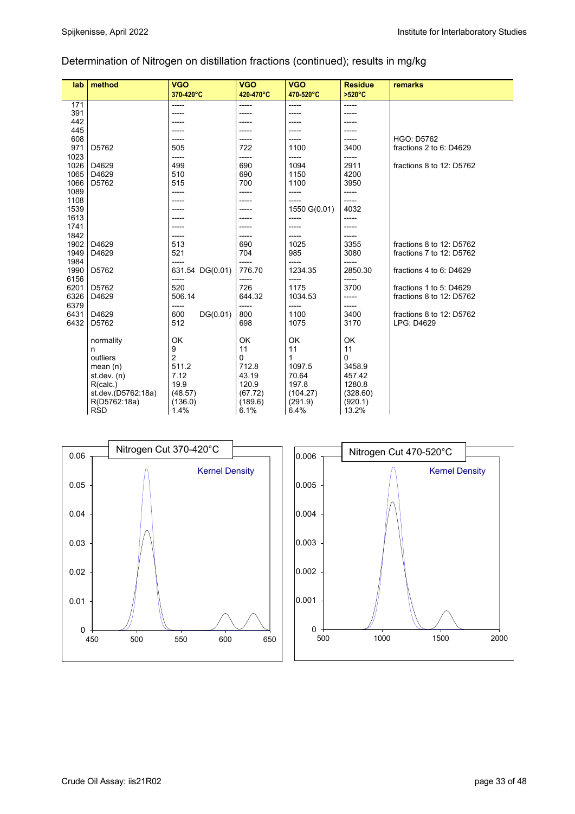## Determination of Nitrogen on distillation fractions (continued); results in mg/kg

| lab  | method             | <b>VGO</b>      | <b>VGO</b>  | <b>VGO</b>   | <b>Residue</b> |                          |
|------|--------------------|-----------------|-------------|--------------|----------------|--------------------------|
|      |                    | 370-420°C       | 420-470°C   | 470-520°C    | >520°C         | remarks                  |
|      |                    |                 |             |              |                |                          |
| 171  |                    | -----           | -----       | $- - - - -$  | $- - - - -$    |                          |
| 391  |                    | -----           | -----       | -----        | ----           |                          |
| 442  |                    |                 |             |              |                |                          |
| 445  |                    | -----           |             |              |                |                          |
| 608  |                    | -----           |             |              | -----          | <b>HGO: D5762</b>        |
| 971  | D5762              | 505             | 722         | 1100         | 3400           | fractions 2 to 6: D4629  |
| 1023 |                    | -----           | -----       | -----        | -----          |                          |
| 1026 | D4629              | 499             | 690         | 1094         | 2911           | fractions 8 to 12: D5762 |
| 1065 | D4629              | 510             | 690         | 1150         | 4200           |                          |
| 1066 | D5762              | 515             | 700         | 1100         | 3950           |                          |
| 1089 |                    | -----           | -----       | $- - - - -$  | -----          |                          |
| 1108 |                    | -----           | -----       | $- - - - -$  | -----          |                          |
| 1539 |                    |                 |             | 1550 G(0.01) | 4032           |                          |
| 1613 |                    | -----           |             | -----        | -----          |                          |
| 1741 |                    | -----           |             | $- - - - -$  | -----          |                          |
| 1842 |                    |                 |             | -----        | -----          |                          |
| 1902 | D4629              | 513             | 690         | 1025         | 3355           | fractions 8 to 12: D5762 |
| 1949 | D4629              | 521             | 704         | 985          | 3080           | fractions 7 to 12: D5762 |
| 1984 |                    | -----           | -----       | -----        | -----          |                          |
| 1990 | D5762              | 631.54 DG(0.01) | 776.70      | 1234.35      | 2850.30        | fractions 4 to 6: D4629  |
| 6156 |                    | -----           | -----       | -----        | -----          |                          |
| 6201 | D5762              | 520             | 726         | 1175         | 3700           | fractions 1 to 5: D4629  |
| 6326 | D4629              | 506.14          | 644.32      | 1034.53      | -----          | fractions 8 to 12: D5762 |
| 6379 |                    | -----           | $-----$     | $--- -$      | -----          |                          |
| 6431 | D4629              | 600<br>DG(0.01) | 800         | 1100         | 3400           | fractions 8 to 12: D5762 |
| 6432 | D5762              | 512             | 698         | 1075         | 3170           | LPG: D4629               |
|      |                    |                 |             |              |                |                          |
|      | normality          | OK              | OK          | OK           | OK             |                          |
|      | n                  | 9               | 11          | 11           | 11             |                          |
|      | outliers           | $\overline{2}$  | $\mathbf 0$ | $\mathbf{1}$ | $\mathbf 0$    |                          |
|      | mean $(n)$         | 511.2           | 712.8       | 1097.5       | 3458.9         |                          |
|      | st. dev. (n)       | 7.12            | 43.19       | 70.64        | 457.42         |                          |
|      | R(calc.)           | 19.9            | 120.9       | 197.8        | 1280.8         |                          |
|      | st.dev.(D5762:18a) | (48.57)         | (67.72)     | (104.27)     | (328.60)       |                          |
|      | R(D5762:18a)       | (136.0)         | (189.6)     | (291.9)      | (920.1)        |                          |
|      | <b>RSD</b>         | 1.4%            | 6.1%        | 6.4%         | 13.2%          |                          |
|      |                    |                 |             |              |                |                          |



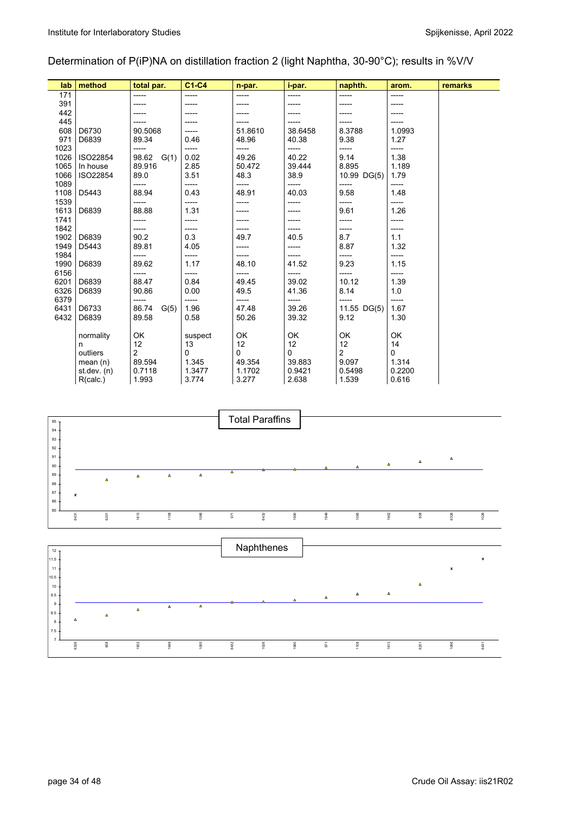## Determination of P(iP)NA on distillation fraction 2 (light Naphtha, 30-90°C); results in %V/V

| lab          | method        | total par.     | $C1-C4$       | n-par.   | i-par.         | naphth.       | arom.         | remarks |
|--------------|---------------|----------------|---------------|----------|----------------|---------------|---------------|---------|
| 171          |               | -----          | -----         | -----    |                |               |               |         |
| 391          |               |                |               |          |                |               |               |         |
| 442          |               |                |               |          |                |               |               |         |
| 445          |               |                |               |          | -----          |               |               |         |
| 608          | D6730         | 90.5068        | -----         | 51.8610  | 38.6458        | 8.3788        | 1.0993        |         |
| 971          | D6839         | 89.34          | 0.46          | 48.96    | 40.38          | 9.38          | 1.27          |         |
| 1023         |               | -----          | -----         | -----    | -----          | -----         | -----         |         |
| 1026         | ISO22854      | 98.62<br>G(1)  | 0.02          | 49.26    | 40.22          | 9.14          | 1.38          |         |
| 1065         | In house      | 89.916         | 2.85          | 50.472   | 39.444         | 8.895         | 1.189         |         |
| 1066         | ISO22854      | 89.0           | 3.51          | 48.3     | 38.9           | 10.99 DG(5)   | 1.79          |         |
| 1089         |               | -----          | -----         | -----    | -----          | -----         | -----         |         |
| 1108         | D5443         | 88.94          | 0.43          | 48.91    | 40.03          | 9.58          | 1.48          |         |
| 1539         |               | -----          | -----         | -----    | -----          | -----         | -----         |         |
| 1613         | D6839         | 88.88          | 1.31          | -----    | -----          | 9.61          | 1.26          |         |
| 1741         |               | -----          | -----         | -----    |                | -----         | -----         |         |
| 1842         |               | -----          | -----         |          | -----          | -----         | -----         |         |
| 1902         | D6839         | 90.2           | 0.3           | 49.7     | 40.5           | 8.7           | 1.1           |         |
| 1949<br>1984 | D5443         | 89.81<br>----- | 4.05<br>----- | -----    | -----          | 8.87          | 1.32          |         |
| 1990         | D6839         | 89.62          | 1.17          | 48.10    | -----<br>41.52 | -----<br>9.23 | -----<br>1.15 |         |
| 6156         |               | -----          | -----         | -----    | -----          | -----         | -----         |         |
| 6201         | D6839         | 88.47          | 0.84          | 49.45    | 39.02          | 10.12         | 1.39          |         |
| 6326         | D6839         | 90.86          | 0.00          | 49.5     | 41.36          | 8.14          | 1.0           |         |
| 6379         |               | -----          | -----         | -----    | -----          | -----         | -----         |         |
| 6431         | D6733         | 86.74<br>G(5)  | 1.96          | 47.48    | 39.26          | 11.55 DG(5)   | 1.67          |         |
| 6432         | D6839         | 89.58          | 0.58          | 50.26    | 39.32          | 9.12          | 1.30          |         |
|              |               |                |               |          |                |               |               |         |
|              | normality     | OK             | suspect       | OK       | OK             | OK            | OK            |         |
|              | n             | 12             | 13            | 12       | 12             | 12            | 14            |         |
|              | outliers      | $\overline{2}$ | 0             | $\Omega$ | $\Omega$       | 2             | 0             |         |
|              | mean $(n)$    | 89.594         | 1.345         | 49.354   | 39.883         | 9.097         | 1.314         |         |
|              | st dev. $(n)$ | 0.7118         | 1.3477        | 1.1702   | 0.9421         | 0.5498        | 0.2200        |         |
|              | R(calc.)      | 1.993          | 3.774         | 3.277    | 2.638          | 1.539         | 0.616         |         |

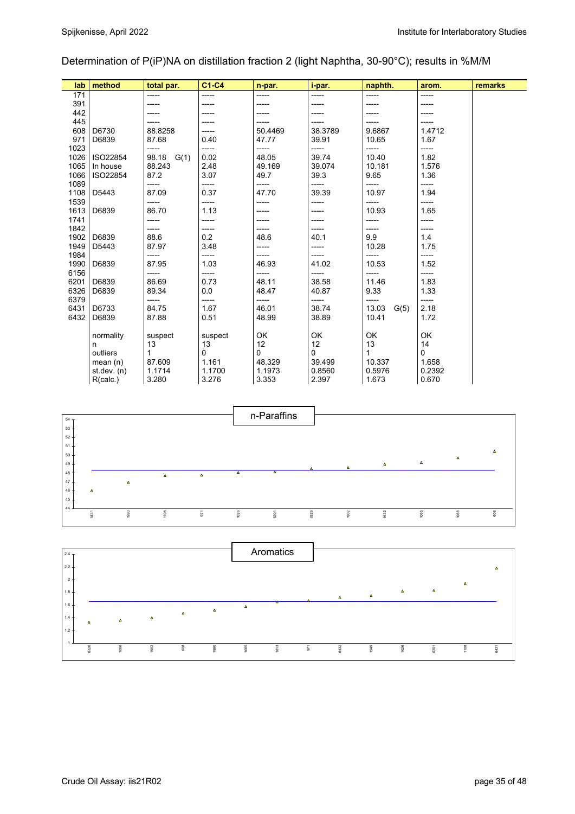## Determination of P(iP)NA on distillation fraction 2 (light Naphtha, 30-90°C); results in %M/M

| lab  | method       | total par.    | C1-C4   | n-par.  | i-par.  | naphth.       | arom.  | remarks |
|------|--------------|---------------|---------|---------|---------|---------------|--------|---------|
| 171  |              | -----         | -----   | -----   | -----   | -----         | -----  |         |
| 391  |              |               |         | -----   |         |               |        |         |
| 442  |              |               |         |         |         |               |        |         |
| 445  |              |               |         | -----   |         |               | -----  |         |
| 608  | D6730        | 88.8258       | -----   | 50.4469 | 38.3789 | 9.6867        | 1.4712 |         |
| 971  | D6839        | 87.68         | 0.40    | 47.77   | 39.91   | 10.65         | 1.67   |         |
| 1023 |              | -----         | -----   | -----   | -----   | -----         | -----  |         |
| 1026 | ISO22854     | 98.18<br>G(1) | 0.02    | 48.05   | 39.74   | 10.40         | 1.82   |         |
| 1065 | In house     | 88.243        | 2.48    | 49.169  | 39.074  | 10.181        | 1.576  |         |
| 1066 | ISO22854     | 87.2          | 3.07    | 49.7    | 39.3    | 9.65          | 1.36   |         |
| 1089 |              | -----         | -----   | -----   | -----   | -----         | -----  |         |
| 1108 | D5443        | 87.09         | 0.37    | 47.70   | 39.39   | 10.97         | 1.94   |         |
| 1539 |              | -----         | -----   | -----   | -----   | -----         | -----  |         |
| 1613 | D6839        | 86.70         | 1.13    | -----   |         | 10.93         | 1.65   |         |
| 1741 |              | -----         | -----   | -----   |         | -----         | -----  |         |
| 1842 |              | -----         | -----   | -----   | -----   | -----         | -----  |         |
| 1902 | D6839        | 88.6          | 0.2     | 48.6    | 40.1    | 9.9           | 1.4    |         |
| 1949 | D5443        | 87.97         | 3.48    | -----   | -----   | 10.28         | 1.75   |         |
| 1984 |              | -----         | -----   | -----   | -----   | -----         | -----  |         |
| 1990 | D6839        | 87.95         | 1.03    | 46.93   | 41.02   | 10.53         | 1.52   |         |
| 6156 |              | -----         | -----   | -----   | -----   | -----         | -----  |         |
| 6201 | D6839        | 86.69         | 0.73    | 48.11   | 38.58   | 11.46         | 1.83   |         |
| 6326 | D6839        | 89.34         | 0.0     | 48.47   | 40.87   | 9.33          | 1.33   |         |
| 6379 |              | -----         | -----   | -----   | -----   | -----         | -----  |         |
| 6431 | D6733        | 84.75         | 1.67    | 46.01   | 38.74   | 13.03<br>G(5) | 2.18   |         |
| 6432 | D6839        | 87.88         | 0.51    | 48.99   | 38.89   | 10.41         | 1.72   |         |
|      |              |               |         |         |         |               |        |         |
|      | normality    | suspect       | suspect | OK      | OK      | OK            | OK     |         |
|      | n            | 13            | 13      | 12      | 12      | 13            | 14     |         |
|      | outliers     | 1             | 0       | 0       | 0       | 1             | 0      |         |
|      | mean(n)      | 87.609        | 1.161   | 48.329  | 39.499  | 10.337        | 1.658  |         |
|      | st. dev. (n) | 1.1714        | 1.1700  | 1.1973  | 0.8560  | 0.5976        | 0.2392 |         |
|      | R(calc.)     | 3.280         | 3.276   | 3.353   | 2.397   | 1.673         | 0.670  |         |



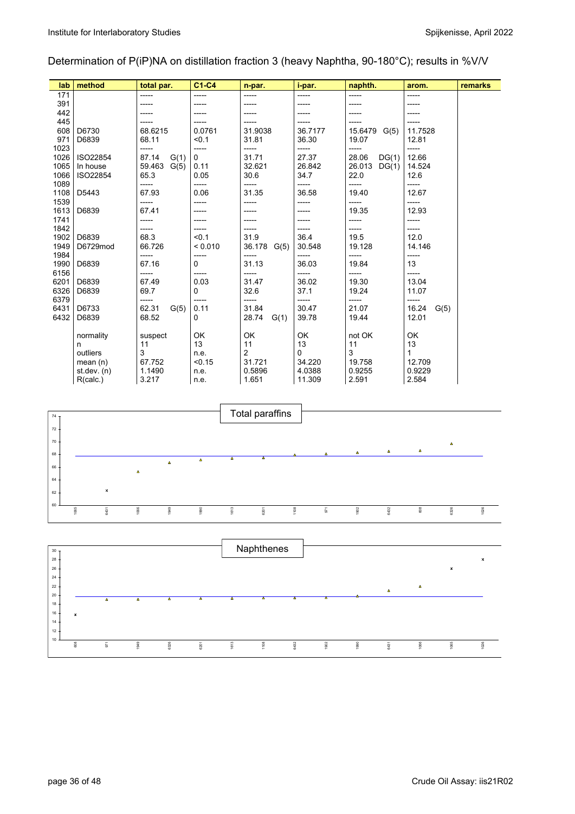## Determination of P(iP)NA on distillation fraction 3 (heavy Naphtha, 90-180°C); results in %V/V

| lab  | method        | total par.     | $C1-C4$      | n-par.         | i-par.   | naphth.         | arom.         | remarks |
|------|---------------|----------------|--------------|----------------|----------|-----------------|---------------|---------|
| 171  |               |                | -----        |                | -----    | -----           | -----         |         |
| 391  |               |                |              |                |          |                 |               |         |
| 442  |               |                |              |                |          |                 |               |         |
| 445  |               |                |              |                |          |                 |               |         |
| 608  | D6730         | 68.6215        | 0.0761       | 31.9038        | 36.7177  | 15.6479<br>G(5) | 11.7528       |         |
| 971  | D6839         | 68.11          | < 0.1        | 31.81          | 36.30    | 19.07           | 12.81         |         |
| 1023 |               | -----          | -----        | -----          | -----    | -----           | -----         |         |
| 1026 | ISO22854      | 87.14<br>G(1)  | $\mathbf{0}$ | 31.71          | 27.37    | 28.06<br>DG(1)  | 12.66         |         |
| 1065 | In house      | 59.463<br>G(5) | 0.11         | 32.621         | 26.842   | 26.013<br>DG(1) | 14.524        |         |
| 1066 | ISO22854      | 65.3           | 0.05         | 30.6           | 34.7     | 22.0            | 12.6          |         |
| 1089 |               | -----          | -----        | -----          | -----    | -----           | -----         |         |
| 1108 | D5443         | 67.93          | 0.06         | 31.35          | 36.58    | 19.40           | 12.67         |         |
| 1539 |               | -----          |              | -----          | -----    | -----           | -----         |         |
| 1613 | D6839         | 67.41          |              |                |          | 19.35           | 12.93         |         |
| 1741 |               | -----          |              |                |          |                 | -----         |         |
| 1842 |               | -----          |              |                |          |                 | -----         |         |
| 1902 | D6839         | 68.3           | < 0.1        | 31.9           | 36.4     | 19.5            | 12.0          |         |
| 1949 | D6729mod      | 66.726         | < 0.010      | 36.178<br>G(5) | 30.548   | 19.128          | 14.146        |         |
| 1984 |               | -----          | -----        | -----          | -----    | -----           | -----         |         |
| 1990 | D6839         | 67.16          | 0            | 31.13          | 36.03    | 19.84           | 13            |         |
| 6156 |               | -----          | -----        | -----          | -----    | -----           | -----         |         |
| 6201 | D6839         | 67.49          | 0.03         | 31.47          | 36.02    | 19.30           | 13.04         |         |
| 6326 | D6839         | 69.7           | 0            | 32.6           | 37.1     | 19.24           | 11.07         |         |
| 6379 |               | -----          | -----        | -----          |          | -----           | -----         |         |
| 6431 | D6733         | 62.31<br>G(5)  | 0.11         | 31.84          | 30.47    | 21.07           | 16.24<br>G(5) |         |
| 6432 | D6839         | 68.52          | 0            | 28.74<br>G(1)  | 39.78    | 19.44           | 12.01         |         |
|      |               |                |              |                |          |                 |               |         |
|      | normality     | suspect        | OK           | OK             | OK       | not OK          | OK            |         |
|      | n             | 11             | 13           | 11             | 13       | 11              | 13            |         |
|      | outliers      | 3              | n.e.         | 2              | $\Omega$ | 3               | 1             |         |
|      | mean $(n)$    | 67.752         | < 0.15       | 31.721         | 34.220   | 19.758          | 12.709        |         |
|      | st dev. $(n)$ | 1.1490         | n.e.         | 0.5896         | 4.0388   | 0.9255          | 0.9229        |         |
|      | R(calc.)      | 3.217          | n.e.         | 1.651          | 11.309   | 2.591           | 2.584         |         |



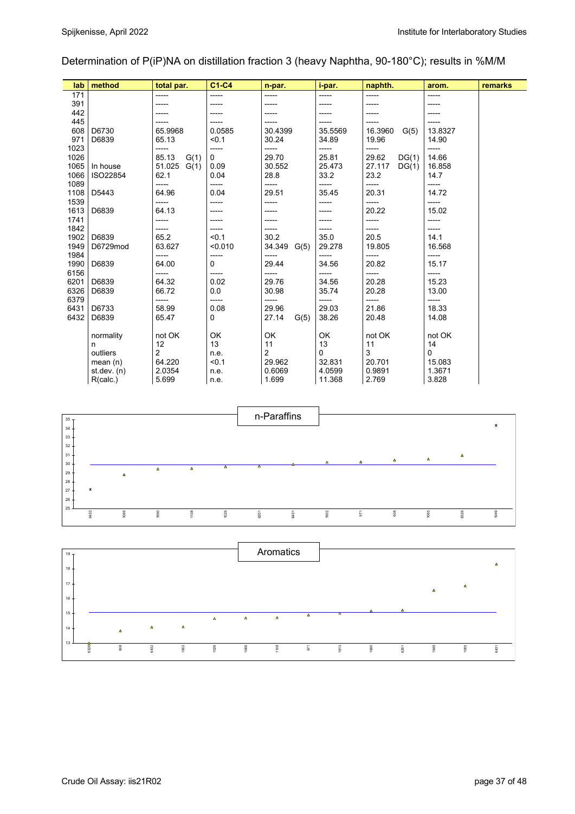## Determination of P(iP)NA on distillation fraction 3 (heavy Naphtha, 90-180°C); results in %M/M

| lab          | method        | total par.     | C1-C4          | n-par.        | i-par.        | naphth.         | arom.         | remarks |
|--------------|---------------|----------------|----------------|---------------|---------------|-----------------|---------------|---------|
| 171          |               |                | -----          | -----         | -----         | -----           |               |         |
| 391          |               |                |                |               | -----         |                 |               |         |
| 442          |               |                |                |               |               |                 |               |         |
| 445          |               |                |                |               | -----         |                 |               |         |
| 608          | D6730         | 65.9968        | 0.0585         | 30.4399       | 35.5569       | 16.3960<br>G(5) | 13.8327       |         |
| 971          | D6839         | 65.13          | < 0.1          | 30.24         | 34.89         | 19.96           | 14.90         |         |
| 1023         |               | -----          | -----          | -----         | -----         | -----           | -----         |         |
| 1026         |               | 85.13<br>G(1)  | $\mathbf{0}$   | 29.70         | 25.81         | 29.62<br>DG(1)  | 14.66         |         |
| 1065         | In house      | 51.025<br>G(1) | 0.09           | 30.552        | 25.473        | 27.117<br>DG(1) | 16.858        |         |
| 1066         | ISO22854      | 62.1           | 0.04           | 28.8          | 33.2          | 23.2            | 14.7          |         |
| 1089         |               | -----          | -----          | -----         | -----         | -----           | -----         |         |
| 1108         | D5443         | 64.96          | 0.04           | 29.51         | 35.45         | 20.31           | 14.72         |         |
| 1539         |               | -----          | -----          | -----         | -----         | -----           | -----         |         |
| 1613         | D6839         | 64.13          |                |               |               | 20.22           | 15.02         |         |
| 1741<br>1842 |               | -----          |                |               | -----         | -----           | -----         |         |
| 1902         | D6839         | -----<br>65.2  | -----<br>< 0.1 | -----<br>30.2 | -----<br>35.0 | -----<br>20.5   | -----<br>14.1 |         |
| 1949         | D6729mod      | 63.627         | < 0.010        | 34.349 G(5)   | 29.278        | 19.805          | 16.568        |         |
| 1984         |               | -----          | -----          | -----         | -----         | -----           | -----         |         |
| 1990         | D6839         | 64.00          | 0              | 29.44         | 34.56         | 20.82           | 15.17         |         |
| 6156         |               | -----          | -----          | -----         | -----         | -----           | -----         |         |
| 6201         | D6839         | 64.32          | 0.02           | 29.76         | 34.56         | 20.28           | 15.23         |         |
| 6326         | D6839         | 66.72          | 0.0            | 30.98         | 35.74         | 20.28           | 13.00         |         |
| 6379         |               | -----          | -----          | -----         | -----         | -----           | -----         |         |
| 6431         | D6733         | 58.99          | 0.08           | 29.96         | 29.03         | 21.86           | 18.33         |         |
| 6432         | D6839         | 65.47          | 0              | 27.14<br>G(5) | 38.26         | 20.48           | 14.08         |         |
|              |               |                |                |               |               |                 |               |         |
|              | normality     | not OK         | OK             | OK            | OK            | not OK          | not OK        |         |
|              | n             | 12             | 13             | 11            | 13            | 11              | 14            |         |
|              | outliers      | $\overline{2}$ | n.e.           | 2             | 0             | 3               | 0             |         |
|              | mean $(n)$    | 64.220         | < 0.1          | 29.962        | 32.831        | 20.701          | 15.083        |         |
|              | st dev. $(n)$ | 2.0354         | n.e.           | 0.6069        | 4.0599        | 0.9891          | 1.3671        |         |
|              | R(calc.)      | 5.699          | n.e.           | 1.699         | 11.368        | 2.769           | 3.828         |         |



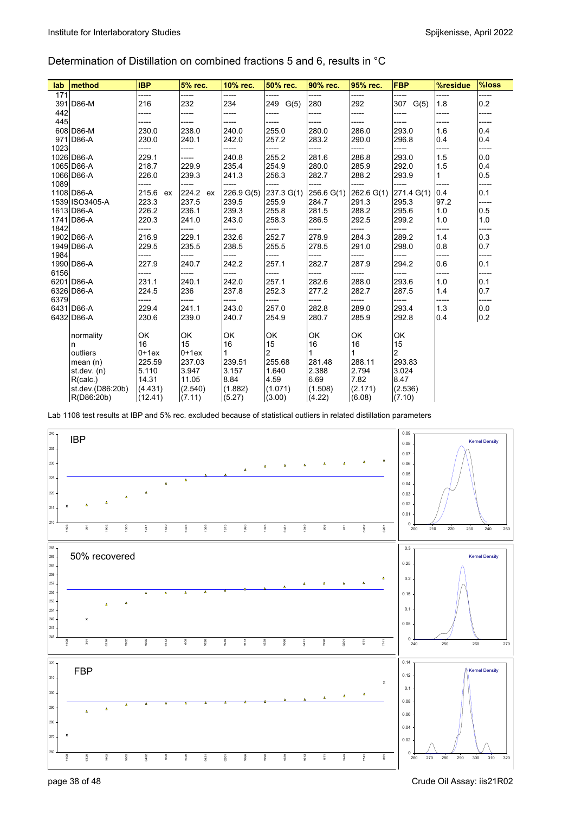## Determination of Distillation on combined fractions 5 and 6, results in °C

| lab  | method           | <b>IBP</b>  | 5% rec.  | 10% rec.   | 50% rec.    | 90% rec.     | 95% rec.   | <b>FBP</b> | %residue     | %loss |
|------|------------------|-------------|----------|------------|-------------|--------------|------------|------------|--------------|-------|
| 171  |                  | -----       | -----    | -----      | -----       | -----        | -----      | -----      | -----        | ----- |
|      | 391 D86-M        | 216         | 232      | 234        | 249<br>G(5) | 280          | 292        | 307 G(5)   | 1.8          | 0.2   |
| 442  |                  | -----       | -----    | -----      | -----       | -----        | -----      | -----      | -----        | ----- |
| 445  |                  |             | -----    | -----      | -----       | -----        | -----      | -----      | -----        | ----- |
|      | 608 D86-M        | 230.0       | 238.0    | 240.0      | 255.0       | 280.0        | 286.0      | 293.0      | 1.6          | 0.4   |
|      | 971 D86-A        | 230.0       | 240.1    | 242.0      | 257.2       | 283.2        | 290.0      | 296.8      | 0.4          | 0.4   |
| 1023 |                  | -----       | -----    | -----      | -----       | -----        | -----      | -----      | -----        | ----- |
|      | 1026 D86-A       | 229.1       | -----    | 240.8      | 255.2       | 281.6        | 286.8      | 293.0      | 1.5          | 0.0   |
|      | 1065 D86-A       | 218.7       | 229.9    | 235.4      | 254.9       | 280.0        | 285.9      | 292.0      | 1.5          | 0.4   |
|      | 1066 D86-A       | 226.0       | 239.3    | 241.3      | 256.3       | 282.7        | 288.2      | 293.9      | $\mathbf{1}$ | 0.5   |
| 1089 |                  |             | -----    |            | -----       | -----        | -----      | -----      | -----        | ----- |
|      | 1108 D86-A       | 215.6<br>ex | 224.2 ex | 226.9 G(5) | 237.3 G(1)  | 256.6 G(1)   | 262.6 G(1) | 271.4 G(1) | 0.4          | 0.1   |
|      | 1539 ISO3405-A   | 223.3       | 237.5    | 239.5      | 255.9       | 284.7        | 291.3      | 295.3      | 97.2         | ----- |
|      | 1613 D86-A       | 226.2       | 236.1    | 239.3      | 255.8       | 281.5        | 288.2      | 295.6      | 1.0          | 0.5   |
|      | 1741 D86-A       | 220.3       | 241.0    | 243.0      | 258.3       | 286.5        | 292.5      | 299.2      | 1.0          | 1.0   |
| 1842 |                  | -----       | -----    | -----      | -----       | -----        | -----      | -----      | -----        | ----- |
|      | 1902 D86-A       | 216.9       | 229.1    | 232.6      | 252.7       | 278.9        | 284.3      | 289.2      | 1.4          | 0.3   |
|      | 1949 D86-A       | 229.5       | 235.5    | 238.5      | 255.5       | 278.5        | 291.0      | 298.0      | 0.8          | 0.7   |
| 1984 |                  | -----       | -----    | -----      | -----       | -----        | -----      | -----      | -----        | ----- |
|      | 1990 D86-A       | 227.9       | 240.7    | 242.2      | 257.1       | 282.7        | 287.9      | 294.2      | 0.6          | 0.1   |
| 6156 |                  | -----       | -----    | -----      | -----       | -----        | -----      | -----      | -----        | ----- |
|      | 6201 D86-A       | 231.1       | 240.1    | 242.0      | 257.1       | 282.6        | 288.0      | 293.6      | 1.0          | 0.1   |
|      | 6326 D86-A       | 224.5       | 236      | 237.8      | 252.3       | 277.2        | 282.7      | 287.5      | 1.4          | 0.7   |
| 6379 |                  |             | -----    | -----      | -----       | -----        | -----      | -----      | -----        | ----- |
|      | 6431 D86-A       | 229.4       | 241.1    | 243.0      | 257.0       | 282.8        | 289.0      | 293.4      | 1.3          | 0.0   |
|      | 6432 D86-A       | 230.6       | 239.0    | 240.7      | 254.9       | 280.7        | 285.9      | 292.8      | 0.4          | 0.2   |
|      |                  |             |          |            |             |              |            |            |              |       |
|      | normality        | OK          | OK       | OK         | OK          | OK           | OK         | OK         |              |       |
|      | n                | 16          | 15       | 16         | 15          | 16           | 16         | 15         |              |       |
|      | outliers         | $0+1ex$     | $0+1ex$  | 1          | 2           | $\mathbf{1}$ |            | 2          |              |       |
|      | mean $(n)$       | 225.59      | 237.03   | 239.51     | 255.68      | 281.48       | 288.11     | 293.83     |              |       |
|      | st.dev. (n)      | 5.110       | 3.947    | 3.157      | 1.640       | 2.388        | 2.794      | 3.024      |              |       |
|      | R(calc.)         | 14.31       | 11.05    | 8.84       | 4.59        | 6.69         | 7.82       | 8.47       |              |       |
|      | st.dev.(D86:20b) | (4.431)     | (2.540)  | (1.882)    | (1.071)     | (1.508)      | (2.171)    | (2.536)    |              |       |
|      | R(D86:20b)       | (12.41)     | (7.11)   | (5.27)     | (3.00)      | (4.22)       | (6.08)     | (7.10)     |              |       |

Lab 1108 test results at IBP and 5% rec. excluded because of statistical outliers in related distillation parameters

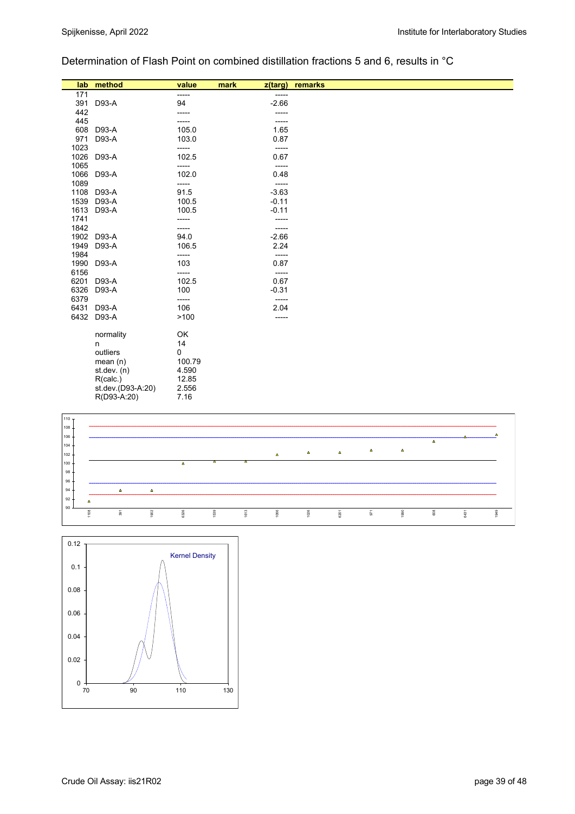## Determination of Flash Point on combined distillation fractions 5 and 6, results in °C

| lab  | method            | value  | mark<br>z(targ) | remarks |
|------|-------------------|--------|-----------------|---------|
| 171  |                   | -----  | -----           |         |
| 391  | D93-A             | 94     | $-2.66$         |         |
| 442  |                   |        |                 |         |
| 445  |                   |        |                 |         |
| 608  | D93-A             | 105.0  | 1.65            |         |
| 971  | D93-A             | 103.0  | 0.87            |         |
| 1023 |                   | -----  | -----           |         |
| 1026 | D93-A             | 102.5  | 0.67            |         |
| 1065 |                   | -----  | -----           |         |
| 1066 | D93-A             | 102.0  | 0.48            |         |
| 1089 |                   | -----  | -----           |         |
| 1108 | D93-A             | 91.5   | $-3.63$         |         |
| 1539 | D93-A             | 100.5  | $-0.11$         |         |
| 1613 | D93-A             | 100.5  | $-0.11$         |         |
| 1741 |                   | -----  |                 |         |
| 1842 |                   | -----  | -----           |         |
| 1902 | D93-A             | 94.0   | $-2.66$         |         |
| 1949 | D93-A             | 106.5  | 2.24            |         |
| 1984 |                   | -----  | -----           |         |
| 1990 | D93-A             | 103    | 0.87            |         |
| 6156 |                   | -----  | -----           |         |
| 6201 | D93-A             | 102.5  | 0.67            |         |
| 6326 | D93-A             | 100    | $-0.31$         |         |
| 6379 |                   | -----  | -----           |         |
| 6431 | D93-A             | 106    | 2.04            |         |
| 6432 | D93-A             | >100   | -----           |         |
|      | normality         | OK     |                 |         |
|      | n                 | 14     |                 |         |
|      | outliers          | 0      |                 |         |
|      | mean $(n)$        | 100.79 |                 |         |
|      | st.dev. $(n)$     | 4.590  |                 |         |
|      | R(calc.)          | 12.85  |                 |         |
|      | st.dev.(D93-A:20) | 2.556  |                 |         |
|      | R(D93-A:20)       | 7.16   |                 |         |



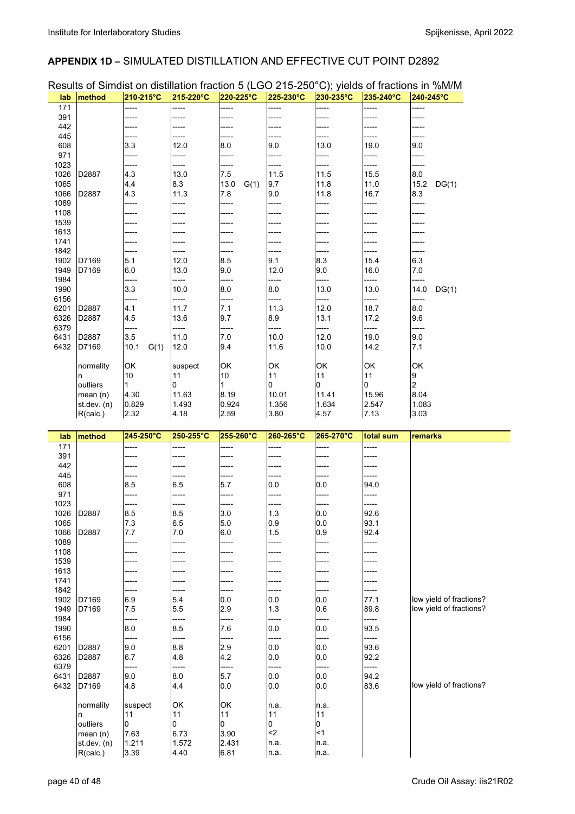### **APPENDIX 1D –** SIMULATED DISTILLATION AND EFFECTIVE CUT POINT D2892

| Results of Simdist on distillation fraction 5 (LGO 215-250°C); yields of fractions in %M/M |                         |               |               |               |               |               |               |                         |
|--------------------------------------------------------------------------------------------|-------------------------|---------------|---------------|---------------|---------------|---------------|---------------|-------------------------|
| lab                                                                                        | method                  | 210-215°C     | 215-220°C     | 220-225°C     | 225-230°C     | 230-235°C     | 235-240°C     | 240-245°C               |
| 171                                                                                        |                         |               | -----         |               | -----         |               |               |                         |
| 391                                                                                        |                         | -----         |               |               | -----         |               |               | -----                   |
| 442                                                                                        |                         |               |               |               |               |               |               |                         |
| 445                                                                                        |                         | -----         |               |               | -----         | -----         |               | -----                   |
| 608                                                                                        |                         | 3.3           | 12.0          | 8.0           | 9.0           | 13.0          | 19.0          | 9.0                     |
| 971                                                                                        |                         |               | -----         |               |               | -----         |               |                         |
| 1023<br>1026                                                                               | D2887                   | -----<br>4.3  | -----<br>13.0 | -----<br>7.5  | -----<br>11.5 | -----<br>11.5 | -----<br>15.5 | -----<br>8.0            |
| 1065                                                                                       |                         | 4.4           | 8.3           | 13.0<br>G(1)  | 9.7           | 11.8          | 11.0          | 15.2<br>DG(1)           |
| 1066                                                                                       | D2887                   | 4.3           | 11.3          | 7.8           | 9.0           | 11.8          | 16.7          | 8.3                     |
| 1089                                                                                       |                         |               |               | -----         | -----         |               |               | -----                   |
| 1108                                                                                       |                         |               |               |               |               |               |               |                         |
| 1539                                                                                       |                         |               |               |               |               |               |               |                         |
| 1613                                                                                       |                         |               |               |               |               |               |               |                         |
| 1741                                                                                       |                         |               |               |               |               |               |               |                         |
| 1842                                                                                       |                         |               |               |               |               |               |               |                         |
| 1902                                                                                       | D7169                   | 5.1           | 12.0          | 8.5           | 9.1           | 8.3           | 15.4          | 6.3                     |
| 1949                                                                                       | D7169                   | 6.0           | 13.0          | 9.0           | 12.0          | 9.0           | 16.0          | 7.0                     |
| 1984                                                                                       |                         | -----         | -----         | -----         | -----         | -----         | -----         | -----                   |
| 1990                                                                                       |                         | 3.3           | 10.0          | 8.0           | 8.0           | 13.0          | 13.0          | 14.0<br>DG(1)           |
| 6156                                                                                       |                         |               |               |               |               |               |               |                         |
| 6201                                                                                       | D2887<br>D2887          | 4.1           | 11.7          | 7.1           | 11.3          | 12.0          | 18.7          | 8.0                     |
| 6326<br>6379                                                                               |                         | 4.5<br>-----  | 13.6<br>----- | 9.7<br>-----  | 8.9<br>-----  | 13.1<br>----- | 17.2<br>----- | 9.6<br>-----            |
| 6431                                                                                       | D2887                   | 3.5           | 11.0          | 7.0           | 10.0          | 12.0          | 19.0          | 9.0                     |
| 6432                                                                                       | D7169                   | 10.1<br>G(1)  | 12.0          | 9.4           | 11.6          | 10.0          | 14.2          | 7.1                     |
|                                                                                            |                         |               |               |               |               |               |               |                         |
|                                                                                            | normality               | OK            | suspect       | OK            | OK            | OK            | OK            | OK                      |
|                                                                                            | n                       | 10            | 11            | 10            | 11            | 11            | 11            | 9                       |
|                                                                                            | outliers                | 1             | 0             | 1             | 0             | 0             | 0             | 2                       |
|                                                                                            | mean(n)                 | 4.30          | 11.63         | 8.19          | 10.01         | 11.41         | 15.96         | 8.04                    |
|                                                                                            | st. dev. (n)            | 0.829         | 1.493         | 0.924         | 1.356         | 1.634         | 2.547         | 1.083                   |
|                                                                                            | R(calc.)                | 2.32          | 4.18          | 2.59          | 3.80          | 4.57          | 7.13          | 3.03                    |
|                                                                                            |                         |               |               |               |               |               |               |                         |
|                                                                                            |                         |               |               |               |               |               |               |                         |
| lab                                                                                        | method                  | 245-250°C     | 250-255°C     | 255-260°C     | 260-265°C     | 265-270°C     | total sum     | remarks                 |
| 171                                                                                        |                         | -----         | -----         | -----         | -----         | -----         | -----         |                         |
| 391                                                                                        |                         |               | -----         | -----         | -----         | -----         |               |                         |
| 442                                                                                        |                         |               |               |               |               |               |               |                         |
| 445                                                                                        |                         |               |               |               |               |               |               |                         |
| 608<br>971                                                                                 |                         | 8.5<br>-----  | 6.5<br>-----  | 5.7<br>-----  | 0.0<br>-----  | 0.0<br>-----  | 94.0<br>----- |                         |
| 1023                                                                                       |                         |               |               |               |               |               |               |                         |
|                                                                                            | 1026 D2887              | 8.5           | 8.5           | $3.0\,$       | $1.3$         | 0.0           | 92.6          |                         |
| 1065                                                                                       |                         | 7.3           | 6.5           | 5.0           | 0.9           | 0.0           | 93.1          |                         |
| 1066                                                                                       | D2887                   | 7.7           | 7.0           | 6.0           | 1.5           | 0.9           | 92.4          |                         |
| 1089                                                                                       |                         | -----         | -----         | -----         | -----         | -----         | -----         |                         |
| 1108                                                                                       |                         | -----         | -----         | -----         | -----         | -----         | -----         |                         |
| 1539                                                                                       |                         | -----         | ----          | -----         | -----         |               |               |                         |
| 1613                                                                                       |                         | -----         | -----         | -----         | -----         | -----         | -----         |                         |
| 1741                                                                                       |                         | -----         | -----         | -----         | -----         | -----         | -----         |                         |
| 1842                                                                                       |                         |               |               |               | -----         |               |               |                         |
| 1902                                                                                       | D7169                   | 6.9           | 5.4           | 0.0           | 0.0           | 0.0           | 77.1          | low yield of fractions? |
| 1949                                                                                       | D7169                   | 7.5           | 5.5           | 2.9           | 1.3           | 0.6           | 89.8          | low yield of fractions? |
| 1984                                                                                       |                         | -----         | -----         |               | -----         |               | -----         |                         |
| 1990                                                                                       |                         | 8.0           | 8.5           | 7.6           | 0.0           | 0.0           | 93.5          |                         |
| 6156                                                                                       |                         | -----         | -----         | -----         | -----         | -----         | -----         |                         |
| 6201                                                                                       | D2887                   | 9.0           | 8.8           | 2.9           | 0.0           | 0.0           | 93.6          |                         |
| 6326                                                                                       | D2887                   | 6.7<br>-----  | 4.8<br>-----  | 4.2<br>-----  | 0.0<br>-----  | 0.0<br>-----  | 92.2<br>----- |                         |
| 6379                                                                                       | D2887                   |               |               |               |               |               |               |                         |
| 6431<br>6432                                                                               | D7169                   | 9.0<br>4.8    | 8.0<br>4.4    | 5.7<br>0.0    | 0.0<br>0.0    | 0.0<br>0.0    | 94.2<br>83.6  | low yield of fractions? |
|                                                                                            |                         |               |               |               |               |               |               |                         |
|                                                                                            | normality               | suspect       | OK            | OK            | n.a.          | n.a.          |               |                         |
|                                                                                            | n                       | 11            | 11            | 11            | 11            | 11            |               |                         |
|                                                                                            | outliers                | 0             | 0             | 0             | 0             | 0             |               |                         |
|                                                                                            | mean(n)                 | 7.63          | 6.73          | 3.90          | $2$           | $<$ 1         |               |                         |
|                                                                                            | st.dev. (n)<br>R(calc.) | 1.211<br>3.39 | 1.572<br>4.40 | 2.431<br>6.81 | n.a.<br>n.a.  | n.a.<br>n.a.  |               |                         |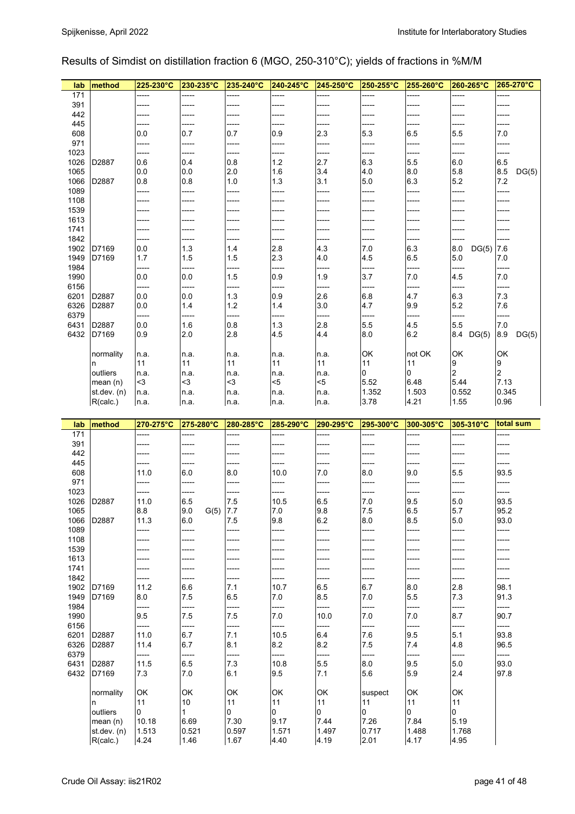## Results of Simdist on distillation fraction 6 (MGO, 250-310°C); yields of fractions in %M/M

| lab             | method                    | 225-230°C      | 230-235°C                | 235-240°C      | 240-245°C      | 245-250°C      | 250-255°C      | 255-260°C     | 260-265°C               | 265-270°C      |
|-----------------|---------------------------|----------------|--------------------------|----------------|----------------|----------------|----------------|---------------|-------------------------|----------------|
| 171             |                           |                | -----                    | -----          | -----          |                | -----          | -----         | -----                   | -----          |
| 391             |                           | -----          | -----                    | -----          | -----          | -----          | -----          | -----         | -----                   | -----          |
| 442             |                           | -----          | -----                    | -----          | -----          | -----          | -----          | -----         | -----                   | -----          |
| 445             |                           | -----          | -----                    | -----          | -----          |                | -----          |               | -----                   | -----          |
| 608<br>971      |                           | 0.0            | 0.7                      | 0.7            | 0.9            | 2.3            | 5.3            | 6.5           | 5.5                     | 7.0            |
| 1023            |                           | -----<br>----  | -----<br>-----           | -----<br>----- | -----<br>      | -----          | -----<br>----- | -----         | -----<br>-----          | -----<br>----- |
| 1026            | D2887                     | 0.6            | 0.4                      | 0.8            | $1.2$          | 2.7            | 6.3            | 5.5           | 6.0                     | 6.5            |
| 1065            |                           | 0.0            | 0.0                      | 2.0            | 1.6            | 3.4            | 4.0            | 8.0           | 5.8                     | 8.5<br>DG(5)   |
| 1066            | D2887                     | 0.8            | 0.8                      | 1.0            | 1.3            | 3.1            | 5.0            | 6.3           | 5.2                     | 7.2            |
| 1089            |                           | -----          | -----                    |                |                |                | -----          |               | -----                   |                |
| 1108            |                           | -----          | -----                    | -----          | -----          | -----          | -----          | -----         | -----                   | -----          |
| 1539            |                           | -----          |                          |                |                |                | -----          |               | -----                   |                |
| 1613            |                           | -----          | -----                    | -----          |                |                |                |               |                         |                |
| 1741            |                           | -----          | ----                     | -----          | -----          |                | -----          |               | -----                   |                |
| 1842            |                           | -----          | -----                    |                |                |                | -----          |               | -----                   |                |
| 1902            | D7169                     | 0.0            | 1.3                      | 1.4            | 2.8            | 4.3            | 7.0            | 6.3           | 8.0<br>DG(5)            | 7.6            |
| 1949<br>1984    | D7169                     | 1.7            | 1.5<br>-----             | 1.5            | 2.3<br>-----   | 4.0<br>-----   | 4.5<br>-----   | 6.5<br>-----  | 5.0<br>-----            | 7.0<br>-----   |
| 1990            |                           | -----<br>0.0   | 0.0                      | -----<br>1.5   | 0.9            | 1.9            | 3.7            | 7.0           | 4.5                     | 7.0            |
| 6156            |                           | -----          | -----                    | -----          | -----          | -----          | -----          | -----         | -----                   | -----          |
| 6201            | D2887                     | 0.0            | 0.0                      | 1.3            | 0.9            | 2.6            | $6.8\,$        | 4.7           | 6.3                     | 7.3            |
| 6326            | D2887                     | 0.0            | 1.4                      | 1.2            | 1.4            | 3.0            | 4.7            | 9.9           | 5.2                     | 7.6            |
| 6379            |                           | ----           | -----                    | -----          | -----          | -----          | -----          | -----         | -----                   | -----          |
| 6431            | D2887                     | 0.0            | 1.6                      | 0.8            | 1.3            | 2.8            | 5.5            | 4.5           | 5.5                     | $7.0\,$        |
| 6432            | D7169                     | 0.9            | 2.0                      | 2.8            | 4.5            | 4.4            | 8.0            | 6.2           | 8.4 DG(5)               | 8.9<br>DG(5)   |
|                 |                           |                |                          |                |                |                |                |               |                         |                |
|                 | normality                 | n.a.           | n.a.                     | n.a.           | n.a.           | n.a.           | OK             | not OK        | OK                      | OK             |
|                 | In.                       | 11             | 11                       | 11             | 11             | 11             | 11             | 11            | 9                       | 9              |
|                 | outliers                  | n.a.           | n.a.                     | n.a.           | n.a.           | n.a.           | 0              | 0             | $\overline{\mathbf{c}}$ | 2              |
|                 | mean(n)                   | $3$            | $3$                      | $3$            | $5$            | $5$            | 5.52           | 6.48          | 5.44                    | 7.13           |
|                 | st.dev. (n)<br>R(calc.)   | n.a.           | n.a.                     | n.a.           | n.a.           | n.a.           | 1.352<br>3.78  | 1.503<br>4.21 | 0.552<br>1.55           | 0.345<br>0.96  |
|                 |                           | n.a.           | n.a.                     | n.a.           | n.a.           | n.a.           |                |               |                         |                |
|                 |                           |                |                          |                |                |                |                |               |                         |                |
| lab             | method                    | 270-275°C      | 275-280°C                | 280-285°C      | 285-290°C      | 290-295°C      | 295-300°C      | 300-305°C     | 305-310°C               | total sum      |
| $\frac{1}{171}$ |                           | -----          | -----                    | -----          | -----          | -----          | -----          | -----         | -----                   | -----          |
| 391             |                           | -----          | -----                    | -----          | -----          | -----          | -----          | -----         | -----                   | -----          |
| 442             |                           | -----          |                          |                |                |                | -----          |               | -----                   |                |
| 445             |                           | -----          | -----                    |                |                |                | -----          |               | -----                   | -----          |
| 608             |                           | 11.0           | 6.0                      | 8.0            | 10.0           | 7.0            | 8.0            | 9.0           | 5.5                     | 93.5           |
| 971             |                           | -----          | -----                    | -----          | -----          | -----          | -----          | -----         | -----                   | -----          |
| 1023            |                           |                |                          |                |                |                |                |               |                         |                |
| 1026            | D2887                     | 11.0           | 6.5                      | 7.5            | 10.5           | 6.5            | 7.0            | 9.5           | 5.0                     | 93.5           |
| 1065<br>1066    | D2887                     | 8.8<br>11.3    | 9.0<br>$G(5)$ 7.7<br>6.0 | 7.5            | $7.0\,$<br>9.8 | $9.8\,$<br>6.2 | 7.5<br>8.0     | 6.5<br>8.5    | 5.7<br>5.0              | 95.2<br>93.0   |
| 1089            |                           | ----           | -----                    | -----          | -----          | -----          | -----          | -----         | -----                   | -----          |
| 1108            |                           | -----          |                          | -----          |                |                |                |               | -----                   |                |
| 1539            |                           | -----          | -----                    | -----          |                | -----          | -----          | -----         | -----                   | -----          |
| 1613            |                           | -----          | -----                    | -----          |                | -----          | -----          | -----         | -----                   | -----          |
| 1741            |                           | -----          |                          |                |                |                | -----          | -----         | -----                   |                |
| 1842            |                           | -----          | -----                    | -----          | -----          | -----          | -----          | -----         | -----                   | -----          |
| 1902            | D7169                     | 11.2           | 6.6                      | 7.1            | 10.7           | 6.5            | 6.7            | 8.0           | 2.8                     | 98.1           |
| 1949            | D7169                     | 8.0            | 7.5                      | 6.5            | 7.0            | 8.5            | 7.0            | 5.5           | 7.3                     | 91.3           |
| 1984            |                           | -----          | -----                    | -----          | -----          | -----          | -----          | -----         | -----                   | -----          |
| 1990<br>6156    |                           | 9.5<br>-----   | 7.5<br>-----             | 7.5<br>-----   | 7.0<br>-----   | 10.0<br>-----  | 7.0<br>-----   | 7.0<br>-----  | 8.7<br>-----            | 90.7<br>-----  |
| 6201            | D2887                     | 11.0           | 6.7                      | 7.1            | 10.5           | 6.4            | 7.6            | 9.5           | 5.1                     | 93.8           |
| 6326            | D2887                     | 11.4           | 6.7                      | 8.1            | 8.2            | 8.2            | 7.5            | 7.4           | 4.8                     | 96.5           |
| 6379            |                           | -----          | -----                    | -----          | -----          | -----          | -----          | -----         | -----                   | -----          |
| 6431            | D2887                     | 11.5           | 6.5                      | 7.3            | 10.8           | 5.5            | 8.0            | 9.5           | 5.0                     | 93.0           |
| 6432            | D7169                     | 7.3            | 7.0                      | 6.1            | 9.5            | 7.1            | 5.6            | 5.9           | 2.4                     | 97.8           |
|                 |                           |                |                          |                |                |                |                |               |                         |                |
|                 | normality                 | OK             | OK                       | OK             | OK             | OK             | suspect        | OK            | OK                      |                |
|                 | n                         | 11             | 10                       | 11             | 11             | 11             | 11             | 11            | 11                      |                |
|                 | outliers                  | 0              | $\mathbf{1}$             | $\overline{0}$ | 0              | 0              | 0              | 0             | $\overline{0}$          |                |
|                 | mean $(n)$<br>st.dev. (n) | 10.18<br>1.513 | 6.69<br>0.521            | 7.30<br>0.597  | 9.17<br>1.571  | 7.44<br>1.497  | 7.26<br>0.717  | 7.84<br>1.488 | 5.19<br>1.768           |                |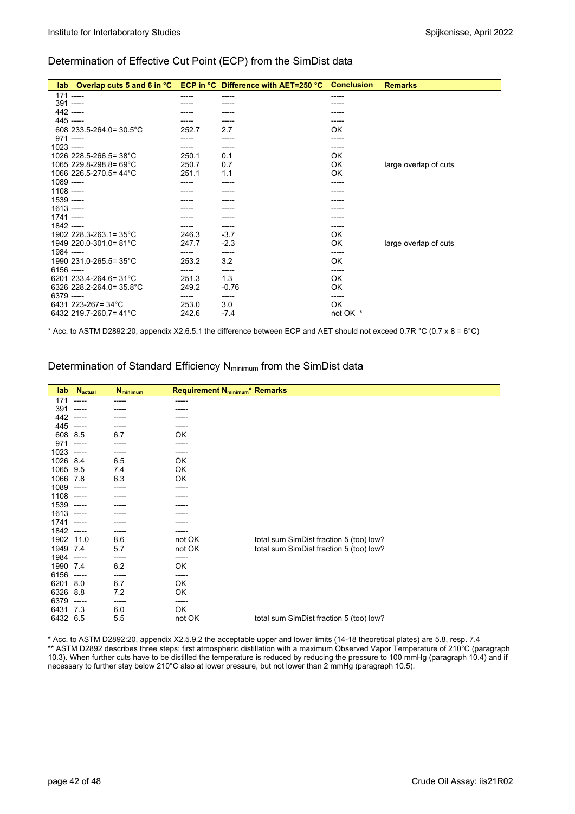#### Determination of Effective Cut Point (ECP) from the SimDist data

| lab          |                          |       | Overlap cuts 5 and 6 in °C ECP in °C Difference with AET=250 °C | <b>Conclusion</b> | <b>Remarks</b>        |
|--------------|--------------------------|-------|-----------------------------------------------------------------|-------------------|-----------------------|
|              | $171$ -----              | ----- | -----                                                           | -----             |                       |
| $391$ -----  |                          |       |                                                                 | ----              |                       |
|              | 442 -----                |       |                                                                 |                   |                       |
| 445 -----    |                          |       | -----                                                           | -----             |                       |
|              | 608 233.5-264.0= 30.5°C  | 252.7 | 2.7                                                             | OK                |                       |
| $971$ -----  |                          |       | -----                                                           | -----             |                       |
| $1023$ ----- |                          |       | -----                                                           | -----             |                       |
|              | 1026 228.5-266.5= 38°C   | 250.1 | 0.1                                                             | 0K                |                       |
|              | 1065 229.8-298.8= 69°C   | 250.7 | 0.7                                                             | OK                | large overlap of cuts |
|              | 1066 226.5-270.5= 44°C   | 251.1 | 1.1                                                             | 0K                |                       |
| $1089$ ----- |                          |       |                                                                 |                   |                       |
| $1108$ ----- |                          |       |                                                                 |                   |                       |
| $1539$ ----- |                          |       |                                                                 |                   |                       |
| $1613$ ----- |                          |       |                                                                 |                   |                       |
| $1741$ ----- |                          |       |                                                                 | -----             |                       |
| $1842$ ----- |                          |       | -----                                                           | -----             |                       |
|              | 1902 228.3-263.1= 35°C   | 246.3 | $-3.7$                                                          | 0K                |                       |
|              | 1949 220.0-301.0= 81°C   | 247.7 | $-2.3$                                                          | OK                | large overlap of cuts |
| 1984 -----   |                          | ----- | -----                                                           | -----             |                       |
|              | 1990 231.0-265.5= 35°C   | 253.2 | 3.2                                                             | 0K                |                       |
| $6156$ ----- |                          | ----- | -----                                                           | -----             |                       |
|              | 6201 233.4-264.6= 31°C   | 251.3 | 1.3                                                             | 0K                |                       |
|              | 6326 228.2-264.0= 35.8°C | 249.2 | $-0.76$                                                         | 0K                |                       |
| 6379 -----   |                          | ----- | -----                                                           | -----             |                       |
|              | 6431 223-267= 34°C       | 253.0 | 3.0                                                             | OK                |                       |
|              | 6432 219.7-260.7= 41°C   | 242.6 | $-7.4$                                                          | not OK *          |                       |

\* Acc. to ASTM D2892:20, appendix X2.6.5.1 the difference between ECP and AET should not exceed 0.7R °C (0.7 x 8 = 6°C)

#### Determination of Standard Efficiency N<sub>minimum</sub> from the SimDist data

| lab      | <b>N</b> actual | <b>N</b> minimum | <b>Requirement N</b> <sub>minimum</sub> * Remarks |                                         |
|----------|-----------------|------------------|---------------------------------------------------|-----------------------------------------|
| 171      | -----           | -----            | -----                                             |                                         |
| 391      | -----           |                  | -----                                             |                                         |
| 442      | -----           |                  |                                                   |                                         |
| 445      | -----           | -----            | -----                                             |                                         |
| 608      | 8.5             | 6.7              | OK                                                |                                         |
| 971      | -----           |                  | -----                                             |                                         |
| 1023     | -----           | -----            | -----                                             |                                         |
| 1026     | 8.4             | 6.5              | OK                                                |                                         |
| 1065     | 9.5             | 7.4              | OK                                                |                                         |
| 1066     | 7.8             | 6.3              | OK                                                |                                         |
| 1089     | -----           |                  | -----                                             |                                         |
| 1108     | ------          |                  |                                                   |                                         |
| 1539     | ------          |                  |                                                   |                                         |
| 1613     | -----           | ----             |                                                   |                                         |
| 1741     | -----           |                  | -----                                             |                                         |
| 1842     | -----           | -----            | -----                                             |                                         |
| 1902     | 11.0            | 8.6              | not OK                                            | total sum SimDist fraction 5 (too) low? |
| 1949     | 7.4             | 5.7              | not OK                                            | total sum SimDist fraction 5 (too) low? |
| 1984     | -----           | -----            | -----                                             |                                         |
| 1990     | 7.4             | 6.2              | OK                                                |                                         |
| 6156     | $-----$         | -----            | -----                                             |                                         |
| 6201     | 8.0             | 6.7              | OK                                                |                                         |
| 6326     | 8.8             | 7.2              | OK                                                |                                         |
| 6379     | -----           | -----            | -----                                             |                                         |
| 6431     | 7.3             | 6.0              | OK                                                |                                         |
| 6432 6.5 |                 | 5.5              | not OK                                            | total sum SimDist fraction 5 (too) low? |

\* Acc. to ASTM D2892:20, appendix X2.5.9.2 the acceptable upper and lower limits (14-18 theoretical plates) are 5.8, resp. 7.4 \*\* ASTM D2892 describes three steps: first atmospheric distillation with a maximum Observed Vapor Temperature of 210°C (paragraph 10.3). When further cuts have to be distilled the temperature is reduced by reducing the pressure to 100 mmHg (paragraph 10.4) and if necessary to further stay below 210°C also at lower pressure, but not lower than 2 mmHg (paragraph 10.5).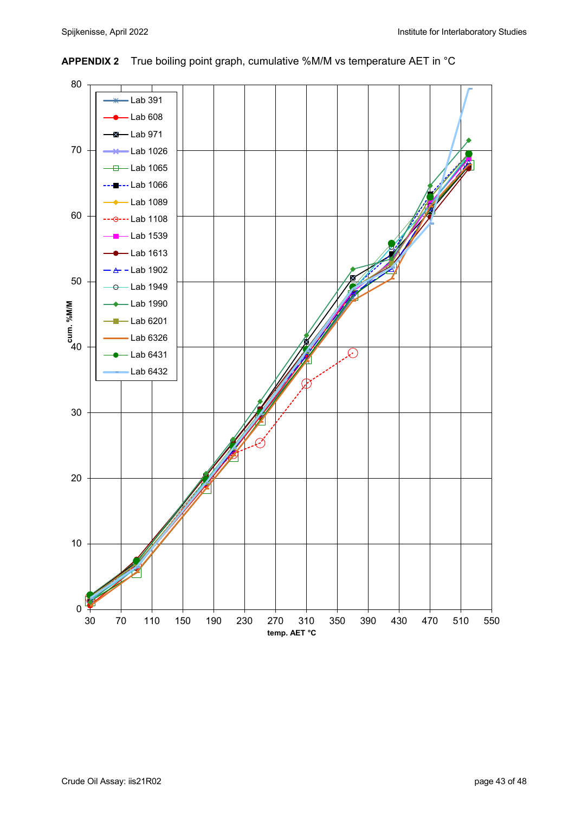

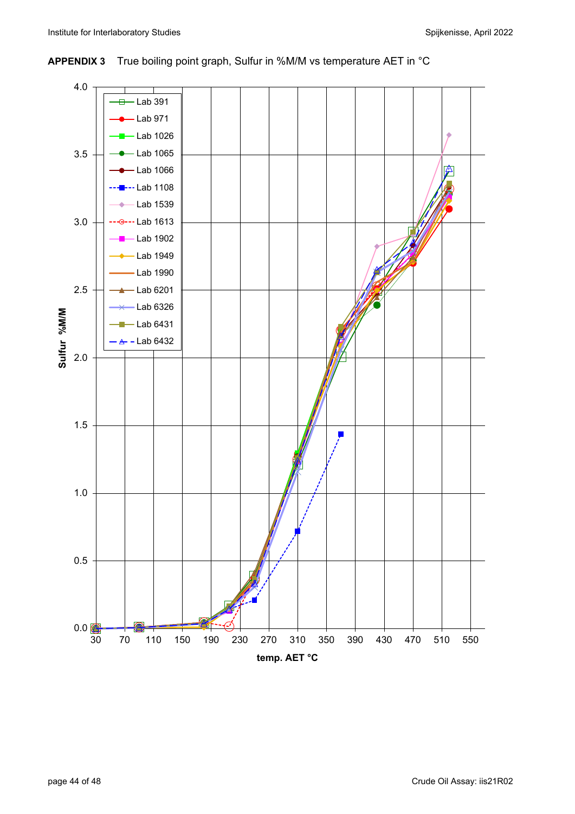## **APPENDIX 3** True boiling point graph, Sulfur in %M/M vs temperature AET in °C

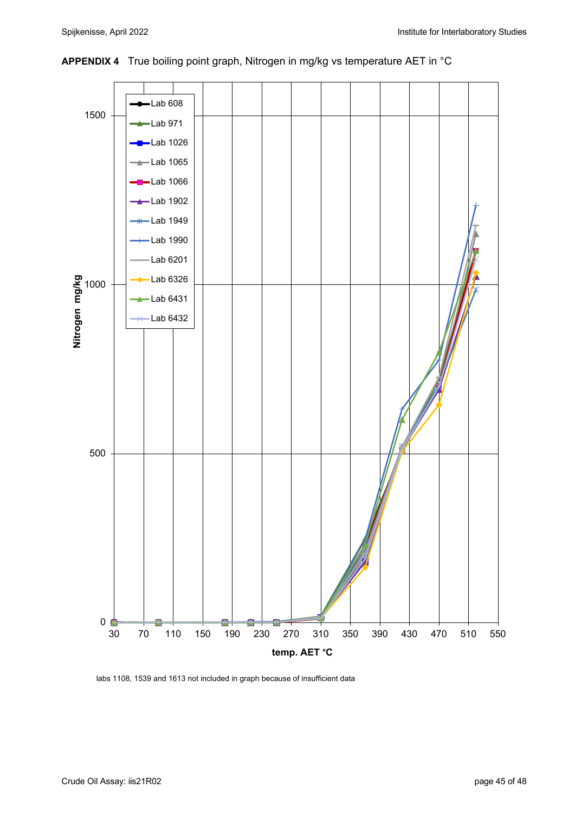

**APPENDIX 4** True boiling point graph, Nitrogen in mg/kg vs temperature AET in °C

labs 1108, 1539 and 1613 not included in graph because of insufficient data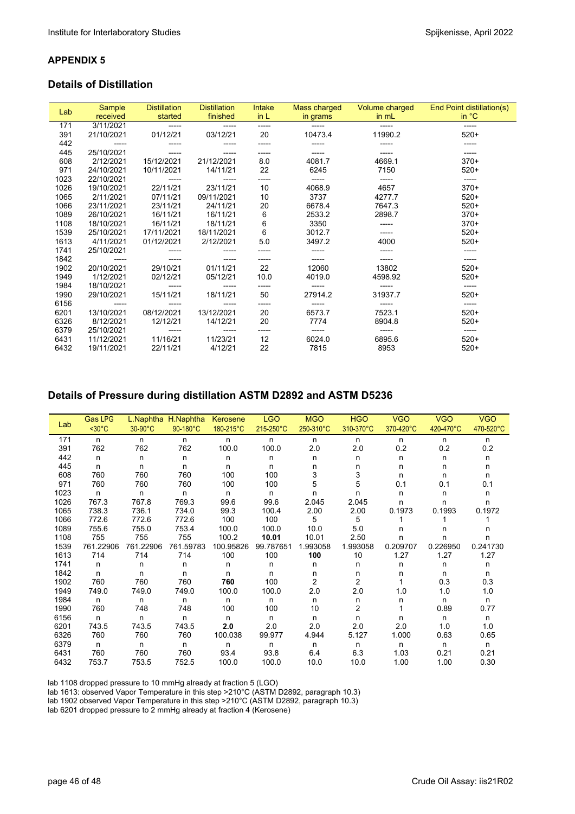#### **APPENDIX 5**

#### **Details of Distillation**

|      | <b>Sample</b> | <b>Distillation</b> | <b>Distillation</b> | Intake | Mass charged | Volume charged | End Point distillation(s) |  |
|------|---------------|---------------------|---------------------|--------|--------------|----------------|---------------------------|--|
| Lab  | received      | started             | finished            | in L   | in grams     | in mL          | in °C                     |  |
| 171  | 3/11/2021     | ------              | -----               | -----  | -----        | -----          | -----                     |  |
| 391  | 21/10/2021    | 01/12/21            | 03/12/21            | 20     | 10473.4      | 11990.2        | $520+$                    |  |
| 442  |               |                     |                     |        |              |                |                           |  |
| 445  | 25/10/2021    |                     |                     | -----  |              |                | -----                     |  |
| 608  | 2/12/2021     | 15/12/2021          | 21/12/2021          | 8.0    | 4081.7       | 4669.1         | $370+$                    |  |
| 971  | 24/10/2021    | 10/11/2021          | 14/11/21            | 22     | 6245         | 7150           | $520+$                    |  |
| 1023 | 22/10/2021    |                     |                     | -----  |              | -----          | -----                     |  |
| 1026 | 19/10/2021    | 22/11/21            | 23/11/21            | 10     | 4068.9       | 4657           | $370+$                    |  |
| 1065 | 2/11/2021     | 07/11/21            | 09/11/2021          | 10     | 3737         | 4277.7         | $520+$                    |  |
| 1066 | 23/11/2021    | 23/11/21            | 24/11/21            | 20     | 6678.4       | 7647.3         | $520+$                    |  |
| 1089 | 26/10/2021    | 16/11/21            | 16/11/21            | 6      | 2533.2       | 2898.7         | $370+$                    |  |
| 1108 | 18/10/2021    | 16/11/21            | 18/11/21            | 6      | 3350         | -----          | $370+$                    |  |
| 1539 | 25/10/2021    | 17/11/2021          | 18/11/2021          | 6      | 3012.7       | -----          | $520+$                    |  |
| 1613 | 4/11/2021     | 01/12/2021          | 2/12/2021           | 5.0    | 3497.2       | 4000           | $520+$                    |  |
| 1741 | 25/10/2021    |                     | -----               | -----  | -----        | -----          | -----                     |  |
| 1842 |               |                     |                     |        |              | -----          |                           |  |
| 1902 | 20/10/2021    | 29/10/21            | 01/11/21            | 22     | 12060        | 13802          | $520+$                    |  |
| 1949 | 1/12/2021     | 02/12/21            | 05/12/21            | 10.0   | 4019.0       | 4598.92        | $520+$                    |  |
| 1984 | 18/10/2021    | -----               |                     | -----  |              | -----          | -----                     |  |
| 1990 | 29/10/2021    | 15/11/21            | 18/11/21            | 50     | 27914.2      | 31937.7        | $520+$                    |  |
| 6156 |               |                     |                     | -----  | -----        | -----          | -----                     |  |
| 6201 | 13/10/2021    | 08/12/2021          | 13/12/2021          | 20     | 6573.7       | 7523.1         | $520+$                    |  |
| 6326 | 8/12/2021     | 12/12/21            | 14/12/21            | 20     | 7774         | 8904.8         | $520+$                    |  |
| 6379 | 25/10/2021    | ------              | -----               | -----  | -----        | -----          | ------                    |  |
| 6431 | 11/12/2021    | 11/16/21            | 11/23/21            | 12     | 6024.0       | 6895.6         | $520+$                    |  |
| 6432 | 19/11/2021    | 22/11/21            | 4/12/21             | 22     | 7815         | 8953           | $520+$                    |  |

# **Details of Pressure during distillation ASTM D2892 and ASTM D5236**

| Lab  | <b>Gas LPG</b> |           | L. Naphtha H. Naphtha | Kerosene  | <b>LGO</b> | <b>MGO</b>     | <b>HGO</b>     | <b>VGO</b> | <b>VGO</b> | <b>VGO</b> |
|------|----------------|-----------|-----------------------|-----------|------------|----------------|----------------|------------|------------|------------|
|      | $30°C$         | 30-90°C   | 90-180°C              | 180-215°C | 215-250°C  | 250-310°C      | 310-370°C      | 370-420°C  | 420-470°C  | 470-520°C  |
| 171  | n              | n         | n                     | n         | n          | n              | n              | n          | n          | n.         |
| 391  | 762            | 762       | 762                   | 100.0     | 100.0      | 2.0            | 2.0            | 0.2        | 0.2        | 0.2        |
| 442  | n              | n         | n                     | n         | n          | n              | n              | n          | n          | n          |
| 445  | n              | n         | n                     | n         | n          | n              | n              | n          | n          | n          |
| 608  | 760            | 760       | 760                   | 100       | 100        | 3              | 3              | n          | n          | n          |
| 971  | 760            | 760       | 760                   | 100       | 100        | 5              | 5              | 0.1        | 0.1        | 0.1        |
| 1023 | n              | n         | n                     | n         | n          | n              | n              | n          | n          | n          |
| 1026 | 767.3          | 767.8     | 769.3                 | 99.6      | 99.6       | 2.045          | 2.045          | n          | n          | n          |
| 1065 | 738.3          | 736.1     | 734.0                 | 99.3      | 100.4      | 2.00           | 2.00           | 0.1973     | 0.1993     | 0.1972     |
| 1066 | 772.6          | 772.6     | 772.6                 | 100       | 100        | 5              | 5              |            |            |            |
| 1089 | 755.6          | 755.0     | 753.4                 | 100.0     | 100.0      | 10.0           | 5.0            | n          | n          | n          |
| 1108 | 755            | 755       | 755                   | 100.2     | 10.01      | 10.01          | 2.50           | n          | n          | n          |
| 1539 | 761.22906      | 761.22906 | 761.59783             | 100.95826 | 99.787651  | 1.993058       | 1.993058       | 0.209707   | 0.226950   | 0.241730   |
| 1613 | 714            | 714       | 714                   | 100       | 100        | 100            | 10             | 1.27       | 1.27       | 1.27       |
| 1741 | n              | n         | n                     | n         | n          | n              | n              | n          | n          | n          |
| 1842 | n              | n         | n                     | n         | n          | n              | n              | n          | n          | n.         |
| 1902 | 760            | 760       | 760                   | 760       | 100        | $\overline{2}$ | $\overline{c}$ |            | 0.3        | 0.3        |
| 1949 | 749.0          | 749.0     | 749.0                 | 100.0     | 100.0      | 2.0            | 2.0            | 1.0        | 1.0        | 1.0        |
| 1984 | n              | n         | n                     | n         | n          | n              | n              | n          | n          | n.         |
| 1990 | 760            | 748       | 748                   | 100       | 100        | 10             | 2              |            | 0.89       | 0.77       |
| 6156 | n              | n         | n                     | n         | n          | n              | n              | n          | n          | n.         |
| 6201 | 743.5          | 743.5     | 743.5                 | 2.0       | 2.0        | 2.0            | 2.0            | $2.0\,$    | 1.0        | 1.0        |
| 6326 | 760            | 760       | 760                   | 100.038   | 99.977     | 4.944          | 5.127          | 1.000      | 0.63       | 0.65       |
| 6379 | n              | n         | n                     | n         | n          | n              | n              | n          | n          | n.         |
| 6431 | 760            | 760       | 760                   | 93.4      | 93.8       | 6.4            | 6.3            | 1.03       | 0.21       | 0.21       |
| 6432 | 753.7          | 753.5     | 752.5                 | 100.0     | 100.0      | 10.0           | 10.0           | 1.00       | 1.00       | 0.30       |

lab 1108 dropped pressure to 10 mmHg already at fraction 5 (LGO)

lab 1613: observed Vapor Temperature in this step >210°C (ASTM D2892, paragraph 10.3)

lab 1902 observed Vapor Temperature in this step >210°C (ASTM D2892, paragraph 10.3)

lab 6201 dropped pressure to 2 mmHg already at fraction 4 (Kerosene)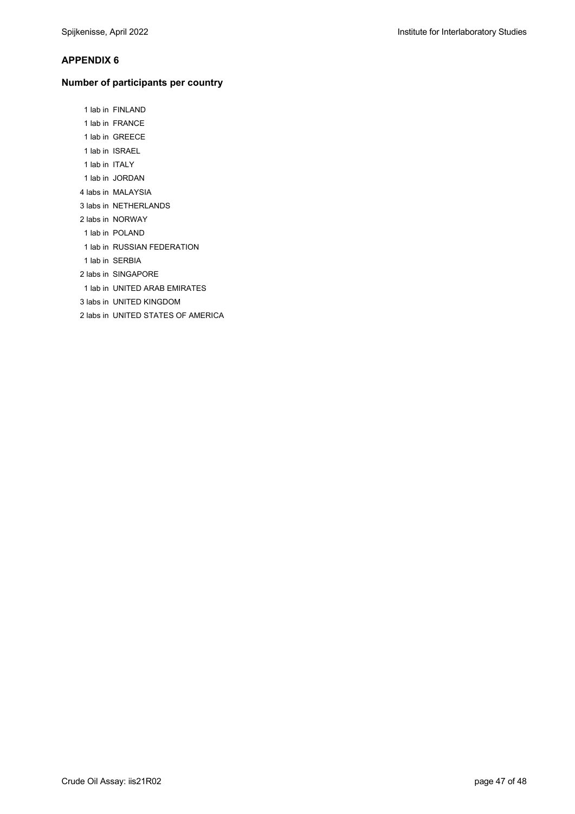#### **APPENDIX 6**

#### **Number of participants per country**

1 lab in FINLAND

- 1 lab in FRANCE
- 1 lab in GREECE
- 1 lab in ISRAEL
- 1 lab in ITALY
- 1 lab in JORDAN
- 4 labs in MALAYSIA
- 3 labs in NETHERLANDS
- 2 labs in NORWAY
- 1 lab in POLAND
- 1 lab in RUSSIAN FEDERATION
- 1 lab in SERBIA
- 2 labs in SINGAPORE
- 1 lab in UNITED ARAB EMIRATES
- 3 labs in UNITED KINGDOM
- 2 labs in UNITED STATES OF AMERICA